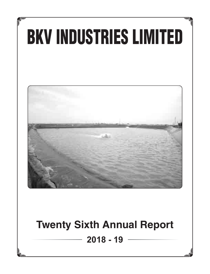# BKV INDUSTRIES LIMITED



# **Twenty Sixth Annual Report**

**2018 - 19**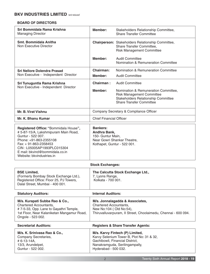#### **BOARD OF DIRECTORS**

| Sri Bommidala Rama Krishna<br><b>Managing Director</b>                                                                                                                                                                                             | Member:                                                                                                                                                | Stakeholders Relationship Committee,<br><b>Share Transfer Committee</b>                                                                            |  |  |
|----------------------------------------------------------------------------------------------------------------------------------------------------------------------------------------------------------------------------------------------------|--------------------------------------------------------------------------------------------------------------------------------------------------------|----------------------------------------------------------------------------------------------------------------------------------------------------|--|--|
| <b>Smt. Bommidala Anitha</b><br>Non Executive Director                                                                                                                                                                                             |                                                                                                                                                        | <b>Chairperson:</b> Stakeholders Relationship Committee,<br>Share Transfer Committee,<br><b>Risk Management Committee</b>                          |  |  |
|                                                                                                                                                                                                                                                    | Member:                                                                                                                                                | <b>Audit Committee</b><br>Nomination & Remuneration Committee                                                                                      |  |  |
| Sri Nellore Dolendra Prasad                                                                                                                                                                                                                        | <b>Chairman:</b>                                                                                                                                       | Nomination & Remuneration Committee                                                                                                                |  |  |
| Non Executive - Independent Director                                                                                                                                                                                                               | Member:                                                                                                                                                | <b>Audit Committee</b>                                                                                                                             |  |  |
| Sri Tunuguntla Rama Krishna<br>Non Executive - Independent Director                                                                                                                                                                                | Chairman:                                                                                                                                              | <b>Audit Committee</b>                                                                                                                             |  |  |
|                                                                                                                                                                                                                                                    | Member:                                                                                                                                                | Nomination & Remuneration Committee,<br><b>Risk Management Committee</b><br>Stakeholders Relationship Committee<br><b>Share Transfer Committee</b> |  |  |
| <b>Mr. B. Virat Vishnu</b>                                                                                                                                                                                                                         |                                                                                                                                                        | Company Secretary & Compliance Officer                                                                                                             |  |  |
| Mr. K. Bhanu Kumar                                                                                                                                                                                                                                 | <b>Chief Financial Officer</b>                                                                                                                         |                                                                                                                                                    |  |  |
| Registered Office: "Bommidala House",<br># 5-87-15/A, Lakshmipuram Main Road,<br>Guntur - 522 007.<br>Phone: +91-863-2355108<br>Fax: + 91-863-2358453<br>CIN: L05005AP1993PLC015304<br>E mail: bkvind@bommidala.co.in<br>Website: bkvindustries.in | <b>Bankers:</b><br>Andhra Bank,<br>150- Guntur Main,<br>Near Gowri Shankar Theatre,<br>Kothapet, Guntur - 522 001.                                     |                                                                                                                                                    |  |  |
| <b>Stock Exchanges:</b>                                                                                                                                                                                                                            |                                                                                                                                                        |                                                                                                                                                    |  |  |
| <b>BSE Limited,</b><br>(Formerly Bombay Stock Exchange Ltd.),<br>Registered Office: Floor 25, PJ Towers.<br>Dalal Street, Mumbai - 400 001.                                                                                                        | 7, Lyons Range,<br>Kolkata - 700 001.                                                                                                                  | The Calcutta Stock Exchange Ltd.,                                                                                                                  |  |  |
| <b>Statutory Auditors:</b>                                                                                                                                                                                                                         | <b>Internal Auditors:</b>                                                                                                                              |                                                                                                                                                    |  |  |
| M/s. Kurapati Subba Rao & Co.,<br><b>Chartered Accountants,</b><br>#7-5-33, Opp. Lane to Gayathri Temple,<br>1st Floor, Near Kalaniketan Mangamur Road,<br>Ongole - 523 002.                                                                       | M/s. Jonnalagadda & Associates,<br>Chartered Accountants,<br>New No:104 (Old No:54),<br>Thiruvalluvarpuram, II Street, Choolaimedu, Chennai - 600 094. |                                                                                                                                                    |  |  |
| <b>Secretarial Auditors:</b>                                                                                                                                                                                                                       |                                                                                                                                                        | <b>Registers &amp; Share Transfer Agents:</b>                                                                                                      |  |  |
| M/s. K. Srinivasa Rao & Co.,<br>Company Secretaries,<br># 6-13-14A,<br>13/3, Arundelpet,<br>Guntur - 522 002.                                                                                                                                      | Hyderabad - 500 032.                                                                                                                                   | M/s. Karvy Fintech (P) Limited,<br>Karvy Selenium Tower B, Plot No: 31 & 32,<br>Gachibowli, Financial District,<br>Nanakramguda, Serilingampally,  |  |  |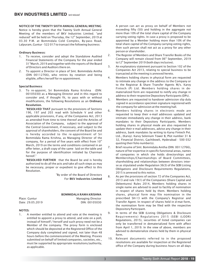#### NOTICE OF THE TWENTY SIXTH ANNUAL GENERAL MEETING

Notice is hereby given that the Twenty Sixth Annual General Meeting of the members of BKV Industries Limited. "and reduced" will be held on Thursday, the  $12<sup>th</sup>$  September, 2019 at 03.30 P.M. at Bommidala Cold Complex, By-pass Road, Lalpuram, Guntur - 522 017 to transact the following business:

#### Ordinary Business:

- 1. To receive, consider and adopt the Standalone Audited Financial Statements of the Company for the year ended<br>31 March, 2019 and together with the reports of the Board of Directors and Auditors there on.
- 2. To appoint a Director in place of Smt. Bommidala Anitha (DIN 00112766), who retires by rotation and being eligible, offers herself for re-appointment.

#### Special Business:

3. To re-appoint, Sri Bommidala Rama Krishna (DIN: 00105030) as a Managing Director and in this regard to consider and, if thought fit, to pass with or without modifications, the following Resolutions as an Ordinary Resolution.

"RESOLVED THAT pursuant to the provisions of Sections 196, 197 and 203 read with Schedule V and other applicable provisions, if any, of the Companies Act, 2013 as amended from time to time thereof and the Articles of Association of the Company, subject to the approval of the Central Government, if necessary, and subject to the approval of shareholders, the consent of the Board be and is hereby accorded to the re-appointment of Sri Bommidala Rama Krishna, as Managing Director of the company, for a period of five years with effect from 10<sup>th</sup> March, 2019 on the terms and conditions contained in an offer letter, a draft copy of the same laid on the table and for the purpose of identification initialed by Chairman hereof."

"RESOLVED FURTHER that the Board be and is hereby authorized to do all the acts and take all such steps as may be necessary, proper or expedient to give effect to this Resolution.

> "By order of the Board of Directors For BKV Industries Limited

#### BOMMIDALA RAMA KRISHNA

**Managing Director** DIN: 00105030

| Place: Guntur    |  |  |  |
|------------------|--|--|--|
| Date: 29.05.2019 |  |  |  |

#### NOTES:

1. A member entitled to attend and vote at the meeting is entitled to appoint a proxy to attend, and vote on a poll, instead of himself / herself and such proxy need not be a Member of the company. The proxy form is enclosed which should be deposited at the Registered Office of the Company duly completed and signed, not later than 48 hours before the commencement of the Meeting. Proxies submitted on behalf of limited companies, societies, etc., must be supported by appropriate resolutions/authority, as applicable.

 A person can act as proxy on behalf of Members not exceeding fifty (50) and holding in the aggregate not more than 10% of the total share capital of the Company carrying voting rights. In case a proxy is proposed to be appointed by a Member holding more than 10% of the total share capital of the Company carrying voting rights, then such person shall not act as a proxy for any other person or shareholder.

- 2. The Register of Members and Share Transfer Books of the Company will remain closed from 06<sup>th</sup> September, 2019 to12<sup>th</sup> September 2019 (both days inclusive).
- 3. An explanatory statement pursuant to Section 102 of the Companies Act 2013, relating to special business to be transacted at the meeting is annexed hereto.
- 4. Members holding shares in physical form are requested to intimate any change in the address to the Company or to the Registrar & Share Transfer Agents M/s. Karvy Fintech (P) Ltd. Members holding shares in dematerialized form are requested to notify any change in address to their respective Depository Participants (DPs).
- 5. Members are requested to handover admission slip duly signed in accordance specimen signature registered with the company for admission at the meeting hall.
- 6. Members holding shares in electronic mode are requested to keep their e-mail addresses updated and intimate immediately any change in their address, bank mandates to their Depository Participants. Members holding shares in physical mode are also requested to update their e-mail addresses, advise any change in their address, bank mandates by writing to Karvy Fintech Pvt. Ltd., (Karvy). Karvy Selenium Tower B, Plot number 31 & 32, Financial District, Gachibowli, Hyderabad - 500 032 quoting their folio number(s).
- 7. Brief resume of Smt. Bommidala Anitha (DIN: 00112766), nature of her expertise in specific functional areas, names of companies in which she holds directorships and Memberships/Chairmanships of Board Committees, shareholding and relationships between directors interse as stipulated under Regulation 36(3) of the SEBI Listing Obligations and Disclosure Requirements Regulations, 2015 is annexed to this notice.
- 8. As per the provisions of section 72 of the Companies Act, 2013 and rule 19(1) of the Companies (Share Capital and Debentures) Rules 2014, Members holding shares in single name are advised to avail to facility of nomination in respect of shares held by them. Members holding shares, physical form may file nomination in the prescribed SH-13 with the Company's Registrar and Transfer Agent. In respect of shares held in d-mat form, the nomination form may be filed with the respective Depository Participant.
- 9. In terms of the SEBI (Listing Obligations & Disclosure Requirements) Regulations 2015 (SEBI (LODR) Regulations, 2015), securities of listed companies can only be transferred in dematerialized form with affect from April 1, 2019. In the view of above, members are advised to dematerialize shares held by them in physical form.
- 10. Relevant documents referred to in the proposed resolutions are available for inspection at the Registered office of the Company during business hours on all days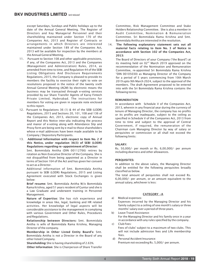except Saturdays, Sundays and Public holidays up to the date of the Annual General Meeting. The Register of Directors and Key Managerial Personnel and their shareholding maintained under Section 170 of the Companies Act, 2013 and Register of Contracts or arrangements in which Directors are interested maintained under Section 189 of the Companies Act, 2013 will be available for inspection by the members at the Annual General Meeting.

- 11. Pursuant to Section 108 and other applicable provisions, if any, of the Companies Act, 2013 and the Companies (Management and Administration) Rules, 2014, as amended from time to time, and Regulation 44 of the SEBI Listing Obligations And Disclosure Requirements Regulations, 2015, the Company is pleased to provide its members the facility to exercise their right to vote on resolutions proposed in the notice of the twenty sixth Annual General Meeting (AGM) by electronic means the business may be transacted through e-voting services provided by our Share Transfer Agents of Karvy Fintech Private Limited, Hyderabad. The instructions for members for voting are given in separate note enclosed to this report.
- 12. Pursuant to Regulations 36 (1) & 44 of the SEBI (LODR) Regulations, 2015 and Sections 20, 101, 108 and 136 of the Companies Act, 2013, electronic copy of Annual Report and this Notice inter-alia indicating the process and manor of e-voting along with Attendance Slip and Proxy form are being sent by e-mail to those shareholders whose e-mail addresses have been made available to be Company / Depository Participants.
- 13. Additional Information with respect to Item No. 2 if this Notice, under regulation 36(3) of SEBI (LODR) Regulations regarding re-appointment of Director:

Smt. Bommidala Anitha (DIN 00112766) retires by rotation as Non-Executive Director of the Company. She is not disqualified from being appointed as a Director in terms of Section 164 of the Act and has given her consent to act as a Director.

Additional information of Smt. Bommidala Anitha pursuant to SEBI (LODR) Regulations, 2015 and Listing Agreement executed with Stock Exchanges is given below:

Brief resume: Smt. Bommidala Anitha W/o Bommidala Rama Krishna, aged 51 years resident of Guntur and she is a Law Graduate and underwent training in Personnel Management.

Nature of Expertise: She has rich experience and knowledge in areas like, legal, banking and HR related activities. Her knowledge of legal aspects will be considerable assistance to the management in complying with various Government and Other Rules, Procedures and Regulations.

Relationship between Directors: Smt. Bommidala Anitha is wife of Bommidala Rama Krishna, Managing Director of the company.

Membership in Other Listed Entity Board's: Smt. Bommidala Anitha is not a Director in the Board of any other listed Company.

 Shareholding: She is having shareholding of 2.63%. Other Information: She is Chairperson of Share Transfer Committee, Risk Management Committee and Stake Holders Relationship Committee. She is also a member in Audit Committee, Nomination & Remuneration Committee. Sri Bommidala Rama Krishna and Smt. Bommidala Anitha are interested in the resolution.

14. The following explanatory statement sets out all material facts relating to Item No. 3 of Notice in accordance with Section 102 of the Companies Act, 2013:

The Board of Directors of your Company ("the Board") at its meeting held on  $02<sup>nd</sup>$  March 2019 approved on the recommendation of the Nomination and Remuneration Committee, re-appointed Sri Bommidala Rama Krishna "DIN 00105030) as Managing Director of the Company for a period of 5 years commencing from 10th March 2019 upto 9th March 2024, subject to the approval of the members. The draft Agreement proposed to be entered into with the Sri Bommidala Rama Krishna contains the following terms:

#### REMUNERATION

In accordance with Schedule V of the Companies Act, 2013, wherein in any financial year during the currency of tenure of Managing Director, the company has no profits or its profits are inadequate, subject to the ceiling as specified in Schedule V of the Companies Act, 2013 from time to time and subject to the approval of Central Government, if required, the remuneration of the Chairman cum Managing Director by way of salary or perquisites or commission or all shall not exceed the following limits:

#### SALARY:

Rs. 50,000/- per month or Rs. 6,00,000/- per annum including dearness and other allowances.

#### PERQUISITES:

In addition to the above salary, the Managing Director shall be entitled for the following perquisites broadly classified as below.

The total amount of perquisites shall not exceed Rs. 6,00,000/- per annum, or an amount equivalent to the annual salary, whichever is less:

#### CATEGORY -A

a) Medical expenses:

Expenses incurred by the Managing Director and his family subject to a ceiling of one month's salary or three months' salary over a period of three years.

- b) Leave Travel Assistance: For the Managing Director and his family once in a year in accordance with any rules specified by the company.
- c) Club Fees: Fees of clubs' subject to a maximum of two clubs. This will not include admission fees and Life membership fees.
- d) Personal Accident Insurance: Premium not exceeding Rs. 5,000/- per annum.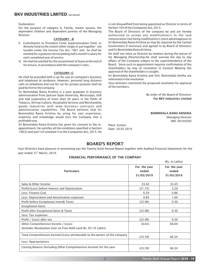Explanation:

For the purpose of category A, Family, means spouse, the dependent children and dependent parents of the Managing Director.

#### CATEGORY -B

- I) Contribution to Provident Fund, Superannuation fund, or Annuity fund to the extent either singly or put together not taxable under the Income Tax Act, 1961 and he shall be entitled for a gratuity not exceeding half a month's salary for each completed year of service.
- ii) He shall be entitled for the encashment of leave at the end of his tenure, in accordance with the company's rules.

#### CATEGORY-C

He shall be provided with a car for use on company's business and telephone at residence. However, personal long distance calls on telephone and use for car for private purpose shall be paid by him to the company.

Sri Bommidala Rama Krishna is a post graduate in business administration from Jackson State University, Mississippi, USA and had experience of more than 30 years in the fields of Tobacco, Shrimp Culture, Hospitality Services and Merchandise goods Industries with wide business contracts and administrative capabilities. The Board believes that Sri Bommidala Rama Krishna by using his vast experience, expertise and knowledge would turn the Company into a profitable one.

Sri Bommidala Rama Krishna has given his consent to the reappointment. He satisfies all the conditions specified in Section 196(3) and part I of schedule V to the Companies Act, 2013. He

is not disqualified from being appointed as Director in terms of Section 164 of the Companies Act, 2013.

The Board of Directors of the company be and are hereby authorized to accept any modification/s to the said remuneration (not being modification/s more advantageous) to Sri Bommidala Rama Krishna as may be required by the Central Government if necessary and agreed to by Board of Directors and Sri Bommidala Rama Krishna.

He shall not retire as Director by rotation during the tenure of his Managing Directorship.He shall oversee the day to day affairs of the Company subject to the superintendence of the Board. Since such re appointment requires confirmation of the shareholders by way of resolution in General Meeting the approval of the shareholders is sought.

Sri Bommidala Rama Krishna and Smt. Bommidala Anitha are interested in the resolution.

Your directors commend the proposed resolution for approval of the members.

> By order of the Board of Directors For BKV Industries Limited

BOMMIDALA RAMA KRISHNA Managing Director

DIN: 00105030

(Rs. In Lakhs)

Place: Guntur Date: 29.05.2019

# BOARD'S REPORT

Your Directors have pleasure in presenting you the Twenty Sixth Annual Report together with Audited Financial Statements for the year ended 31st March, 2019.

#### FINANCIAL PERFORMANCE OF THE COMPANY

| (RS. IN LAKNS)                                                                                       |                                     |                                     |  |
|------------------------------------------------------------------------------------------------------|-------------------------------------|-------------------------------------|--|
| <b>Particulars</b>                                                                                   | For the year<br>ended<br>31/03/2019 | For the year<br>ended<br>31/03/2018 |  |
| Sales & Other Income                                                                                 | 33.42                               | 33.45                               |  |
| Profit/(Loss) before interest and Depreciation                                                       | (21.72)                             | 2.20                                |  |
| Less: Finance Cost                                                                                   | 0.39                                | 0.86                                |  |
| Less: Depreciation and Amortisation expenses                                                         | 0.85                                | 1.04                                |  |
| Profit before Exceptional items& Taxes                                                               | (22.96)                             | 0.30                                |  |
| <b>Exceptional Items</b>                                                                             |                                     |                                     |  |
| Profit after Exceptional Items & Taxes                                                               | (22.96)                             | 0.30                                |  |
| Less: Tax expenses                                                                                   | $\overline{\phantom{a}}$            |                                     |  |
| Profit / (Loss) after tax                                                                            | (22.96)                             | 0.30                                |  |
| Other Comprehensive Income / (Loss)<br>(Includes Revaluation Gain on Free Hold Land Rs. 65.19 Lakhs) | (0.63)                              | 66.04                               |  |
| Total Comprehensive Income/(Loss) attributable to the owners of the company                          | (23.59)                             | 66.34                               |  |
| Less: Appropriations                                                                                 |                                     |                                     |  |
| Closing Balance (Including Other Comprehensive Income) for the year                                  | (23.59)                             | 66.34                               |  |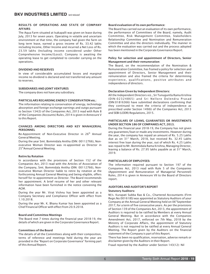#### RESULTS OF OPERATIONS AND STATE OF COMPANY AFFAIRS:

The Aqua Farm situated at Isakapalli was given on lease during July, 2013 for seven years. Operating in volatile and uncertain environment at that time, the company had given the farm on long term lease, earned a gross income of Rs. 33.42 lakhs including Income, Other Income and incurred a Net Loss of Rs. 23.59 lakhs (Including income considered under Other Comprehensive Income/(Loss)). Company is awaiting the operating lease to get completed to consider carrying on the operations.

#### DIVIDEND AND RESERVES

In view of considerable accumulated losses and marginal income no dividend is declared and not transferred any amount to reserves.

#### SUBSIDIARIES AND JOINT VENTURES

The company does not have any subsidiary.

#### PARTICULARS REGARDING ENERGY CONSERVATION etc.:

The information relating to conservation of energy, technology absorption and foreign exchange earnings and outgo pursuant to Section 134(3) of the Companies Act, 2013 read with Rule 8 of the Companies (Accounts) Rules, 2014 is given in Annexure V to this Report.

#### CHANGES AMONG DIRECTORS AND KEY MANAGERIAL **PERSONNEL**

Re-Appointment of Non-Executive Director in 26<sup>th</sup> Annual General Meeting.

During the year Smt. Bommidala Anitha (DIN: 00112766), Nonexecutive Woman Director was re-appointed as Director in 25<sup>th</sup> Annual General Meeting.

#### Retire by Rotation

In accordance with the provisions of Section 152 of the Companies Act, 2013 read with the Articles of Association of the Company, Smt. Bommidala Anitha (DIN: 00112766), Nonexecutive Woman Director liable to retire by rotation at the forthcoming Annual General Meeting and being eligible, offers herself for re-appointment as Director. The Board recommends her appointment. A brief resume of her and other relevant information have been furnished in the notice convening the AGM.

During the year Mr. Virat Vishnu has been appointed as a Company Secretary and Compliance Officer with effect from 1.10.2018.

During the year Mr. K. Bhanu Kumar has been appointed as a Chief Financial Officer with effect from 20.9.2018.

#### Board and Committee Meetings

The Board met 7 times during the financial year 2018-19, the details of which are given in the Corporate Governance Report.

#### Committees of the Board

The details of all the Committees along with their composition, terms of reference and meetings held during the year are provided in the "Report on Corporate Governance" forming part of this Annual Report.

#### Board evaluation of its own performance:

The Board has carried out an evaluation of its own performance, the performance of Committees of the Board, namely, Audit Committee, Risk Management Committee, Stakeholders Relationship Committee and Nomination and Remuneration Committee and also the directors individually. The manner in which the evaluation was carried out and the process adopted has been mentioned in the Corporate Governance Report.

#### Policy for selection and appointment of Directors, Senior Management and their remuneration:

The Board, on the recommendation of the Nomination & Remuneration Committee, has framed a policy for selection and appointment of Directors, Senior Management and their remuneration and also framed the criteria for determining experience, qualifications, positive attributes and independence of directors.

#### Declaration Given by Independent Directors:

All the Independent Directors viz., Sri Tunuguntla Rama Krishna (DIN:02324865) and Sri Nellore Dolendra Prasad (DIN:01816366) have submitted declarations confirming that they continued to meet the criteria of independence as prescribed under Section 149(6) of the Companies Act, 2013 and SEBI (LODR) Regulations, 2015.

#### PARTICULARS OF LOANS, GUARANTEES OR INVESTMENTS UNDER SECTION 186 OF COMPANIES ACT, 2013.

During the financial year 2018-19, the Company has not given any guarantees/loan or made any investments. However during the year, the company has repaid an amount of Rs. 5.25 Lakhs<br>due as on 31<sup>st</sup> March, 2018, but received Rs. 32.45 Lakhs interest free loan during the year, out of which Rs. 4.25 Lakhs was repaid to Mr. Bommidala Rama Krishna, Managing Director, leaving a balance of Rs. 27.95 lakhs payable as at 31<sup>st</sup> March, 2019.

#### PARTICULARS OF EMPLOYEES:

The information required pursuant to Section 197 of the Companies Act, 2013 read with Rule 5 of the Companies (Appointment and Remuneration of Managerial Personnel) Rules, 2014 is given in Annexure VII to the Board of Directors report

#### AUDITORS AND AUDITOR'S REPORT

#### Statutory Auditors:

M/s. Kurapati Subba Rao & Co., Chartered Accountants (Firm Regn.No:001618S) was appointed as Statutory Auditors of your<br>Company at the Annual General Meeting held on 06"September 2017, for a term of five consecutive years. As per the provisions of Section 139 of the Companies Act, 2013, the appointment of Auditors is required to be ratified by Members at every Annual General Meeting. But in accordance with the Companies Amendment Act, 2017, enforced on 7th May, 2018 by the Ministry of Corporate Affairs, the appointment of Statutory Auditors is not required to be ratified at every Annual General Meeting. The Report given by the Auditors on the financial statement of the Company is part of this Report.

There has been no qualification, reservation, adverse remark or disclaimer given by the Auditors in their Report.

Fraud reported by the Auditor under Section 143(12): Nil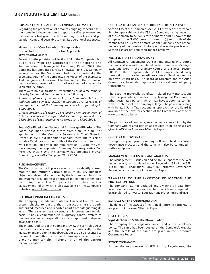#### EXPLANATION FOR AUDITORS EMPHASIS OF MATTER:

Regarding the preparation of accounts ongoing concern basis, the notes in Independent audit report is self-explanatory and the company had given the farm on long term lease and got steady income and been able to meet its operational expenses.

| <b>SECRETARIAL AUDIT:</b>                    |                  |
|----------------------------------------------|------------------|
| Cost of Audit                                | - Not Applicable |
| Maintenance of Cost Records - Not Applicable |                  |

Pursuant to the provisions of Section 204 of the Companies Act, 2013 read with the Companies (Appointment and Remuneration of Managerial Personnel) Rules, 2014, the Company has appointed M/s K. Srinivasa Rao & Co, Company Secretaries, as the Secretarial Auditors to undertake the Secretarial Audit of the Company. The Report of the Secretarial Audit is given in Annexure-III to this Report. There were no qualifications, reservations or adverse remarks given by Secretarial Auditor.

There were no qualifications, reservations or adverse remarks given by Secretarial Auditors except the following:

*1. Noncompliance of section 203 of the Companies Act, 2013 and regulation 6 of SEBI (LODR) Regulations 2015, in respect of non-appointment of the Company Secretary for a period up to 30.09.2018.*

*2. Noncompliance of section 203 regarding non-appointment of CFO by the board with in a period of six months from the date i.e 25.01.2016 of such vacancy for a period up to 19.09.2018.*

Board Clarification on Secretarial Auditor qualifications: The Board has made utmost effort from time to time, for appointment of the Company Secretary & Chief Financial Officer, as KMPs but not able to appoint them due to lack of suitable Candidates to the profile of the Company in terms of work location, job profile and remuneration . During the year the company has appointed *Company Secretary with effect from 01.10.2018 and* the company has appointed *a chief financial officer with effect from 20.09.2018.*

#### RISK MANAGEMENT:

The Company has put in place a mechanism to identify, assess, monitor and mitigate various risks to its key business objectives. Major risks identified by the business and functions are systematically addressed through mitigating actions on a continuing basis. The Company has formulated a Risk Management Policy which is also available on the Company's website at www.bkvindustries.in

#### INTERNAL FINANCIAL CONTROLS:

The Company has adequate Internal Financial Controls with proper checks to ensure that transactions are properly authorized, recorded and reported apart from safeguarding its assets. These systems are reviewed and improved on a regular basis. It has a comprehensive budgetary control system to monitor revenue and expenditure against approved budget on an ongoing basis.

The internal auditors of the Company review the controls across the key processes and submits reports periodically to the Management and significant observations are also presented to the Audit Committee for review. Follow up mechanism is in place to monitor the implementation of the various recommendations.

#### CORPORATE SOCIAL RESPONSIBILITY (CSR) INITIATIVES:

Section 135 of the Companies Act, 2013 provides the threshold limit for applicability of the CSR to a Company i.e. (a) net worth of the Company to be '500 crore or more; or (b) turnover of the company to be '1,000 crore or more; or (c) net profit of the company to be '5 crore or more. As the Company does not fall under any of the threshold limits given above, the provisions of Section 135 are not applicable to the Company.

#### RELATED PARTY TRANSACTIONS

All contracts/arrangements/transactions entered into during the financial year with the related parties were on arm's length basis and were in the ordinary course of business. Section 188(1) of the Companies Act, 2013 exempts related party transactions that are in the ordinary course of business and are on arm's length basis. The Board of Directors and the Audit Committee have also approved the said related party transactions.

There are no materially significant related party transactions with the promoters, Directors, Key Managerial Personnel or other designated persons which may have a potential conflict with the interest of the Company at large. The policy on dealing with Related Party Transactions as approved by the Board is available at the investors section of the Company's website at www.bkvindustries.in

The particulars of contracts/arrangements entered into by the Company with related parties as required to be disclosed are given in AOC-2 as Annexure IV to this Report.

#### CORPORATE GOVERNANCE:

During the year your company followed best corporate governance practices and the same will also be continued in forthcoming years.

#### MANAGEMENT DISCUSSION AND ANALYSIS:

The Management Discussion and Analysis Report for the year under review, as stipulated under Regulation 34 of the SEBI (LODR) 2015, Regulations, given in Corporate Governance Report, which is the part of this Annual Report.

#### TRANSFER TO THE INVESTOR EDUCATION AND PROTECTION FUND:

The company has not declared any dividend till date from inception therefore there were no funds which were required to be transferred to Investor Education and Protection Fund (IEPF).

#### EXTRACT OF THE ANNUAL RETURN

The details of the extract of the Annual Return in Form MGT-9 are given in Annexure- VI to this Report.

#### DISCLOSURES:

#### Vigil Mechanism & Whistle Blower Policy

The Company has a vigil mechanism and a whistle blower policy. The same has been posted on the Company's website and the details of the same are given in the Corporate Governance Report.

#### STOCK EXCHANGES:

As per the requirement of SEBI Listing Regulations, the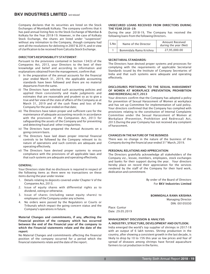Company declares that its securities are listed on the Stock Exchanges of Mumbai& Kolkata. The company confirms that it has paid annual listing fees to the Stock Exchange of Mumbai & Kolkata for the Year 2018-19. However, in the case of Kolkata Stock Exchange, the shares are listed under "suspension" without any intimation to the Company, though company had sent all the resolutions for delisting in 2007 & 2014, and in view of clarification to be received from Calcutta Stock Exchange.

#### DIRECTOR'S RESPONSIBILITY STATEMENT:

Pursuant to the provisions contained in Section 134(3) of the Companies Act, 2013, your Directors to the best of their knowledge and belief and according to information and explanations obtained from the management, confirm that:

- i) In the preparation of the annual accounts for the financial year ended March 31, 2019, the applicable accounting standards have been followed and there are no material departures from the same.
- ii) The Directors have selected such accounting policies and applied them consistently and made judgments and estimates that are reasonable and prudent so as to give a true and fair view of the state of affairs of the Company as at March 31, 2019 and of the cash flows and loss of the Company for the year ended on that date;
- iii) The Directors have taken proper and sufficient care for the maintenance of adequate accounting records in accordance with the provisions of the Companies Act, 2013 for safeguarding the assets of the Company and for preventing and detecting fraud and other irregularities;
- iv) The Directors have prepared the Annual Accounts on a going concern basis.
- v) The Directors have laid down proper internal financial controls to be followed by the Company relevant to its nature of operations and such controls are adequate and operating effectively.
- vi) The Directors have devised proper systems to ensure compliance with the provisions of all applicable laws and that such systems are adequate and operating effectively.

#### GENERAL:

Your Directors state that no disclosure is required in respect of the following items as there were no transactions on these items during the year under review:

- 1. Details relating to deposits covered under Chapter V of the Companies Act, 2013.
- 2. Issue of equity shares with differential rights as to dividend, voting or otherwise.
- 3. Issue of shares (including sweat equity shares) to employees of the Company under any scheme.
- 4. No orders were passed by the Regulators or Courts or Tribunals which impact the going concern status and the Company's operations in future.

#### Material Changes and commitments, if any, a**ff**ecting the Financial position of the company which has occurred between the end of the Financial year of the company to which the Financial statements relate and the date of the report:

No Material Changes and commitments affecting the financial position of the company occurred for a period which the financial statements relate and the date of the report.

#### UNSECURED LOANS RECEIVED FROM DIRECTORS DURING THE YEAR 2018-19:

During the year 2018-19, The Company has received the following loans from the following Directors.

| S.No | Name of the Director   | <b>Amount Received</b><br>during the year (Net) |  |
|------|------------------------|-------------------------------------------------|--|
|      | Bommidala Rama Krishna | 27,95,000.00                                    |  |

#### SECRETARIAL STANDARDS:

The Directors have devised proper systems and processes for complying with the requirements of applicable Secretarial Standards issued by the Institute of Company Secretaries of India and that such systems were adequate and operating effectively.

#### DISCLOSURES PERTAINING TO THE SEXUAL HARASSMENT OF WOMEN AT WORKPLACE (PREVENTION, PROHIBITION AND REDRESSAL) ACT, 2013

Your directors confirm that the Company has adopted a policy for prevention of Sexual Harassment of Women at workplace and has set up Committee for implementation of said policy. Your directors confirmed that the Company has complied with provisions relating to the constitution of Internal Complaints Committee under the Sexual Harassment of Women at Workplace (Prevention, Prohibition and Redressal) Act, 2013.During the year Company has not received any complaint of harassment.

#### CHANGES IN THE NATURE OF THE BUSINESS

There was no change in the nature of the business of the Company during the financial year ended 31<sup>st</sup> March, 2019.

#### PERSONAL RELATIONS AND APPRECIATION:

The Directors gratefully acknowledge all stakeholders of the Company viz., lessee, members, employees, stock exchanges and banks for their support during the year. Your directors hereby place on record their appreciation for the services rendered by the staff of the Company for their hard work, dedication and commitment.

> By order of the Board of Directors For BKV Industries Limited

BOMMIDALA RAMA KRISHNA

 Managing Director DIN: 00105030

Place: Guntur Date: 29.05.2019

#### MANAGEMENT DISCUSSION & ANALYSIS

#### A. INDUSTRY, STRUCTURE, DEVELOPMENT AND OUTLOOK:

India emerged the world's top supplier of shrimps in 2017-18 with an output of 6 lakh tonnes. Shrimp production in the country, after showing a consistent growth in the last decade, is likely to drop by 10 to 15% this year as low prices and fear of spread of diseases among shrimps have forced aquaculture farmers to cut production in the farms.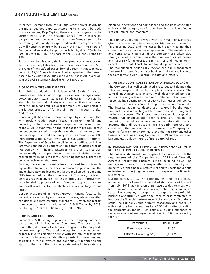At present, demand from the US, the largest buyer, is driving the Indian seafood exports. According to a report by trade finance company Drip Capital, there are mixed signals for the shrimp exports in the seasons ahead. While increased competition and decreased demand from Europe seem to be depressing sales, analysts expect Indian shrimp exports to the US will continue to grow by 15-20% this year. The share of Europe in Indian seafood exports has fallen by about 20% in the last 10 years to 16%. The share of the US currently stands at 33%.

Farms in Andhra Pradesh, the largest producer, start stocking activity by January-February. Frozen shrimps account for 70% of the value of the seafood export from the country that touched a record Rs 45,000 crore last year. The first quarter of the current fiscal saw a 7% rise in volumes and over 8% rise in value year-onyear at 299,354 tonnes valued at Rs 10,888 crore.

#### B. OPPORTUNITIES AND THREATS

Farm shrimp production in India is set to fall 15% this fiscal year, farmers and traders said, citing the extensive damage caused by cyclonic storm Gaja that hit Tamil Nadu earlier. They said the storm hit the seafood industry at a time when it was recovering from the impact of a fall in global shrimp prices. . Tamil Nadu is the largest producer of farmed shrimps in the country after Andhra Pradesh.

Continuing US ban on wild shrimps caught by vessels not fitted with turtle excluder device (TED), insufficient rainfall and depleting catches have hit seafood exporters on the west coast of India. While exporters on the east coast are predominantly dependent on farmed shrimp, those on the west coast rely more on sea-caught fish. India annually exports around Rs 45,000 crore worth seafood, majority of which is aquaculture shrimps. The Department of State in the US issued a notification in May last year banning wild caught shrimps from countries that do not comply with fishing practices to protect sea turtles. Subsequently, an expert team from the US visited several coastal states in India to assess the fishing methods. There has been no decision on the ban yet.

Further, the seafood industry feels the need for sustainable aquaculture to counter setbacks and increase production. The aquaculture farmers lost money last year when white spot and EHP diseases reduced the shrimp output. This year, the fear of diseases has led many to stock less in farms. Little improvement in global shrimp prices and lack of funding support to farmers are the other reasons for the reluctance of farmers to go for full output.

Despite presence of numerous growth inducing factors, the market is restrained by outbreak of diseases, adverse weather conditions and infrastructure challenges. Further, the market is expected to reach a volume of 1.1 Mill Tonns by 2023, exhibiting a CAGR of 10.3% during the 2018-2023.

#### C. RISKS AND CONCERNS:

Pursuant to SEBI Listing Regulations, the Company had since constituted a Risk Management Committee. The details of the Committee, its terms of reference are given in the corporate governance report. The methodology for risk management primarily involves mapping of risks with strategy, assessing the risks on its importance, identifying de-risking measures and assigning it to risk owners and continuously monitoring the status of the risks. The risks were categorized into strategy &

planning, operations and compliance and the risks associated with each risk category was further classified and identified as 'critical', 'major' and 'moderate'.

The company does not foresee any critical / major risk, as it had given its farm on long term lease, expiring only at the end of first quarter, 2020 and the lessee had been meeting their commitments as per the lease agreement. The maintenance and compliance expenses of the company are taken care through the lease income, hence, the company does not foresee any major risk for its operations in the short and medium term, except in the event of costs for additional regulatory measures.

The management periodically reviews the risk management framework to identify the major business risks as applicable to the Company and works out their mitigation strategy.

#### D. INTERNAL CONTROL SYSTEMS AND THEIR ADEQUACY:

The Company has well-established processes and defined the roles and responsibilities for people at various levels. The control mechanism also involves well documented policies, authorization guidelines commensurate with the level of responsibility specific to the respective businesses. Adherence to these processes is ensured through frequent internal audits. The internal audits conducted are reviewed by the Audit Committee and requisite guidelines and procedures augment the internal controls. The internal control system is designed to ensure that financial and other records are reliable for preparing financial statements and other information which ensures that all transactions are properly reported and classified in the financial records. However, the Company had given its farm on long term lease and did not carry any other business operations during the year 2018-19 and the lease will be completed only by the end of first quarter of 2020.

#### E. DISCUSSION ON FINANCIAL PERFORMANCE WITH RESPECT TO OPERATIONAL PERFORMANCE:

The financial statements are prepared in compliance with the requirements of the Companies Act, 2013 and Generally Accepted Accounting Principles in India including Ind AS. The management accepts the responsibility of integrity and objectivity of the financial statements and the basis for various estimates and the judgments used in preparing the financial statements.

During March, 2013, the company entered into a lease agreement of its Farm for a period of 84 months with effect from July, 2013, as the promoters have decided to meet with lease income, the fixed expenses and statutory compliance costs. The company is proposing to explore the profitable business opportunities, when the lease term is completed to improve the financial performance of the company. With these steps, the company could perform reasonably and ended up with a net loss from operations Rs. 22.96 Lakhs after providing the depreciation for Rs. 0.85 Lakhs, excluding expenses of remeasurement of employee benefits of Rs. 0.63 lakhs during the year.

| <b>Particulars</b>     | Rs. In Lakhs |
|------------------------|--------------|
| Farm Lease Income      | 32.67        |
| EBIDTA (Excluding OCI) | (21.72)      |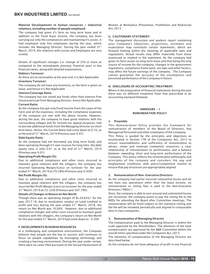#### Material Developments in human resources / industrial relations, including number of people employed:

The company had given it's farm on long term lease and in addition to the fixed lease income, the company has been carrying out only the compliances and maintaining it's assets. It had employed only five employees during the year, which includes the Managing Director. During the year ended  $31<sup>st</sup>$ March, 2019, the relations with Lessee and Employees are very cordial.

Details of significant changes (i.e. change of 25% or more as compared to the immediately previous financial year) in key financial ratios, along with detailed explanations.

#### Debtors Turnover:

As there are no receivables at the year end, it is Not Applicable.

#### Inventory Turnover:

The company do not have any Inventory, as the farm is given on lease, and hence it is Not Applicable

#### Interest Coverage Ratio:

The company has not raised any funds other than Interest Free Unsecured Loan from Managing Director, hence Not Applicable.

#### Current Ratio:

As the company has got only fixed income from the Lease of the Farm and all the expenses, including the compliance expenses of the company are met with the above income. However, during the year, the company to have good relations with the surrounding villages and for income tax appeal purposes, had to borrow additional funds from the Managing Director on short term basis. Hence, the Current Ratio had come down to 0.16, as at the end of 31<sup>st</sup> March, 2019 (Previous year 0.07).

#### Debt Equity Ratio:

As the company had not borrowed any long term funds and been operating through it's own sources for long time, the debt equity ratio is only 0.01 as at the end of 31<sup>st</sup> March, 2019 (Previous year 0.01).

#### Operating Profit Margin (%):

Due to additional compliance and other costs incurred to maintain good relations with the villagers, the company has incurred Operating Margin/(Loss) on turnover for the year ended 31<sup>st</sup> March, 2019 at (70.28%) (Previous year 0.93%).

#### Net Profit Margin (%):

Due to additional compliance and other costs incurred to maintain good relations with the villagers, the company has incurred Net Profit Margin (Loss) on turnover for the year ended<br>31<sup>st</sup> March, 2019 at (72.22%) (Previous year 207.79%).

#### Details of Changes in Return on Net Worth:

Though there was an operating margin of Rs.29,643/- for the year 2017-18, due to revaluation surplus on Land credited to profit and loss during the year ended  $31<sup>st</sup>$  March, 2018, the return on Net Worth was 16.66%. However, due to additional compliance charges and other costs incurred to maintain good relations with the villagers, the company's return on Net Worth for the year ended 31<sup>st</sup> March, 2019 had come down to – 6.30%

#### F. DEVELOPMENTS IN HUMAN RESOURCES:

In a challenging and competitive environment, the Company believes that people are the key to success and continues to focus on people capabilities by leveraging technology and creating a learning environment. During the year under review, there were no cases filed pursuant to the Sexual Harassment of Women at Workplace (Prevention, Prohibition and Redressal) Act, 2013.

#### G. CAUTIONARY STATEMENT:

The management discussion and analysis report containing your Company's objectives, projections, estimates and expectation may constitute certain statements, which are forward looking within the meaning of applicable laws and regulations. Actual results may differ materially from those expressed or implied in the statement. As the company had given its farm assets on long term lease and that being the only source of income for the company, changes in the government regulations, compliance frame work, tax laws and other factors, may affect the future earnings of the company. The Company cannot guarantee the accuracy of the assumptions and perceived performance of the Company in future.

#### H. DISCLOSURE OF ACCOUNTING TREATMENT:

Where in the preparation of financial statements during the year there was no different treatment from that prescribed in an accounting standard followed.

#### ANNEXURE - I REMUNERATION POLICY

#### 1. Preamble

This Remuneration Policy provides the framework for remuneration of members of the Board of Directors, Key Managerial Personnel and other employees of the Company.

This Policy is guided by the principles and objectives as enumerated in Section 178 of the Companies Act, 2013 to ensure reasonableness and sufficiency of remuneration to attract, retain and motivate competent resources, a clear relationship of remuneration to performance and a balance between rewarding short and long-term performance of the Company. This policy reflects the remuneration philosophy and principles of the company and considers the pay and employment conditions with peers/competitive market to ensure that pay structures are appropriately aligned.

#### 2. Remuneration of Non-Executive Directors

As the company had earlier incurred substantial losses and do not have any operations other than the lease Income, no remuneration or sitting fees is paid to the Non-Executive Directors ("NEDs").

Once, the company is able to turn around and substantial losses are recovered, the company wants to pay the sitting fee to the NEDs for attending the Board after Committee meetings. The remuneration will be fixed subject to the statutory ceiling and the fee will be reviewed periodically and aligned to comparable best in class companies.

#### 3. Remuneration of Managing Director

The compensation paid to the Managing Director is within the scale approved by the Shareholders. The elements of the total compensation are approved by the N&R Committee within the overall limits specified under the Companies Act, 2013.

The elements of compensation of the Managing Director are described below:

As the company do not have adequacy of profit in any financial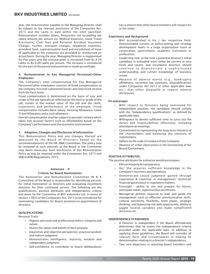year, the remuneration payable to the Managing Director shall be subject to the relevant provisions of the Companies Act, 2013 and the same is paid within the limit specified. Remuneration includes Salary, Perquisites not exceeding the salary amount per annum viz. Medical Expenses, Leave Travel Assistance, Club Fees and Personal Accident Insurance Charges. Further, transport charges, telephone expenses, provident fund, superannuation fund and encashment of leave (if applicable to the company) are provided or reimbursed on actual basis. During the year, Managing Director is reappointed for five years and the remuneration is increased from Rs.4.20 Lakhs to Rs.6.00 Lakhs per annum. The increase is considered for the part of the period and provision is made accordingly.

#### 4. Remuneration to Key Managerial Personnel/Other Employees

The Company's total compensation for Key Managerial Personnel/other employees consists of fixed compensation as the company incurred substantial losses and only fixed income from the farm lease.

Fixed compensation is determined on the basis of size and scope of the job typically as reflected by the level or grade of the job, trends in the market value of the job and the skills, experience and performance of the employee. Fixed compensation includes Basic Salary, Housing Allowance, Leave Travel Allowance and a cash allowance.

Overall compensation shall be subject to periodic reviews which takes into account factors such as affordability based on the Company's performance and the economic environment.

#### 5. Adoption, Changes and Disclosure of Information

This Remuneration Policy and any changes thereof are approved by the Board of Directors based on the recommendation(s) of the HR, N&R Committee. The policy may be reviewed at such intervals as the Board or the Committee may deem necessary. Such disclosures of this Remuneration Policy as may be required under the Companies Act, 2013 and SEBI (LODR) Regulations, 2015.

# Annexure - II

#### Criteria for Board Nominations

The Nomination and Remuneration Committee (N & R Committee) of the Board is responsible for identifying persons for initial nomination as directors and evaluating incumbent directors for their continued service. The following are the qualifications, positive attributes and independence criteria laid down by the Committee of BKV Industries Ltd. in terms of section 178(3) of the Companies Act, 2013 to be considered for nominating candidates for Board positions/re-appointment of directors.

#### QUALIFICATIONS:

Personal Traits

- Highest personal and professional ethics, integrity and values
- Shares the values and beliefs of the Company.
- Inquisitive and objective perspective, practical wisdom and mature judgment
- Demonstrates intelligence, maturity, wisdom and independent judgment
- Self-confidence to contribute to board deliberations

has a stature that other board members will respect his or her views.

#### Experience and Background

- Well accomplished in his / her respective field. Demonstrated success at policy-setting and strategy development levels in a large organization (such as corporation, government, academic institution or profession).
- Leadership role- at the time a potential director's initial candidacy is evaluated must either be current or very fresh and recent, and incumbent directors should continue to demonstrate a sophisticated understanding and current knowledge of business issues.
- Absence of adverse events (e.g., bankruptcy affiliations, securities law sanctions, disqualifications under Companies Act 2013 or other applicable laws etc.) that either disqualify or require adverse disclosures.

#### Fit and proper

- With respect to Directors being nominated for Independent position, the candidate should comply with the "Independence qualifications" as defined by applicable laws.
- Willingness to devote sufficient time to carry out the duties and responsibilities effectively, including attendance at meetings.
- Commitment to representing the long-term interests of the shareholders and balancing the interests of stakeholders.
- Adhere to the code of conduct of the Company.
- Absence of unfair obstruction in the functioning of the Board/Committees.

#### POSITIVE ATTRIBUTES:

The positive attributes for a director would encompass:

- **Ethical Integrity & transparency.**
- He/ She acquires sufficient knowledge in the Company's business and operations.
- Demonstrate sound judgment gained through experience & expertise in management/ technical/ financial governance or regulatory matters.
- Foresight ability to see and prepare for future, anticipate needs, opportunities and threats.
- Managerial abilities required to lead and guide the management such as effective communication skills, cultural sensitivity, flexibility, team player, strategic thinking, and balancing risk with opportunity, ability to juggle several variables and make complicated decisions etc.

#### INDEPENDENCE STANDARDS:

- A Director is independent if the Board affirmatively determines that he meets the Independence criteria provided under the applicable laws. In addition to applying these guidelines, the Board will consider all relevant facts and circumstances in making its determination relating to a director's independence.
- Two core objectives in selecting board members and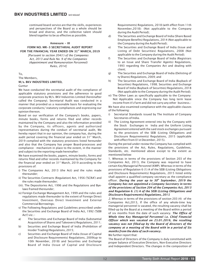continued board service are that the skills, experiences and perspectives of the Board as a whole should be broad and diverse, and the collective talent should blend together to be as effective as possible.

#### Annexure - III

#### FORM NO. MR-3 SECRETARIAL AUDIT REPORT FOR THE FINANCIAL YEAR ENDED ON 31<sup>ST</sup> MARCH, 2019

*[Pursuant to section 204(1) of the Companies Act, 2013 and Rule No. 9 of the Companies (Appointment and Remuneration Personnel) Rules, 2014]*

#### To,

The Members,

#### M/s. BKV INDUSTRIES LIMITED,

#### Guntur

We have conducted the secretarial audit of the compliance of applicable statutory provisions and the adherence to good corporate practices by M/s. BKV Industries Limited (hereinafter called the Company). Secretarial Audit was conducted in a manner that provided us a reasonable basis for evaluating the corporate conducts/ statutory compliances and expressing our opinion thereon.

Based on our verification of the Company's books, papers, minute books, forms and returns filed and other records maintained by the Company and also the information provided by the Company, its officers, agents and authorized representatives during the conduct of secretarial audit, We hereby report that in our opinion, the company has, during the audit period covering the financial year ended on 31<sup>st</sup> March, 2019 complied with the statutory provisions listed hereunder and also that the Company has proper Board-processes and compliance - mechanism in place to the extent, in the manner and subject to the reporting made hereinafter:

We have examined the books, papers, minute books, forms and returns filed and other records maintained by the Company for the financial year ended on  $31<sup>st</sup>$  March, 2019 according to the provisions of:

- i) The Companies Act, 2013 (the Act) and the rules made thereunder;
- ii) The Securities Contracts (Regulation) Act, 1956 ('SCRA') and the rules made thereunder;
- (iii). The Depositories Act, 1996 and the Regulations and Byelaws framed thereunder;
- iv) Foreign Exchange Management Act, 1999 and the rules and regulations made thereunder to the extent of Foreign Direct Investment, Overseas Direct Investment and External Commercial Borrowings;
- v) The Following Regulations and Guidelines prescribed under the Securities and Exchange Board of India Act, 1992 ('SEBI Act') viz.:-
- a) The Securities and Exchange Board of India (Substantial Acquisition of Shares and Takeovers) Regulations, 2011;
- b) Securities and Exchange Board of India (Prohibition of Insider Trading) Regulations, 2015;
- c) Securities and Exchange Board of India (Issue of Capital and Disclosure Requirements) Regulations, 2009(up to 10th November, 2018) and Securities and Exchange Board of India (Issue of Capital and Disclosure

Requirements) Regulations, 2018 (with effect from 11th November,2018): (Not applicable to the Company during the Audit Period);

- d) The Securities and Exchange Board of India (Share Based Employee Benefits) Regulations, 2014 (Not applicable to the Company during the Audit Period);
- e) The Securities and Exchange Board of India (Issue and Listing of Debt Securities) Regulations, 2008 (Not applicable to the Company during the Audit Period);
- f) The Securities and Exchange Board of India (Registrars to an Issue and Share Transfer Agents) Regulations, 1993 regarding the Companies Act and dealing with client;
- g) The Securities and Exchange Board of India (Delisting of ty Shares) Regulations, 2009; and
- h) The Securities and Exchange Board of India (Buyback of Securities) Regulations, 1998; Securities and Exchange Board of India (Buyback of Securities) Regulations, 2018 (Not applicable to the Company during the Audit Period);
- vi) The Other Laws as specifically applicable to the Company: Not Applicable since the Company has long term lease income from it's Farm and did not carry any other business.:

We have also examined compliance with the applicable clauses of the following:

- i) Secretarial Standards issued by The Institute of Company Secretaries of India.
- ii) The Listing Agreement entered into by the Company with the Stock Exchanges in India and the Uniform Listing Agreement entered with the said stock exchanges pursuant to the provisions of the SEBI (Listing Obligations and Disclosure Requirements) Regulations, 2015 (applicable with effect from 01st December, 2015).

During the period under review the Company has complied with the provisions of the Act, Rules, Regulations, Guidelines, Standards, etc. mentioned above except to the extent as mentioned below:

1. Whereas in terms of the provisions of Section 203 of the Companies Act, 2013, the Company was required to have certain Key Managerial Personnel (KMP). Whereas in terms of the provisions of Regulation 6 (1) A of the SEBI (Listing Obligations and Disclosure Requirements) Regulations, 2015 listed entity shall appoint a qualified company secretary as the compliance officer. *During the year up to 30<sup>th</sup> September, 2019 the Company has not appointed a Company Secretary in terms of the provisions of Section 204 of the Companies Act, 2013 and Regulation 6. (1) A of the SEBI (Listing Obligations and Disclosure Requirements) Regulations, 2015* 

*2*. Whereas in terms of the provisions of section 203 (4) of the Companies Act,2013, If the office of any whole-time key managerial personnel is vacated, the resulting vacancy shall be filled-up by the Board at a meeting of the Board within a period of six months from the date of such vacancy. *The Office of Whole time Key Managerial Personnel i.e. Chief Financial Officer which was vacated on 25.01.2016, the resulting vacancy was not filled-up by the Board of directors of the company at a meeting of the Board with in a period of Six months from the date of such vacancy.*

#### We further report that:

The Board of Directors of the Company is duly constituted with proper balance of Executive Directors, Non-Executive Directors and Independent Directors. The changes in the composition of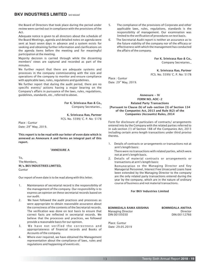the Board of Directors that took place during the period under review were carried out in compliance with the provisions of the Act.

Adequate notice is given to all directors about the schedule of the Board Meetings, agenda and detailed notes on agenda were sent at least seven days in advance and a system exists for seeking and obtaining further information and clarifications on the agenda items before the meeting and for meaningful participation at the meeting.

Majority decision is carried through while the dissenting members' views are captured and recorded as part of the minutes.

We further report that there are adequate systems and processes in the company commiserating with the size and operations of the company to monitor and ensure compliance with applicable laws, rules, regulations and guidelines.

We further report that during the audit period, there are no specific events/ actions having a major bearing on the Company's affairs in pursuance of the laws, rules, regulations, guidelines, standards, etc., referred to above.

> For K. Srinivasa Rao & Co., Company Secretaries.,

K. Srinivasa Rao, Partner FCS. No. 5599/ C. P. No: 5178

Place : Guntur Date: 29<sup>rd</sup> May, 2019.

This report is to be read with our letter of even date which is annexed as Annexure A and forms an integral part of this report.

#### 'ANNEXURE A

To, The Members, M/s. BKV INDUSTRIES LIMITED, Guntur

Our report of even date is to be read along with this letter.

- 1. Maintenance of secretarial record is the responsibility of the management of the company. Our responsibility is to express an opinion on these secretarial records based on our audit.
- 2. We have followed the audit practices and processes as were appropriate to obtain reasonable assurance about the correctness of the contents of the Secretarial records. The verification was done on test basis to ensure that correct facts are reflected in secretarial records. We believe that the processes and practices, we followed provide a reasonable basis for our opinion.
- 3. We have not verified the correctness and appropriateness of financial records and Books of Accounts of the company.
- 4. Where ever required, we have obtained the Management representation about the compliance of laws, rules and regulations and happening of events etc.
- 5. The compliance of the provisions of Corporate and other applicable laws, rules, regulations, standards is the responsibility of management. Our examination was limited to the verification of procedures on test basis.
- 6. The Secretarial Audit report is neither an assurance as to the future viability of the company nor of the efficacy or effectiveness with which the management has conducted the affairs of the company.

For K. Srinivasa Rao & Co., Company Secretaries.,

K. Srinivasa Rao, Partner FCS. No. 5599/ C. P. No: 5178

Place : Guntur Date: 29<sup>rd</sup> May, 2019.

#### Annexure - IV

#### FORM NO. AOC-2 Related Party Transactions [Pursuant to Clause (h) of sub-section (3) of Section 134 of the Companies Act, 2013 and Rule 8(2) of the Companies (Accounts) Rules, 2014

Form for disclosure of particulars of contracts/ arrangements entered into by the Company with the related parties referred to in sub-section (1) of Section 188 of the Companies Act, 2013 including certain arms-length transactions under third proviso thereto.

1. Details of contracts or arrangements or transactions not at arm's length basis:

 There were no transactions with related parties, which were not at arm's length basis.

2. Details of material contracts or arrangements or transactions at arm's length basis:

 Remuneration to the Managing Director and Key Managerial Personnel, Interest Free Unsecured Loans have been extended by the Managing Director to the company are the only related party transactions entered during the year by the company, which are in the nature of ordinary course of business and not material transactions.

For BKV Industries Limited

BOMMIDALA RAMA KRISHNA Managing Director DIN:00105030

BOMMIDALA ANITHA Director DIN:00112766

Place: Guntur Date: 29.05.2019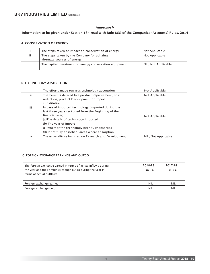#### Annexure V

#### Information to be given under Section 134 read with Rule 8(3) of the Companies (Accounts) Rules, 2014

#### A. CONSERVATION OF ENERGY

|     | The steps taken or impact on conservation of energy                         | Not Applicable      |
|-----|-----------------------------------------------------------------------------|---------------------|
| ii. | The steps taken by the Company for utilizing<br>alternate sources of energy | Not Applicable      |
| iii | The capital investment on energy conservation equipment                     | NIL, Not Applicable |

#### B. TECHNOLOGY ABSORPTION

|     | The efforts made towards technology absorption                                                                                                                                                                                                                                                           | Not Applicable      |
|-----|----------------------------------------------------------------------------------------------------------------------------------------------------------------------------------------------------------------------------------------------------------------------------------------------------------|---------------------|
| iί  | The benefits derived like product improvement, cost<br>reduction, product Development or import<br>substitution                                                                                                                                                                                          | Not Applicable      |
| iii | In case of imported technology (imported during the<br>last three years reckoned from the Beginning of the<br>financial year)<br>(a) The details of technology imported<br>(b) The year of import<br>(c) Whether the technology been fully absorbed<br>(d) If not fully absorbed, areas where absorption | Not Applicable      |
| iv  | The expenditure incurred on Research and Development                                                                                                                                                                                                                                                     | NIL, Not Applicable |

#### C. FOREIGN EXCHANGE EARNINGS AND OUTGO:

| The foreign exchange earned in terms of actual inflows during<br>the year and the Foreign exchange outgo during the year in | 2018-19<br>in Rs. | 2017-18<br>in Rs. |
|-----------------------------------------------------------------------------------------------------------------------------|-------------------|-------------------|
| terms of actual outflows.                                                                                                   |                   |                   |
| Foreign exchange earned                                                                                                     | <b>NIL</b>        | <b>NIL</b>        |
| Foreign exchange outgo                                                                                                      | <b>NIL</b>        | NIL               |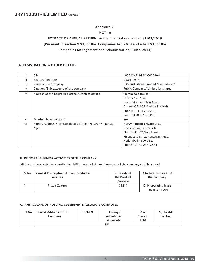#### Annexure VI

#### MGT -9

# EXTRACT OF ANNUAL RETURN for the financial year ended 31/03/2019 [Pursuant to section 92(3) of the Companies Act, 2013 and rule 12(1) of the Companies Management and Administration) Rules, 2014]

#### A. REGISTRATION & OTHER DETAILS:

|        | <b>CIN</b>                                                  | L05005AP1993PLC015304                       |
|--------|-------------------------------------------------------------|---------------------------------------------|
| ii.    | <b>Registration Date</b>                                    | 25.01.1993                                  |
| iii    | Name of the Company                                         | <b>BKV Industries Limited "and reduced"</b> |
| iv     | Category/Sub-category of the company                        | Public Company/ Limited by shares           |
| $\vee$ | Address of the Registered office & contact details          | "Bommidala House",                          |
|        |                                                             | $D.No:5-87-15/A$                            |
|        |                                                             | Lakshmipuram Main Road,                     |
|        |                                                             | Guntur -522007, Andhra Pradesh.             |
|        |                                                             | Phone: 91 863 2355108                       |
|        |                                                             | Fax: 91 863 2358453                         |
| vi     | Whether listed company                                      | Yes                                         |
| vii    | Name, Address & contact details of the Registrar & Transfer | Karvy Fintech Private Ltd.,                 |
|        | Agent,                                                      | Karvy Selenium Tower B                      |
|        |                                                             | Plot No:31 -32, Gachibowli,                 |
|        |                                                             | Financial District, Nanakramguda,           |
|        |                                                             | Hyderabad - 500 032.                        |
|        |                                                             | Phone: 91 40 23312454                       |

#### B. PRINCIPAL BUSINESS ACTIVITIES OF THE COMPANY

All the business activities contributing 10% or more of the total turnover of the company shall be stated

| Sl.No | Name & Description of main products/<br>services | NIC Code of<br>the Product<br>/service | % to total turnover of<br>the company |
|-------|--------------------------------------------------|----------------------------------------|---------------------------------------|
|       | Prawn Culture                                    | 03211                                  | Only operating lease<br>income - 100% |

#### C. PARTICULARS OF HOLDING, SUBSIDIARY & ASSOCIATE COMPANIES

| SI No | Name & Address of the | CIN/GLN | Holding/    | $%$ of        | Applicable     |
|-------|-----------------------|---------|-------------|---------------|----------------|
|       | Company               |         | Subsidiary/ | <b>Shares</b> | <b>Section</b> |
|       |                       |         | Associate   | held          |                |
|       |                       |         | <b>NIL</b>  |               |                |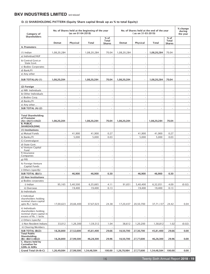#### D. (i) SHAREHOLDING PATTERN (Equity Share capital Break up as % to total Equity)

| Category of                                                                                  |                          | (as on 01-04-2018)       | No. of Shares held at the beginning of the year |                                         | No. of Shares held at the end of the year<br>$(as on 31-03-2019)$ |                          |                          |                                         | % change<br>during<br>the year |
|----------------------------------------------------------------------------------------------|--------------------------|--------------------------|-------------------------------------------------|-----------------------------------------|-------------------------------------------------------------------|--------------------------|--------------------------|-----------------------------------------|--------------------------------|
| <b>Shareholders</b>                                                                          | Demat                    | Physical                 | Total                                           | $%$ of<br><b>Total</b><br><b>Shares</b> | Demat                                                             | Physical                 | Total                    | $%$ of<br><b>Total</b><br><b>Shares</b> |                                |
| A. Promoters                                                                                 |                          |                          |                                                 |                                         |                                                                   |                          |                          |                                         |                                |
| $(1)$ Indian                                                                                 | 1,08,20,284              | $\overline{\phantom{a}}$ | 1,08,20,284                                     | 70.04                                   | 1,08,20,284                                                       | $\sim$                   | 1,08,20,284              | 70.04                                   |                                |
| a) Individual/HUF                                                                            |                          | $\sim$                   |                                                 |                                         |                                                                   | $\sim$                   |                          |                                         |                                |
| b) Central Govt.or<br>State Govt.                                                            |                          |                          |                                                 |                                         |                                                                   |                          |                          |                                         |                                |
| c) Bodies Corporates                                                                         | ÷.                       | $\omega$                 | $\bar{z}$                                       | ÷,                                      | $\omega$                                                          | ÷,                       | ÷.                       | $\omega$                                |                                |
| d) Bank/FI                                                                                   |                          | $\omega$                 | ÷,                                              | ÷,                                      | ÷.                                                                |                          |                          | $\sim$                                  |                                |
| e) Any other                                                                                 |                          | $\omega$                 |                                                 |                                         |                                                                   |                          |                          |                                         |                                |
|                                                                                              |                          |                          |                                                 |                                         |                                                                   |                          |                          |                                         | $\overline{\phantom{a}}$       |
| SUB TOTAL:(A) (1)                                                                            | 1,08,20,284              | $\overline{\phantom{a}}$ | 1,08,20,284                                     | 70.04                                   | 1,08,20,284                                                       | $\overline{\phantom{a}}$ | 1,08,20,284              | 70.04                                   |                                |
| (2) Foreign                                                                                  |                          |                          |                                                 |                                         |                                                                   |                          |                          |                                         |                                |
| a) NRI- Individuals                                                                          |                          |                          | $\overline{\phantom{a}}$                        |                                         |                                                                   |                          |                          |                                         |                                |
| b) Other Individuals                                                                         | $\overline{\phantom{a}}$ | $\sim$                   | $\blacksquare$                                  | $\blacksquare$                          | $\overline{\phantom{a}}$                                          | $\sim$                   | $\sim$                   | $\sim$                                  |                                |
| c) Bodies Corp.                                                                              | ä,                       | $\mathcal{L}$            | L.                                              | L.                                      | ù,                                                                | ÷,                       | ù,                       | L.                                      |                                |
| d) Banks/FI                                                                                  | $\sim$                   | $\omega$                 | $\bar{z}$                                       | $\bar{z}$                               | $\omega$                                                          | ÷,                       | $\sim$                   | ÷.                                      |                                |
| e) Any other                                                                                 | ä,                       | ä,                       | $\overline{\phantom{a}}$                        | ÷,                                      | $\omega$                                                          | ÷,                       | $\overline{a}$           | L.                                      |                                |
| SUB TOTAL (A) (2)                                                                            | $\overline{\phantom{a}}$ | $\blacksquare$           | $\blacksquare$                                  | $\overline{\phantom{a}}$                | $\blacksquare$                                                    | $\overline{\phantom{a}}$ | $\blacksquare$           | $\blacksquare$                          |                                |
| <b>Total Shareholding</b><br>of Promoter<br>$(A)=(A)(1)+(A)(2)$                              | 1,08,20,284              | $\overline{\phantom{a}}$ | 1,08,20,284                                     | 70.04                                   | 1.08.20.284                                                       | $\overline{\phantom{a}}$ | 1,08,20,284              | 70.04                                   | $\overline{\phantom{a}}$       |
| <b>B. PUBLIC</b><br><b>SHAREHOLDING</b>                                                      |                          |                          |                                                 |                                         |                                                                   |                          |                          |                                         |                                |
| (1) Institutions                                                                             |                          |                          |                                                 |                                         |                                                                   |                          |                          |                                         |                                |
| a) Mutual Funds                                                                              | ä,                       | 41,900                   | 41,900                                          | 0.27                                    | $\omega$                                                          | 41,900                   | 41,900                   | 0.27                                    |                                |
| b) Banks/FI                                                                                  | ÷.                       | 5,000                    | 5,000                                           | 0.03                                    | $\overline{\phantom{a}}$                                          | 5,000                    | 5,000                    | 0.03                                    |                                |
| C) Cenntralgovt                                                                              | ä,                       | ÷                        |                                                 | ÷,                                      | $\overline{\phantom{a}}$                                          |                          |                          |                                         |                                |
| d) State Govt.<br>e) Venture Capital                                                         | $\sim$                   | ÷                        | $\overline{\phantom{a}}$                        | $\overline{\phantom{a}}$                | $\overline{\phantom{a}}$                                          |                          | $\overline{\phantom{a}}$ |                                         |                                |
| Fund<br>f) Insurance                                                                         |                          | $\sim$                   | $\sim$                                          | $\bar{a}$                               |                                                                   |                          |                          |                                         |                                |
| Companies                                                                                    | ä,                       | $\sim$                   | $\overline{\phantom{a}}$                        | $\overline{\phantom{a}}$                | $\sim$                                                            |                          | $\sim$                   |                                         |                                |
| g) FIIS                                                                                      |                          | ÷,                       | ÷,                                              | ÷,                                      | ä,                                                                |                          |                          |                                         |                                |
| h) Foreign Venture<br>Capital Funds                                                          | $\sim$                   | $\sim$                   | $\sim$                                          | $\sim$                                  | $\blacksquare$                                                    |                          |                          |                                         |                                |
| i) Others (specify)                                                                          | $\blacksquare$           |                          |                                                 |                                         |                                                                   |                          |                          |                                         |                                |
| SUB TOTAL (B)(1):                                                                            | $\overline{\phantom{a}}$ | 46,900                   | 46,900                                          | 0.30                                    | $\overline{\phantom{a}}$                                          | 46,900                   | 46.900                   | 0.30                                    |                                |
| (2) Non Institutions                                                                         |                          |                          |                                                 |                                         |                                                                   |                          |                          |                                         |                                |
| a) Bodies corporates<br>i) Indian                                                            | 95,165                   | 5,40,500                 | 6,35,665                                        | 4.11                                    | 91,651                                                            | 5,40,400                 | 6,32,051                 | 4.09                                    | (0.02)                         |
| ii) Overseas                                                                                 |                          | 19,400                   | 19,400                                          | 0.13                                    |                                                                   | 19,400                   | 19,400                   | 0.13                                    |                                |
| b) Individuals                                                                               |                          |                          | $\overline{\phantom{a}}$                        | $\overline{a}$                          |                                                                   |                          | $\mathcal{L}$            | $\mathbf{r}$                            |                                |
| i) Individual<br>shareholders holding<br>nominal share capital<br>upto Rs.1 lacks            | 17,00,623                | 20,66,400                | 37,67,023                                       | 24.38                                   | 17,20,437                                                         | 20,50,700                | 37,71,137                | 24.42                                   | 0.04                           |
| ii) Individuals<br>shareholders holding<br>nominal share capital in<br>excess of Rs. 1 lacks |                          |                          |                                                 | ÷,                                      |                                                                   |                          |                          |                                         |                                |
| c) Others (specify)                                                                          | $\bar{z}$                |                          |                                                 | ÷,                                      |                                                                   | ÷.                       |                          |                                         |                                |
| i) Non Resident Indians                                                                      | 33,012                   | 1,26,300                 | 1,59,312                                        | 1.04                                    | 38,612                                                            | 1,20,200                 | 1,58,812                 | 1.02                                    | (0.02)                         |
| ii) Clearing Members                                                                         |                          |                          |                                                 |                                         |                                                                   |                          |                          |                                         |                                |
| SUB TOTAL (B)(2):<br><b>Total Public</b>                                                     | 18,28,800                | 27,52,600                | 45,81,400                                       | 29.66                                   | 18,50,700                                                         | 27,30,700                | 45,81,400                | 29.66                                   | 0.00                           |
| Shareholding<br>$(B)=(B)(1)+(B)(2)$                                                          | 18,28,800                | 27,99,500                | 46,28,300                                       | 29.96                                   | 18,50,700                                                         | 27,77,600                | 46,28,300                | 29.96                                   | 0.00                           |
| C. Shares held by<br><b>Custodian for</b><br><b>GDRs &amp; ADRs</b>                          |                          |                          |                                                 |                                         |                                                                   |                          |                          |                                         |                                |
| Grand Total (A+B+C)                                                                          | 1,26,49,084              | 27,99,500                | 1,54,48,584                                     | 100.00                                  | 1,26,70,984                                                       | 27,77,600                | 1,54,48,584              | 100.00                                  | 0.00                           |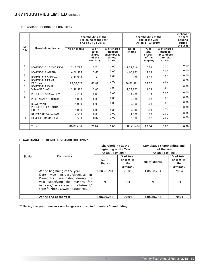#### D ( ii) SHARE HOLDING OF PROMOTERS

| <b>SI</b>      |                                             |              | Shareholding at the<br>beginning of the year<br>(As on 01-04-2018) |                                                                          |                 | Shareholding at the<br>end of the year<br>(As on 31-03-2019) |                                                             |      |  |
|----------------|---------------------------------------------|--------------|--------------------------------------------------------------------|--------------------------------------------------------------------------|-----------------|--------------------------------------------------------------|-------------------------------------------------------------|------|--|
| No.            | <b>Shareholders Name</b>                    | No of shares | $%$ of<br>total<br>shares<br>of the<br>company                     | $\overline{\%}$ of shares<br>pledged<br>encumbered<br>to total<br>shares | No of<br>shares | $%$ of<br>total<br>shares<br>of the<br>company               | % of shares<br>pledged<br>encumbere<br>d to total<br>shares |      |  |
| $\mathbf{1}$   | <b>BOMMIDALA SAROJA DEVI</b>                | 1,13,716     | 0.74                                                               | 0.00                                                                     | 1,13,716        | 0.74                                                         | 0.00                                                        | 0.00 |  |
| 2              | <b>BOMMIDALA ANITHA</b>                     | 4,06,825     | 2.63                                                               | 0.00                                                                     | 4,06,825        | 2.63                                                         | 0.00                                                        | 0.00 |  |
| 3              | <b>BOMMIDALA SRINIVAS</b>                   | 2,36,900     | 1.53                                                               | 0.00                                                                     | 2,36,900        | 1.53                                                         | 0.00                                                        | 0.00 |  |
| $\overline{4}$ | <b>BOMMIDALA RAMA</b><br><b>KRISHNA</b>     | 98,66,821    | 63.87                                                              | 0.00                                                                     | 98,66,821       | 63.87                                                        | 0.00                                                        | 0.00 |  |
| 5              | <b>BOMMIDALA KASI</b><br><b>VISWANADHAM</b> | 1,58,822     | 1.03                                                               | 0.00                                                                     | 1,58,822        | 1.03                                                         | 0.00                                                        | 0.00 |  |
| 6              | POLISETTY GNANA DEV                         | 14,200       | 0.09                                                               | 0.00                                                                     | 14,200          | 0.09                                                         | 0.00                                                        | 0.00 |  |
| $\overline{7}$ | PITCHAIAN PULIKONDA                         | 5,000        | 0.03                                                               | 0.00                                                                     | 5,000           | 0.03                                                         | 0.00                                                        | 0.00 |  |
| 8              | <b>B RAJESWARI</b>                          | 5,000        | 0.03                                                               | 0.00                                                                     | 5,000           | 0.03                                                         | 0.00                                                        | 0.00 |  |
| 9              | POLISETTY EKANADHA<br><b>GUPTA</b>          | 5,000        | 0.03                                                               | 0.00                                                                     | 5,000           | 0.03                                                         | 0.00                                                        | 0.00 |  |
| 10             | <b>BAYYA SRINIVASA RAO</b>                  | 4,500        | 0.03                                                               | 0.00                                                                     | 4,500           | 0.03                                                         | 0.00                                                        | 0.00 |  |
| 11             | <b>DEVISETTI RAMA DEVI</b>                  | 3,500        | 0.02                                                               | 0.00                                                                     | 3,500           | 0.02                                                         | 0.00                                                        | 0.00 |  |
|                |                                             |              |                                                                    |                                                                          |                 |                                                              |                                                             |      |  |
|                | Total                                       | 1,08,20,284  | 70.04                                                              | 0.00                                                                     | 1,08,20,284     | 70.04                                                        | 0.00                                                        | 0.00 |  |

 $\hat{\mathbf{r}}$ 

 $\mathcal{L}_{\mathbf{r}}$ 

#### D (iii)CHANGE IN PROMOTERS' SHAREHOLDING\*\*:

|         |                                                                                                                                                                                    | Shareholding at the<br>beginning of the Year<br>(As on 01-04-2018) |                                           | Cumulative Shareholding end<br>of the year<br>(As on 31-03-2019) |                                           |
|---------|------------------------------------------------------------------------------------------------------------------------------------------------------------------------------------|--------------------------------------------------------------------|-------------------------------------------|------------------------------------------------------------------|-------------------------------------------|
| SI. No. | <b>Particulars</b>                                                                                                                                                                 | No. of<br><b>Shares</b>                                            | % of total<br>shares of<br>the<br>company | No of shares                                                     | % of total<br>shares of<br>the<br>company |
|         | At the beginning of the year                                                                                                                                                       | 1,08,20,284                                                        | 70.04                                     | 1,08,20,284                                                      | 70.04                                     |
|         | Date wise increase/decrease in<br>Promoters Shareholding during the<br>year specifying the reasons for<br>increase/decrease.(e.g. allotment/<br>transfer/bonus/sweat equity etc.,) | Nil                                                                | Nil                                       | Nil                                                              | Nil                                       |
|         |                                                                                                                                                                                    |                                                                    |                                           |                                                                  |                                           |
|         | At the end of the year                                                                                                                                                             | 1,08,20,284                                                        | 70.04                                     | 1,08,20,284                                                      | 70.04                                     |

\*\* During the year there was no changes occurred in Promoters Shareholding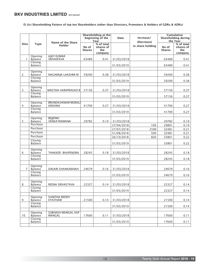D. (iv) Shareholding Pattern of top ten Shareholders (other than Directors, Promoters & Holders of GDRs & ADRs)

|                |                                      | Name of the Share                          |                        | Shareholding at the<br>beginning of the<br>Year | Date                     | Increase/<br>(Decrease) |                        | Cumulative<br><b>Shareholding during</b><br>the Year |
|----------------|--------------------------------------|--------------------------------------------|------------------------|-------------------------------------------------|--------------------------|-------------------------|------------------------|------------------------------------------------------|
| Sino           | <b>Type</b>                          | Holder                                     | No of<br><b>Shares</b> | % of total<br>shares of<br>the<br>company       |                          | in share holding        | No of<br><b>Shares</b> | % of total<br>shares of<br>the<br>company            |
| $\mathbf{1}$   | Opening<br>Balance                   | <b>AJAY KUMAR</b><br>SRIVASTAVA            | 63489                  | 0.41                                            | 31/03/2018               |                         | 63489                  | 0.41                                                 |
|                | Closing<br>Balance                   |                                            |                        |                                                 | 31/03/2019               |                         | 63489                  | 0.41                                                 |
| 2              | Opening<br><b>Balance</b><br>Closing | NAGARAJA LAKSHMI M                         | 59200                  | 0.38                                            | 31/03/2018               |                         | 59200                  | 0.38                                                 |
|                | Balance                              |                                            |                        |                                                 | 31/03/2019               |                         | 59200                  | 0.38                                                 |
| 3              | Opening<br>Balance                   | <b>MASTAN VARAPRASAD B</b>                 | 57156                  | 0.37                                            | 31/03/2018               |                         | 57156                  | 0.37                                                 |
|                | Closing<br>Balance                   |                                            |                        |                                                 | 31/03/2019               |                         | 57156                  | 0.37                                                 |
| 4              | Opening<br>Balance<br>Closing        | <b>BRUNDAVANAM MURAL</b><br><b>KRISHNA</b> | 41700                  | 0.27                                            | 31/03/2018               |                         | 41700                  | 0.27                                                 |
|                | Balance                              |                                            |                        |                                                 | 31/03/2019               |                         | 41700                  | 0.27                                                 |
| 5              | Opening<br>Balance<br>Purchase       | <b>BEJJENKI</b><br>VENKATRAMANA            | 29782                  | 0.19                                            | 31/03/2018               |                         | 29782                  | 0.19                                                 |
|                | Purchase                             |                                            |                        |                                                 | 27/04/2018<br>27/07/2018 | 109<br>2590             | 29891<br>32481         | 0.19<br>0.21                                         |
|                | Purchase<br>Purchase                 |                                            |                        |                                                 | 31/08/2018               | 500                     | 32981                  | 0.21                                                 |
|                | Closing<br>Balance                   |                                            |                        |                                                 | 26/10/2018<br>31/03/2019 | 820                     | 33801<br>33801         | 0.22<br>0.22                                         |
| 6              | Opening<br>Balance                   | THAKKER BHUPENDRA                          | 28245                  | 0.18                                            | 31/03/2018               |                         | 28245                  | 0.18                                                 |
|                | Closing<br>Balance                   |                                            |                        |                                                 | 31/03/2019               |                         | 28245                  | 0.18                                                 |
| $\overline{7}$ | Opening<br>Balance                   | DASARI SHANKARAIAH                         | 24679                  | 0.16                                            | 31/03/2018               |                         | 24679                  | 0.16                                                 |
|                | Closing<br>Balance                   |                                            |                        |                                                 | 31/03/2019               |                         | 24679                  | 0.16                                                 |
| 8              | Opening<br>Balance<br>Closing        | REENA SRIVASTAVA                           | 22327                  | 0.14                                            | 31/03/2018               |                         | 22327                  | 0.14                                                 |
|                | Balance                              |                                            |                        |                                                 | 31/03/2019               |                         | 22327                  | 0.14                                                 |
| 9              | Opening<br><b>Balance</b>            | <b>SUNITHA REDDY</b><br>KYATHAM            | 21500                  | 0.14                                            | 31/03/2018               |                         | 21500                  | 0.14                                                 |
|                | Closing<br>Balance                   |                                            |                        |                                                 | 31/03/2019               |                         | 21500                  | 0.14                                                 |
| 10             | Opening<br>Balance<br>Closing        | <b>SUBHASH MANGAL HUF</b><br>MANGAL        | 17600                  | 0.11                                            | 31/03/2018               |                         | 17600                  | 0.11                                                 |
|                | Balance                              |                                            |                        |                                                 | 31/03/2019               |                         | 17600                  | 0.11                                                 |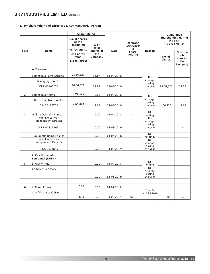#### D (v) Shareholding of Directors & Key Managerial Person

|                |                                                               | Shareholding                                                        |                 |             |                               |                              | Cumulative<br>Shareholding during<br>the year<br>(As on 31-03-19) |                                                  |
|----------------|---------------------------------------------------------------|---------------------------------------------------------------------|-----------------|-------------|-------------------------------|------------------------------|-------------------------------------------------------------------|--------------------------------------------------|
|                | <b>No. of Shares</b><br>at the<br>beginning<br>$(01-04-2018)$ |                                                                     | $%$ of<br>total |             | Increase/<br>(Decrease)<br>in |                              |                                                                   |                                                  |
| S.No           | <b>Name</b>                                                   | shares of<br>end of the<br>the<br>Company<br>year<br>$(31-03-2019)$ |                 | <b>Date</b> | share<br>holding              | Reason                       | No. of<br>shares                                                  | % of the<br>total<br>shares of<br>the<br>Company |
|                | A. Directors:                                                 |                                                                     |                 |             |                               |                              |                                                                   |                                                  |
| 1              | Bommidala Rama Krishna                                        | 98,66,821                                                           | 63.87           | 01-04-2018  | $\sim$                        | <b>No</b>                    |                                                                   |                                                  |
|                | <b>Managing Director</b>                                      |                                                                     |                 |             |                               | change                       |                                                                   |                                                  |
|                | DIN: 00105030                                                 | 98,66,821                                                           | 63.87           | 31-03-2019  |                               | during<br>the year           | 9,866,821                                                         | 63.87                                            |
| $\overline{2}$ | Bommidala Anitha                                              | 4,06,825                                                            | 2.63            | 01-04-2018  | $\sim$                        | N <sub>o</sub>               |                                                                   |                                                  |
|                | Non-Executive Director                                        |                                                                     |                 |             |                               | change<br>during             |                                                                   |                                                  |
|                | DIN:00112766                                                  | 4,06,825                                                            | 2.63            | 31-03-2019  |                               | the year                     | 406,825                                                           | 2.63                                             |
| 3              | Nellore Dolendra Prasad<br>Non-Executive /                    | ÷,                                                                  | 0.00            | 01-04-2018  | ÷.                            | Nil<br>holding/<br><b>No</b> |                                                                   |                                                  |
|                | Independent Director                                          |                                                                     |                 |             |                               | change                       |                                                                   |                                                  |
|                | DIN: 01816366                                                 |                                                                     | 0.00            | 31-03-2019  |                               | during<br>the year           |                                                                   |                                                  |
| 4              | Tunuguntla Rama Krishna                                       | L.                                                                  | 0.00            | 01-04-2018  | ä,                            | Nil<br>holding/              |                                                                   |                                                  |
|                | Non-Executive /<br>Independent Director                       |                                                                     |                 |             |                               | <b>No</b><br>change          |                                                                   |                                                  |
|                | DIN:02324865                                                  | ä,                                                                  | 0.00            | 31-03-2019  |                               | during<br>the year           | ×.                                                                | ÷                                                |
|                | <b>B. Key Managerial</b><br>Personnel (KMP's) *               |                                                                     |                 |             |                               |                              |                                                                   |                                                  |
| 5              | <b>B.Virat Vishnu</b>                                         | ä,                                                                  | 0.00            | 01-04-2018  |                               | Nil<br>holding/              |                                                                   |                                                  |
|                | Company Secretary                                             |                                                                     |                 |             |                               | No<br>change                 |                                                                   |                                                  |
|                |                                                               | L.                                                                  | 0.00            | 31-03-2019  |                               | during<br>the year           |                                                                   |                                                  |
|                |                                                               |                                                                     |                 |             |                               |                              |                                                                   |                                                  |
| 6              | K.Bhanu Kumar                                                 | 200                                                                 | 0.00            | 01-04-2018  |                               | Transfer                     |                                                                   |                                                  |
|                | Chief Financial Officer                                       | 800                                                                 | 0.00            | 31-03-2019  | 600                           | on 18.3.2019                 | 800                                                               | 0.00                                             |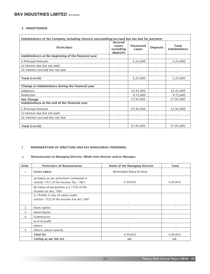#### E. INDEBTEDNESS

| Indebtedness of the Company including interest outstanding/accrued but not due for payment |                                                  |                    |                 |                              |  |  |  |
|--------------------------------------------------------------------------------------------|--------------------------------------------------|--------------------|-----------------|------------------------------|--|--|--|
| <b>Particulars</b>                                                                         | <b>Secured</b><br>Loans<br>excluding<br>deposits | Unsecured<br>Loans | <b>Deposits</b> | Total<br><b>Indebtedness</b> |  |  |  |
| Indebtedness at the beginning of the financial year                                        |                                                  |                    |                 |                              |  |  |  |
| i) Principal Amount                                                                        | $\overline{\phantom{a}}$                         | 5,25,000           | ٠               | 5,25,000                     |  |  |  |
| ii) Interest due but not paid                                                              |                                                  |                    |                 |                              |  |  |  |
| iii) Interest accrued but not due                                                          |                                                  |                    |                 |                              |  |  |  |
|                                                                                            |                                                  |                    |                 |                              |  |  |  |
| Total (i+ii+iii)                                                                           |                                                  | 5,25,000           |                 | 5,25,000                     |  |  |  |
|                                                                                            |                                                  |                    |                 |                              |  |  |  |
| Change in Indebtedness during the financial year                                           |                                                  |                    |                 |                              |  |  |  |
| Additions                                                                                  |                                                  | 32,45,000          |                 | 32,45,000                    |  |  |  |
| Reduction                                                                                  |                                                  | 9,75,000           |                 | 9,75,000                     |  |  |  |
| <b>Net Change</b>                                                                          | $\overline{\phantom{a}}$                         | 27,95,000          | ٠               | 27,95,000                    |  |  |  |
| Indebtedness at the end of the financial year                                              |                                                  |                    |                 |                              |  |  |  |
| i) Principal Amount                                                                        |                                                  | 27,95,000          |                 | 27,95,000                    |  |  |  |
| ii) Interest due but not paid                                                              |                                                  |                    |                 |                              |  |  |  |
| iii) Interest accrued but not due                                                          |                                                  |                    |                 |                              |  |  |  |
|                                                                                            |                                                  |                    |                 |                              |  |  |  |
| Total (i+ii+iii)                                                                           |                                                  | 27,95,000          |                 | 27,95,000                    |  |  |  |

#### F REMUNERATION OF DIRECTORS AND KEY MANAGERIAL PERSONNEL

#### a. Remuneration to Managing Director, Whole time director and/or Manager:

| Sl.No         | <b>Particulars of Remuneration</b>                                                  | Name of the Managing Director | <b>Total</b>             |
|---------------|-------------------------------------------------------------------------------------|-------------------------------|--------------------------|
| 1             | Gross salary                                                                        | Bommidala Rama Krishna        |                          |
|               | (a) Salary as per provisions contained in<br>section 17(1) of the Income Tax. 1961. | 4,30,643                      | 4,30,643                 |
|               | (b) Value of perquisites $u/s$ 17(2) of the<br>Income tax Act, 1961                 | ۰                             |                          |
|               | (c) Profits in lieu of salary under<br>section 17(3) of the Income Tax Act, 1961    | ۰                             | $\overline{\phantom{a}}$ |
| $\mathcal{P}$ | Stock option                                                                        | ٠                             |                          |
| 3             | Sweat Equity                                                                        |                               |                          |
| 4             | Commission                                                                          |                               |                          |
|               | as % of profit                                                                      |                               |                          |
|               | others                                                                              |                               |                          |
| 5             | Others, please specify                                                              |                               |                          |
|               | Total (A)                                                                           | 4,30,643                      | 4,30,643                 |
|               | Ceiling as per the Act                                                              | <b>NA</b>                     | <b>NA</b>                |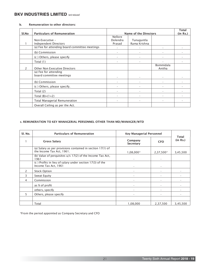#### b. Remuneration to other directors:

| Sl.No         | <b>Particulars of Remuneration</b>             |                | <b>Name of the Directors</b> |                     | <b>Total</b><br>(in Rs.) |
|---------------|------------------------------------------------|----------------|------------------------------|---------------------|--------------------------|
|               |                                                | <b>Nellore</b> |                              |                     |                          |
|               | Non-Executive -                                | Dolendra       | Tunuguntla                   |                     |                          |
|               | Independent Directors                          | Prasad         | Rama Krishna                 |                     |                          |
|               | (a) Fee for attending board committee meetings |                |                              |                     |                          |
|               | (b) Commission                                 |                |                              |                     |                          |
|               | (c) Others, please specify                     |                |                              |                     |                          |
|               | Total (1)                                      |                |                              |                     |                          |
| $\mathcal{P}$ | <b>Other Non Executive Directors</b>           |                |                              | Bommidala<br>Anitha |                          |
|               | (a) Fee for attending                          |                |                              |                     |                          |
|               | board committee meetings                       |                |                              |                     |                          |
|               | (b) Commission                                 |                |                              |                     |                          |
|               | (c) Others, please specify.                    |                |                              |                     |                          |
|               | Total $(2)$                                    |                |                              |                     |                          |
|               | Total $(B)=(1+2)$                              |                |                              |                     |                          |
|               | Total Managerial Remuneration                  |                |                              |                     |                          |
|               | Overall Ceiling as per the Act.                |                |                              |                     |                          |

#### c. REMUNERATION TO KEY MANAGERIAL PERSONNEL OTHER THAN MD/MANAGER/WTD

| SI. No.       | <b>Particulars of Remuneration</b>                                                                   | <b>Key Managerial Personnel</b> |            | <b>Total</b> |
|---------------|------------------------------------------------------------------------------------------------------|---------------------------------|------------|--------------|
|               | <b>Gross Salary</b>                                                                                  | Company<br><b>Secretary</b>     | <b>CFO</b> | (in Rs.)     |
|               | (a) Salary as per provisions contained in section $17(1)$ of<br>the Income Tax Act, 1961.            | 1,08,000*                       | 2,37,500*  | 3,45,500     |
|               | (b) Value of perquisites u/s 17(2) of the Income Tax Act,<br>1961                                    |                                 |            |              |
|               | (c) Profits in $\overline{\text{lieu}}$ of salary under section 17(3) of the<br>Income Tax Act, 1961 |                                 |            |              |
| $\mathcal{P}$ | <b>Stock Option</b>                                                                                  |                                 |            |              |
| 3             | Sweat Equity                                                                                         |                                 |            |              |
| 4             | Commission                                                                                           |                                 |            |              |
|               | as % of profit                                                                                       |                                 |            |              |
|               | others, specify                                                                                      |                                 |            |              |
| 5             | Others, please specify                                                                               |                                 |            |              |
|               |                                                                                                      |                                 |            |              |
|               | Total                                                                                                | 1,08,000                        | 2,37,500   | 3,45,500     |

\*From the period appointed as Company Secretary and CFO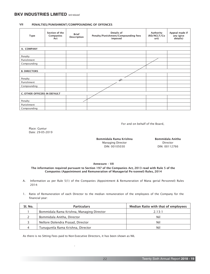#### VII PENALTIES/PUNISHMENT/COMPPOUNDING OF OFFENCES

| <b>Type</b>                  | Section of the<br>Companies<br>Act | <b>Brief</b><br>Description | Details of<br>Penalty/Punishment/Compounding fees<br>imposed | Authority<br>(RD/NCLT/Co<br>urt) | Appeal made if<br>any (give<br>details) |
|------------------------------|------------------------------------|-----------------------------|--------------------------------------------------------------|----------------------------------|-----------------------------------------|
|                              |                                    |                             |                                                              |                                  |                                         |
| A. COMPANY                   |                                    |                             |                                                              |                                  |                                         |
|                              |                                    |                             |                                                              |                                  |                                         |
| Penalty                      |                                    |                             |                                                              |                                  |                                         |
| Punishment                   |                                    |                             |                                                              |                                  |                                         |
| Compounding                  |                                    |                             |                                                              |                                  |                                         |
|                              |                                    |                             |                                                              |                                  |                                         |
| <b>B. DIRECTORS</b>          |                                    |                             |                                                              |                                  |                                         |
|                              |                                    |                             |                                                              |                                  |                                         |
| Penalty                      |                                    |                             | 44                                                           |                                  |                                         |
| Punishment                   |                                    |                             |                                                              |                                  |                                         |
| Compounding                  |                                    |                             |                                                              |                                  |                                         |
|                              |                                    |                             |                                                              |                                  |                                         |
| C. OTHER OFFICERS IN DEFAULT |                                    |                             |                                                              |                                  |                                         |
|                              |                                    |                             |                                                              |                                  |                                         |
| Penalty                      |                                    |                             |                                                              |                                  |                                         |
| Punishment                   |                                    |                             |                                                              |                                  |                                         |
| Compounding                  |                                    |                             |                                                              |                                  |                                         |

For and on behalf of the Board,

Place: Guntur Date: 29-05-2019

> Managing Director DIN: 00105030 Bommidala Rama Krishna

Director DIN: 00112766 Bommidala Anitha

#### Annexure – VII

#### The information required pursuant to Section 197 of the Companies Act, 2013 read with Rule 5 of the Companies (Appointment and Remuneration of Managerial Pe rsonnel) Rules, 2014

- A. Information as per Rule 5(1) of the Companies (Appointment & Remuneration of Mana gerial Personnel) Rules 2014:
- 1. Ratio of Remuneration of each Director to the median remuneration of the employees of the Company for the financial year:

| SI. No. | <b>Particulars</b>                        | Median Ratio with that of employees |
|---------|-------------------------------------------|-------------------------------------|
|         | Bommidala Rama Krishna, Managing Director | 2.13:1                              |
|         | Bommidala Anitha, Director                | Nil                                 |
|         | Nellore Dolendra Prasad, Director         | Nil                                 |
|         | Tunuguntla Rama Krishna, Director         | Nil                                 |

As there is no Sitting Fees paid to Non Executive Directors, it has been shown as NIL

-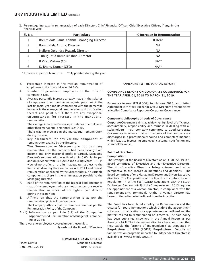2. Percentage increase in remuneration of each Director, Chief Financial Officer, Chief Executive Officer, if any, in the financial year:

| SI. No. | <b>Particulars</b>                        | % Increase in Remuneration |
|---------|-------------------------------------------|----------------------------|
|         | Bommidala Rama Krishna, Managing Director | $0.02\%$ *                 |
|         | Bommidala Anitha, Director                | <b>NA</b>                  |
|         | Nellore Dolendra Prasad, Director         | <b>NA</b>                  |
| 4       | Tunuguntla Rama Krishna, Director         | <b>NA</b>                  |
|         | B. Virat Vishnu (CS)                      | $NA**$                     |
|         | K. Bhanu Kumar (CFO)                      | $NA**$                     |

\* Increase in part of March, 19 \*\* Appointed during the year.

- 3. Percentage increase in the median remuneration of employees in the financial year: 24.62%
- 4. Number of permanent employees on the rolls of company: 5 Nos.
- 5. Average percentile increase already made in the salaries of employees other than the managerial personnel in the last financial year and its comparison with the percentile increase in the managerial remuneration and justification thereof and point out if there are any exceptional circumstances for increase in the managerial remuneration:

The average increase/(Decrease) in salaries of employees other than managerial personnel is 24.62%.

There was no increase in the managerial remuneration during the year.

6. Key parameters for any variable component of remuneration availed by the directors:

The Non-executive Directors are not paid any remuneration, as the company had been having fixed income and only marginal profit is earned. Managing Director's remuneration was fixed at Rs.6.00 lakhs per annum (revised from Rs.4.20 Lakhs during March, 19), in view of no profits or profits inadequate, subject to the limits laid down by the Companies Act, 2013 and overall remuneration approved by the Shareholders. No variable component is there in the remuneration payable to the Managing Director.

- 7. Ratio of the remuneration of the highest paid director to that of the employees who are not directors but receive remuneration in excess of the highest paid director during the year: None
- 8. Affirmation that the remuneration is as per the remuneration policy of the Company: The Company affirms that the remuneration is as per the Remuneration Policy of the Company.
- A (1) Information as per Rule 5(2) of the Companies (Appointment & Remuneration of Managerial Personnel) Rules 2014:

There were no employees covered under these rules.

By order of the Board of Directors

#### BOMMIDALA RAMA KRISHNA

Place: Guntur **Managing Director** Date: 29.05.2019 DIN: 00105030

#### ANNEXURE TO THE BOARD'S REPORT

#### COMPLIANCE REPORT ON CORPORATE GOVERNANCE FOR THE YEAR APRIL 01, 2018 TO MARCH 31, 2019.

Pursuance to new SEBI (LODR) Regulations 2015, and Listing Agreement with Stock Exchanges, your Directors present below a detailed Compliance Report on Corporate Governance:

#### Company's philosophy on code of Governance

Corporate Governance aims at achieving high level of efficiency, accountability, responsibility and fairness in dealing with all stakeholders. Your company committed to Good Corporate Governance to ensure that all functions of the company are discharged in a professionally sound and competent manner, which leads to increasing employee, customer satisfaction and shareholder value.

#### Board of Directors

#### Composition:

The strength of the Board of Directors as on 31/03/2019 is 4. Board comprises of Executive and Non-Executive Directors. The Non-Executive Directors bring external and wider perspective to the Board's deliberations and decisions. The Board comprises of one Managing Director and 3 Non-Executive directors. The Composition of the Board is in conformity with Regulation 17 of the SEBI (LODR) Regulations with the Stock Exchanges. Section 149(3) of the Companies Act, 2013 requires the appointment of a woman director, in compliance with the requirement Smt. Bommidala Anitha, a woman director had been continued to be in the Board from the inception.

The Board has formulated a policy on Remuneration and the criteria for Board nominations which outline the appointment criteria and qualifications for appointment on the Board and the matters related to remuneration of Directors. The said policy has been published elsewhere in the Annual Report as per Annexure I & II. The independent directors have confirmed that they satisfy the 'criteria of independence' as stipulated in Regulations of SEBI (LODR) Regulations. Details of familiarization programs imparted to Independent Directors is available at www.bkvindustries.in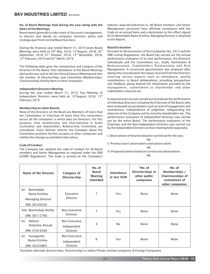#### No. of Board Meetings held during the year along with the dates of the Meetings:

Board meets generally to take stock of the assets management, to discuss and decide on company/ business policy and strategy apart from normal Board business.

During the financial year ended March 31, 2019 Seven Board<br>Meetings were held on 29<sup>th</sup> May, 2018, 13<sup>th</sup> August, 2018, 20<sup>th</sup><br>September, 2018, 01<sup>st</sup> October, 2018, 13<sup>th</sup> November, 2018,<br>13<sup>th</sup> February, 2019 and 02<sup>nd</sup>

The following table gives the composition and category of the Directors of the Board, their attendance at the Board Meetings during the year and at the last Annual General Meeting and also the number of Directorships and Committee Memberships/ Chairmanships held by them in other companies.

#### Independent Directors Meeting:

During the year ended March 31, 2019 Two Meeting of Independent Directors were held on  $13<sup>th</sup>$ August, 2018, 13<sup>th</sup> February, 2019.

#### Membership on other Boards

None of the Directors on the Board are Members of more than ten Committees or Chairman of more than five committees across all the companies in which they are Directors. For this purpose, only membership and chairmanship in Audit Committee and Stakeholders Relationship Committee are considered. Every director informs the Company about the Committee positions he/she occupies in other companies and notifies the changes as and when takes place.

# Code of Conduct

The Company has adopted the code of conduct for all Board members and Senior Management as required under the SEBI (LODR) Regulations. The Code is posted on the Company's

website: www.bkvindustries.in. All Board members and Senior Management personnel have affirmed compliance with the Code on an annual basis and a declaration to this effect signed by Sri Bommidala Rama Krishna, Managing Director is attached to this Report.

### Board Evaluation

Pursuant to the provisions of the Companies Act, 2013 and the SEBI Listing Regulations, the Board has carried out the annual performance evaluation of its own performance, the Directors individually and the Committees viz., Audit, Nomination & Remuneration, Stakeholders Relationship and Risk Management. A structured questionnaire was prepared after taking into consideration the inputs received from the Directors covering various aspects such as attendance, quality contributions to Board deliberations, providing perspectives and feedback going beyond the information provided by the management, commitment to shareholder and other stakeholders interests etc.

A separate exercise was carried out to evaluate the performance of individual directors including the Chairman of the Board, who were evaluated on parameters such as level of engagement and contribution, independence of judgment, safeguarding the interests of the Company and its minority shareholders etc. The performance evaluation of Independent Directors was carried out by the entire Board. The performance evaluation of the Chairman and the Non-Independent Directors was carried out by the Independent Directors at their meeting held separately.

I. Observations of board evaluation carried out for the year.

NIL

- ii. Previous year's observations and actions taken. NIL
- iii. Proposed actions based on current year observations. NIL

| Name of the Director                                                          | Category of<br><b>Directorship</b>              | No. of<br><b>Board</b><br><b>Meeting</b><br><b>Attended</b> | <b>Attendance</b><br>at last AGM | *No. of<br>Directorships in<br>other public<br>companies | No. of<br>Memberships /<br>Chairmanships of<br>committees of<br>other companies |
|-------------------------------------------------------------------------------|-------------------------------------------------|-------------------------------------------------------------|----------------------------------|----------------------------------------------------------|---------------------------------------------------------------------------------|
| Bommidala<br>Sri<br>Rama Krishna<br><b>Managing Director</b><br>DIN: 00105030 | Executive<br>Director                           | 7                                                           | Yes                              | None                                                     | None                                                                            |
| Smt. Bommidala Anitha<br>DIN: 00112766                                        | Non executive<br><b>Director</b>                | 7                                                           | Yes                              | None                                                     | None                                                                            |
| <b>Nellore</b><br>Sri<br>Dolendra Prasad<br>DIN: 01816366                     | Non Executive<br>Independent<br><b>Director</b> | 4                                                           | No.                              | None                                                     | None                                                                            |
| Sri<br>Tunuguntla<br>Rama Krishna<br>DIN: 02324865                            | Non Executive<br>Independent<br><b>Director</b> | 6                                                           | Yes                              | None                                                     | None                                                                            |

\*Excludes alternate directorships, Directorships in Indian Private Limited companies & Foreign Companies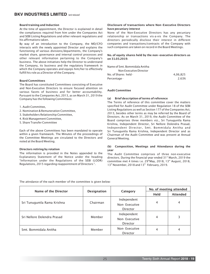#### Board training and Induction

At the time of appointment, the Director is explained in detail the compliances required from him under the Companies Act and SEBI Listing Regulations and other relevant regulations and his affirmations taken.

By way of an introduction to the Company, the MD/CFO interacts with the newly appointed Director and explains the functioning of various divisions/departments, the Company's market share, governance and internal control processes and other relevant information pertaining to the Company's business. The above initiatives help the Director to understand the Company, its business and the regulatory framework in which the Company operates and equips him/her to effectively fulfill his role as a Director of the Company.

#### Board Committees

The Board has constituted Committees consisting of Executive and Non-Executive Directors to ensure focused attention on various facets of business and for better accountability. Pursuant to the Companies Act, 2013, as on March 31, 2019 the Company has the following Committees:

- 1. Audit Committee,
- 2. Nomination & Remuneration Committee,
- 3. Stakeholders Relationship Committee,
- 4. Risk Management Committee,
- 5. Share Transfer Committee

Each of the above Committees has been mandated to operate within a given framework. The Minutes of the proceedings of the Committee Meetings are circulated to the Directors and noted at the Board Meeting.

#### Directors retiring by rotation

The information is provided in the Notes appended to the Explanatory Statement of the Notice under the heading "Information under the Regulations of the SEBI (LODR) Regulations, 2015 regarding reappointment of Directors ".

#### Disclosure of transactions where Non-Executive Directors have pecuniary interest

None of the Non-Executive Directors has any pecuniary relationship or transactions vis-a-vis the Company. The directors periodically disclose their interest in different companies and transactions/contracts of the Company with such companies are taken on record in the Board Meetings.

#### No. of equity shares held by the non-executive directors as on 31.03.2019.

| Name of Smt. Bommidala Anitha |          |
|-------------------------------|----------|
| Non Executive Director        |          |
| No. of Shares held -          | 4.06.825 |
| Percentage -                  | 2.63%    |

#### Audit Committee

#### (a) Brief description of terms of reference

The Terms of reference of this committee cover the matters specified for Audit Committee under Regulation 18 of the SEBI Listing Regulations as well as Section 177 of the Companies Act, 2013, besides other terms as may be referred by the Board of Directors. As on March 31, 2019, the Audit Committee of the Board comprises three members viz., Sri Tunuguntla Rama Krishna, Independent Director, Sri Nellore Dolendra Prasad, Independent Director, Smt. Bommidala Anitha and Sri Tunuguntla Rama Krishna, Independent Director and as Chairman of the Audit Committee and was present at Annual General Meeting.

#### (b) Composition, Meetings and Attendance during the year

The Audit Committee comprises of three non-executive directors. During the financial year ended  $31<sup>st</sup>$  March, 2019 the committee met 4 times i.e.  $29<sup>th</sup>$ May, 2018, 13<sup>th</sup> August, 2018, 13<sup>th</sup> November, 2018 and

The attndance of the each member of the committee is given below:

| Name of the Director        | <b>Designation</b>      |                 | No. of meeting attended |                 |
|-----------------------------|-------------------------|-----------------|-------------------------|-----------------|
|                             |                         | Category        | Held                    | <b>Attended</b> |
|                             |                         | Independent     |                         |                 |
| Sri Tunuguntla Rama Krishna | Chairman                | Non-Executive   | 4                       | 4               |
|                             |                         | <b>Director</b> |                         |                 |
|                             |                         | Independent     |                         |                 |
| Sri Nellore Dolendra Prasad | Member<br>Non-Executive |                 | 4                       | 3               |
|                             |                         | <b>Director</b> |                         |                 |
| Smt. Bommidala Anitha       | Member                  | Non-Executive   | 4                       | 4               |
|                             |                         | Director        |                         |                 |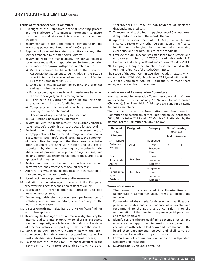#### Terms of reference of Audit Committee:

- 1. Oversight of the Company's financial reporting process and the disclosure of its financial information to ensure that the financial statement is correct, sufficient and credible;
- 2. Recommendation for appointment, remuneration and terms of appointment of auditors of the Company;
- 3. Approval of payment to statutory auditors for any other services rendered by the statutory auditors;
- 4. Reviewing, with the management, the annual financial statements and auditor's report thereon before submission to the board for approval, with particular reference to:
	- a) Matters required to be included in the Director's Responsibility Statement to be included in the Board's report in terms of clause (c) of sub-section 3 of Section 134 of the Companies Act, 2013
	- b) Changes, if any, in accounting policies and practices and reasons for the same
	- c) Major accounting entries involving estimates based on the exercise of judgment by management
	- d) Significant adjustments made in the financial statements arising out of audit findings
	- e) Compliance with listing and other legal requirements relating to financial statements
	- f) Disclosure of any related party transactions
	- g) Qualifications in the draft audit report
- 5. Reviewing, with the management, the quarterly financial statements before submission to the board for approval;
- 6. Reviewing, with the management, the statement of uses/application of funds raised through an issue (public issue, rights issue, preferential issue, etc.), the statement of funds utilized for purposes other than those stated in the offer document /prospectus / notice and the report submitted by the monitoring agency monitoring the utilization of proceeds of a public or rights issue, and making appropriate recommendations to the Board to take up steps in this matter;
- 7. Review and monitor the auditor's independence and performance, and effectiveness of audit process;
- 8. Approval or any subsequent modification of transactions of the company with related parties;
- 9. Scrutiny of inter-corporate loans and investments;
- 10. Valuation of undertakings or assets of the Company, wherever it is necessary and appointment of valuers;
- 11. Evaluation of internal financial controls and risk management systems;
- 12. Reviewing, with the management, performance of statutory and internal auditors, and adequacy of the internal control systems;
- 13. Discussion with internal auditors of any significant findings and follow up there on;
- 14. Reviewing the findings of any internal investigations by the internal auditors into matters where there is suspected fraud or irregularity or a failure of internal control systems of a material nature and reporting the matter to the board;
- 15. Discussion with statutory auditors before the audit commences, about the nature and scope of audit as well as post-audit discussion to ascertain any area of concern;
- 16. To look into the reasons for substantial defaults in the payment to the depositors, debenture holders,

shareholders (in case of non-payment of declared dividends) and creditors;

- 17. To recommend to the Board, appointment of Cost Auditors, if required and review of the reports thereon;
- 18. Approval of appointment of CFO (i.e., the whole-time Finance Director or any other person heading the finance function or discharging that function) after assessing experience and background, etc. of the candidate;
- 19. Oversee the vigil mechanism established for directors and employees - [Section 177(10) read with rule 7(2) Companies (Meetings of Board and its Powers) Rules, 2014.
- 20. Carrying out any other function as is mentioned in the terms of reference of the Audit Committee.

The scope of the Audit Committee also includes matters which are set out in SEBI(LODR) Regulations 2015,read with Section 177 of the Companies Act, 2013 and the rules made there under, as amended from time to time.

#### Nomination and Remuneration Committee

Nomination and Remuneration Committee comprising of three non-executive Directors namely Sri Nellore Dolendra Prasad (Chairman), Smt. Bommidala Anitha and Sri Tunuguntla Rama Krishna as members.

The composition of the Nomination and Remuneration Committee and particulars of meetings held on 20<sup>th</sup> September 2018, 01<sup>st</sup> October 2018 and 02<sup>nd</sup> March 2019 attended by the members of the Committee are given below:

| Name of<br>the                       | <b>Designation</b> | Category                                     | No. of meeting<br>attended |                 |
|--------------------------------------|--------------------|----------------------------------------------|----------------------------|-----------------|
| <b>Director</b>                      |                    |                                              | Held                       | <b>Attended</b> |
| Sri Nellore<br>Dolendra<br>Prasad    | Chairman           | Independent<br>Non-<br>Executive<br>Director | 3                          | $\overline{2}$  |
| Smt.<br><b>Bommidala</b><br>Anitha   | Member             | Non-<br>Executive<br>Director                | 3                          | $\overline{2}$  |
| Sri<br>Tunuguntla<br>Rama<br>Krishna | Member             | Independent<br>Non-<br>Executive<br>Director | 3                          | 2               |

#### Terms of reference:

The terms of reference of the Nomination and Remuneration Committee shall, inter-alia, include the following:

- 1. Formulation of the criteria for determining qualifications, positive attributes and independence of a director and recommend to the Board a policy, relating to the remuneration of the directors, key managerial personnel and other employees;
- 2. Identify persons who are qualified to become directors and who may be appointed in senior management in accordance with criteria laid down and recommend to the board their appointment, removal and shall carry out evaluation of every director's performance.
- 3. Formulation of criteria for evaluation of Independent Directors and the Board;
- 4. Devising a policy on Board diversity;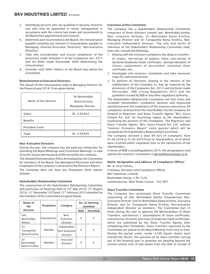- 5. Identifying persons who are qualified to become directors and who may be appointed in senior management in accordance with the criteria laid down and recommend to the Board their appointment and removal.
- 6. Determine and recommend to the Board, the remuneration payable including any revision in remuneration payable to Managing Director/Executive Directors/ Non-Executive Directors.
- 7. Take into consideration and ensure compliance of the provisions under Schedule V of the Companies Act, 2013 and the Rules made thereunder while determining the remuneration.
- 8. Consider such other matters as the Board may advise the Committee.

#### Remuneration to Executive Directors

The details of the remuneration paid to Managing Director for the financial year 2018-19 are given below:

| Name of the Director | Sri Bommidala<br>Rama Krishna<br><b>Managing Director</b> |
|----------------------|-----------------------------------------------------------|
| Salary               | Rs. 4,30,643                                              |
| <b>Benefits</b>      |                                                           |
| Provident Fund       |                                                           |
| Total                | Rs. 4,30,643                                              |

#### Non-Executive Directors

During the year, the company has not paid any sitting fees for attending the Board Meetings and Committee Meetings, in view of earlier losses and marginal profit earned by the company.

The detailed Remuneration Policy formulated by the Committee for members of the Board, Key Managerial Personnel and other employees of the Company is annexed to the Directors Report. The Company does not have any Employees Stock Option

Scheme.

#### Stakeholders Relationship Committee

The composition of the Stakeholders Relationship Committee and particulars of meetings held on 29<sup>th</sup> May 2018, 13<sup>th</sup> August 2018, 13<sup>th</sup> November 2018and 13<sup>th</sup> February 2019 attended by the members of the Committee are given below:

| Name of<br>the                          | <b>Designation</b> | Category                                 |      | No. of meeting<br>attended |  |
|-----------------------------------------|--------------------|------------------------------------------|------|----------------------------|--|
| <b>Director</b>                         |                    |                                          | Held | <b>Attended</b>            |  |
| Smt.<br><b>Bommidala</b><br>Anitha      | Chairperson        | Non-<br>Executive<br>Director            | 4    | 4                          |  |
| Sri<br>Tunuguntla<br>Rama Krishna       | Member             | Independent<br>Non Executive<br>Director | 4    | 3                          |  |
| Sri<br><b>Bommidala</b><br>Rama Krishna | Member             | Executive<br>Director                    | 4    | 4                          |  |

#### Functions of the Committee:

The company has a Stakeholders Relationship Committee comprises of three directors namely Smt. Bommidala Anitha, Non- executive Director, Sri Bommidala Rama Krishna, Managing Director and Sri Tunuguntla Rama Krishna, Nonexecutive Independent Director. The role and terms of reference of the Stakeholders Relationship Committee shall, inter-alia, include the following:

- 1. Dealing with the investors complaints like delay in transfers of shares, non-receipt of balance sheet, non-receipt of declared dividends/share certificates, dematerialization of shares, replacement of lost/stolen/ mutilated share certificates, etc,
- 2. Investigate into investors complaints and take necessary steps for redressed thereof.
- 3. To perform all functions relating to the interest of the stakeholders of the Company as may be required by the provisions of the Companies Act, 2013 and the Rules made thereunder, SEBI Listing Regulations 2015 and the guidelines issued by SEBI or any other regulatory authority.

The Stakeholders Relationship Committee met four times and reviewed shareholders complaints position and expressed satisfaction over the compliance of the investors grievances. All complaints received from the shareholders by the company are forward to Registrars and Share Transfer Agents "M/s. Karvy Fintech Pvt. Ltd" for furnishing replies to the shareholders explaining the position of the complaints. The Registrars and Share Transfer Agents "M/s. Karvy Fintech Pvt. Ltd" submits "Investor Grievance Report" every quarter which will be reviewed by the Stakeholders Relationship Committee.

The Company received a total 49 no's of complaints from 01.04.2018 to 31.03.2019 from its shareholders, all of which were resolved within stipulated time to the satisfaction of the shareholders.

In terms of SEBI Listing Regulations 2015, the designated e-mail address for investor's complaints is bkvind@bommidala.co.in

#### Name, designation and address of Compliance Officer:

Mr. B. Virat Vishnu, Company Secretary and Compliance Officer, BKV Industries Limited, Bommidala House, 5-87-15/A Lakshmipuram, Main Road, Guntur - 522 007.

#### Share Transfer Committee

The Company has constituted Share Transfer Committee comprising of Smt. Bommidala Anitha (Chairperson) Nonexecutive Director and Sri Bommidala Rama Krishna, Executive Director and Sri Tunuguntla Rama Krishna, Non-executive Independent Director as members. The Committee met 13 times during the year to approve the Memorandum of Share Transfers, sub-division / consolidation of share certificates, transmission of shares and issue of duplicate share certificates, which are submitted by the Share Transfer Agents after completing their formalities. Share Transfers approved by the Committee are placed at the Board Meeting from time to time. During the period under review 4,500 Equity shares were transferred. Hence, the question of no share transfers arising out of the financial year in question are pending beyond the normal service time of two weeks from the date of receipt of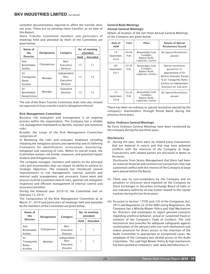complete documentation required to affect the transfer does not arise. There are no pending share transfers as on date of this Report.

Share Transfer Committee members and particulars of meetings held and attended by them of the Committee are given below:

| Name of<br>the                          | <b>Designation</b> | Category                                     |      | No. of meeting<br>attended |  |
|-----------------------------------------|--------------------|----------------------------------------------|------|----------------------------|--|
| <b>Director</b>                         |                    |                                              | Held | <b>Attended</b>            |  |
| Smt.<br><b>Bommidala</b><br>Anitha      | Chairperson        | Non-<br>Executive<br>Director                | 13   | 11                         |  |
| Sri<br>Tunuguntla<br>Rama<br>Krishna    | Member             | Independent<br>Non-<br>Executive<br>Director | 13   | 12                         |  |
| Sri<br><b>Bommidala</b><br>Rama Krishna | Member             | Executive<br>Director                        | 13   | 12                         |  |

The role of the Share Transfer Committee shall, inter-alia, include the approval of share transfers and/or delegations thereof.

#### Risk Management Committee

Business risk evaluation and management is an ongoing process within the organization. The Company has a reliable risk management framework to identify, monitor and minimize risks.

Broadly, the scope of the Risk Management Committee comprises of

(I) Reviewing the risks and evaluates treatment including initiating the mitigation actions and ownership and (ii) Defining framework for identification, assessment, monitoring, mitigation and reporting of risks. Within its overall scope, the Committee reviews risk trends, exposure, and potential impact analysis and mitigation plan.

The company manages, monitors and reports on the principal risks and uncertainties that can impact its ability to achieve its strategic objectives. The company has introduced several improvements to risk management, internal controls and internal audit management and assurance frame work and process to drive a common view of risks, optimal risk mitigation responses and efficient management of internal control and assurance activities.

During the financial year 2018-19, the Committee met on February 13, 2019.

The Composition of the Risk Management Committee as at March 31, 2019 and particulars of meetings held and attended by the members of the Committee are given below:

| Name of<br>the                       | <b>Designation</b><br>Category |                                              |      | No. of meeting<br>attended |
|--------------------------------------|--------------------------------|----------------------------------------------|------|----------------------------|
| <b>Director</b>                      |                                |                                              | Held | Attended                   |
| Smt.<br>Bommidala<br>Anitha          | Chairperson                    | Non-<br>Executive<br>Director                |      |                            |
| Sri<br>Tunuguntla<br>Rama<br>Krishna | Member                         | Independent<br>Non-<br>Executive<br>Director |      |                            |

#### General Body Meetings Annual General Meetings:

Details of location of the last three Annual General Meetings of the Company are given below:

| Date of<br><b>AGM</b>                  | Time          | Place                                                          | <b>Details of Special</b><br><b>Resolutions Passed</b>                                                                                                              |
|----------------------------------------|---------------|----------------------------------------------------------------|---------------------------------------------------------------------------------------------------------------------------------------------------------------------|
| 14 <sup>th</sup><br>September,<br>2016 | 04.00<br>P.M. | Bommidala Cold<br>Complex,<br>Bypass Road,<br>Lalpuram, Guntur | No Special Resolutions<br>passed                                                                                                                                    |
| 06 <sup>th</sup><br>September,<br>2017 | 03.30<br>P.M. | Bommidala Cold<br>Complex,<br>Bypass Road,<br>Lalpuram, Guntur | Special resolutions<br>passed for re-<br>appointment of Sri<br>Nellore Dolendra Prasad<br>& Sri Tunuguntla Rama<br>Krishna as Independent<br>Directors for 2nd term |
| 15 <sup>th</sup><br>September,<br>2018 | 03.30<br>P.M. | Bommidala Cold<br>Complex,<br>Bypass Road,<br>Lalpuram, Guntur | No Special Resolutions<br>passed                                                                                                                                    |

There has been no ordinary or special resolution passed by the company's shareholders through Postal Ballot during the previous three years.

#### Extra-Ordinary General Meetings:

No Extra Ordinary General Meetings have been conducted by the company during the last three years.

#### **Disclosures**

(I) During the year, there were no related party transactions that are material in nature and that may have potential conflicts with the interests of the Company at large. Transactions with related parties are disclosed in Notes to Accounts.

 Disclosures from Senior Management that there had been no material financial and commercial transactions that had a potential conflict with the interest of the Company at large were placed before the Board.

- (ii) There was no non-compliance by the Company and no penalties or strictures were imposed on the Company by Stock Exchanges or Securities Exchange Board of India or any statutory authority on any matter related to the capital markets during the last three years.
- (iii) Pursuant to Section 177(9) and (10) of the Companies Act, 2013 and Regulation 22 of the SEBI Listing Regulations, the Company has a Whistle-Blower Policy and Vigil Mechanism for Directors and employees to report genuine concerns regarding unethical behavior, actual or suspected fraud or violation of the Company's Code of Conduct. The said mechanism also provides for adequate safeguards against victimization of the persons who use such mechanism and makes provision for direct access to the chairman of the Audit Committee in appropriate or exceptional cases. No employee of the Company was denied access to the Audit Committee. The said Vigil Blower Policy & Vigil mechanism has been posted at company's web: www.bkvindustries.in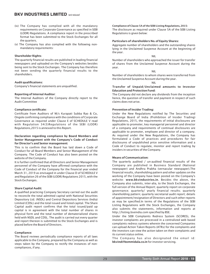- (iv) The Company has complied with all the mandatory requirements on Corporate Governance as specified in SEBI (LODR) Regulations. A compliance report in the prescribed format has been submitted to the Stock Exchanges for all the quarters.
- (v) The Company has also complied with the following nonmandatory requirements:

#### Shareholder Rights:

The quarterly financial results are published in leading financial newspapers and uploaded on the Company's websites besides being sent to the Stock Exchanges. The Company has therefore not been sending the quarterly financial results to the shareholders.

#### Audit qualifications:

Company's financial statements are unqualified.

#### Reporting of Internal Auditor:

The Internal Auditors of the Company directly report to the Audit Committee

#### Compliance certificate:

Certificate from Auditors of M/s Kurapati Subba Rao & Co, Ongole confirming compliance with the conditions of Corporate Governance as required under Clause E of SCHEDULE V read with Regulation 34(3)Regulations of the SEBI (LODR) Regulations,2015 is annexed to this Report.

#### Declaration regarding compliance by Board Members and Senior Management with the Company's Code of Conduct for Director's and Senior management:

This is to confirm that the Board has laid down a Code of Conduct for all Board Members and Senior Management of the Company. The Code of Conduct has also been posted on the website of the Company.

It is further confirmed that all Directors and Senior Management personnel of the Company have affirmed compliance with the Code of Conduct of the Company for the financial year ended March 31, 2019 as envisaged in under Clause D of SCHEDULE V and Regulation 26 of the SEBI (LODR) Regulations 2015, with the Stock Exchanges.

#### Share Capital Audit:

A qualified practicing Company Secretary carried out the audit to reconcile the total admitted capital with National Securities Depository Ltd. (NSDL) and Central Depository Services (India) Limited (CDSL) and the total issued and listed capital. The Share Capital audit report confirms that the total issued/paid up capital is in agreement with the total number of shares in physical form and the total number of dematerialized shares held with NSDL and CDSL. The audit is carried out every quarter and report thereon is submitted to the Stock Exchanges and is placed before the Board of Directors.

#### Compliance:

The Board reviews periodically compliance reports of all laws applicable to the Company, prepared by the Company as well as steps taken by the Company to rectify the instances of noncompliances, if any.

Compliance of Clause 5A of the SEBI Listing Regulations, 2015: The disclosure as required under Clause 5A of the SEBI Listing Regulations is given below:

#### Particulars of shareholders No. of Equity Shares:

Aggregate number of shareholders and the outstanding shares lying in the Unclaimed Suspense Account at the beginning of the year.

NIL

Number of shareholders who approached the issuer for transfer of shares from the Unclaimed Suspense Account during the year.

NIL

Number of shareholders to whom shares were transferred from the Unclaimed Suspense Account during the year.

NIL

#### Transfer of Unpaid/Unclaimed amounts to Investor Education and Protection Fund:

The Company did not declare any dividends from the inception hence, the question of transfer and payment in respect of such claims does not arise.

#### Prevention of Insider Trading:

Under the New Regulations notified by The Securities and Exchange Board of India (Prohibition of Insider Trading) Regulations, 2015, the requirements of initial disclosures are applicable to promoter, key managerial personnel and director of a company and requirements of continual disclosures are applicable to promoter, employee and director of a company. As required under the New Regulations, the Company has formulated a Code of practices and procedures for fair disclosures of unpublished price sensitive information and a Code of Conduct to regulate, monitor and report trading by insiders in securities of the Company.

#### Means of Communication:

The quarterly audited / un-audited financial results of the Company are published in Business Standard (National newspaper) and Andhra Prabha (vernacular newspaper).The financial results, shareholding pattern and other updates on the working of the Company have been posted on the Company's website: www.bkvindustries.in. Besides the above, the Company also submits, inter-alia, to the Stock Exchanges, the full version of the Annual Report; quarterly report on corporate governance; quarterly/ yearly financial results; quarterly shareholding pattern; quarterly secretarial audit report; details of appointment/resignation of Directors and such other reports as may be specified.In terms of the Regulations of the SEBI Listing Regulations with the Stock Exchanges, the Company also submits the statements, information and reports at http://listing.bseindia.com specified by BSE.

Under the SEBI Complaints Redress System (SCORES), the investor complaints are processed in a centralized web based complaints redress systems wherein the concerned Companies can upload Action Taken Reports (ATRs) for the complaints and the investors can view the action taken on their complaints and its current status online.

The Company has also designated the email id: bkvind@bommidala.co.in for investor servicing.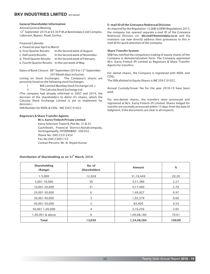#### General Shareholder Information:

Annual General Meeting:

12<sup>th</sup> September 2019 at 03.30 P.M at Bommidala Cold Complex, Lalpuram, Bypass, Road, Guntur.

Financial Calendar

| a. Financial year April to March |                                 |
|----------------------------------|---------------------------------|
| b. First Ouarter Results:        | In the Second week of August.   |
| c. Half yearly Results:          | In the Second week of November. |
| d. Third Ouarter Results:        | In the Second week of February. |

e. Fourth Quarter Results: In the Last week of May.

Dates of Book Closure : 06<sup>th</sup> September 2019 to 12<sup>th</sup> September 2019(both days inclusive).

Listing on Stock Exchanges: The Company's shares are presently listed on the following stock Exchanges:

- I BSE Limited (Bombay Stock Exchange Ltd.,)
- ii. The Calcutta Stock Exchange Ltd.

(The company had already informed in 2007 and 2014, the decision of the shareholders to delist it's shares, which the Calcutta Stock Exchange Limited is yet to implement for decision.)

ISIN Number for NSDL & CDSL : INE 356 C 01022

#### Registrars & Share Transfer Agents:

 M/s. Karvy Fintech Private Limited Karvy Selenium Tower B, Plot No. 31 & 32 Gachibowli, Financial District,Nanakramguda, Serilingampally, HYDERABAD - 500 032

 Phone No: 040-23312454 Fax No:040-23001153 Contact Persons: Mr. N. Shyam Kumar

#### E-mail ID of the Grievance Redressal Division:

As required by the Regulation 13,SEBI (LODR) Regulations 2015, the company has opened separate e-mail ID of the Grievance Redressal Division viz. bkvind@bommidala.co.in and the investors can now directly address their grievances to this email ID for quick attention of the company.

#### Share Transfer System:

SEBI has notified the compulsory trading of equity shares of the Company in dematerialization form. The Company appointed M/s. Karvy Fintech (P) Limited as Registrars & Share Transfer Agents for transfers.

For demat shares, the Company is registered with NSDL and CDSL.

The ISIN allotted to Equity Shares is INE 356 C 01022.

Annual Custody/Issuer fee for the year 2018-19 have been paid.

For non-demat shares, the transfers were processed and registered at M/s. Karvy Fintech (P) Limited. Shares lodged for transfer are normally processed within 15 days from the date of lodgment, if the documents are clear in all respects.

| Shareholding<br>(Range) | No. of<br><b>Shareholders</b> | <b>Amount</b> | %      |
|-------------------------|-------------------------------|---------------|--------|
| $1 - 5,000$             | 12,928                        | 31,19,449     | 20.20  |
| 5,001-10,000            | 50                            | 3,51,389      | 2.27   |
| 10,001-20,000           | 31                            | 4,17,400      | 2.70   |
| 20,001-30,000           | 6                             | 1,49,927      | 0.97   |
| 30,001-40,000           | 3                             | 1,02,579      | 0.66   |
| 40,001-50,000           | 2                             | 83,400        | 0.54   |
| 50,001-1,00,000         | 4                             | 3,16,256      | 2.05   |
| 1,00,001 & above        | 6                             | 1,09,08,184   | 70.61  |
| <b>Total</b>            | 13,030                        | 1,54,48,584   | 100.00 |

#### Distribution of Shareholding as on  $31<sup>st</sup>$  March, 2019.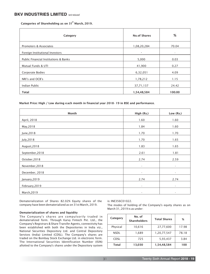Categories of Shareholding as on 31<sup>st</sup> March, 2019.

| Category                              | <b>No.of Shares</b> | $\%$                     |
|---------------------------------------|---------------------|--------------------------|
| Promoters & Associates                | 1,08,20,284         | 70.04                    |
| Foreign Institutional Investors       | ۰                   | $\overline{\phantom{a}}$ |
| Public Financial Institutions & Banks | 5,000               | 0.03                     |
| Mutual Funds & UTI                    | 41,900              | 0.27                     |
| Corporate Bodies                      | 6,32,051            | 4.09                     |
| NRI's and OCB's                       | 1,78,212            | 1.15                     |
| Indian Public                         | 37,71,137           | 24.42                    |
| Total                                 | 1,54,48,584         | 100.00                   |

Market Price: High / Low during each month in financial year 2018- 19 in BSE and performance.

| Month           | High (Rs.)               | Low (Rs.)                |
|-----------------|--------------------------|--------------------------|
| April, 2018     | 1.60                     | 1.60                     |
| May, 2018       | 1.84                     | 1.60                     |
| June, 2018      | 1.70                     | 1.70                     |
| July, 2018      | 1.70                     | 1.65                     |
| August, 2018    | 1.83                     | 1.65                     |
| September, 2018 | 2.61                     | 1.81                     |
| October, 2018   | 2.74                     | 2.59                     |
| November, 2018  | $\overline{\phantom{a}}$ | $\overline{\phantom{a}}$ |
| December, 2018  | $\overline{\phantom{a}}$ | $\overline{\phantom{a}}$ |
| January, 2019   | 2.74                     | 2.74                     |
| February, 2019  | $\overline{\phantom{a}}$ | $\overline{\phantom{a}}$ |
| March, 2019     | $\overline{\phantom{a}}$ | $\overline{\phantom{a}}$ |

Dematerialization of Shares 82.02% Equity shares of the company have been dematerialized as on 31st March, 2019.

#### Dematerialization of shares and liquidity

The Company's shares are compulsorily traded in dematerialized form. Through Karvy Fintech Pvt. Ltd., the Company's Registrars & Share Transfer Agents, connectivity has been established with both the Depositories in India viz., National Securities Depository Ltd. and Central Depository Services (India) Limited (CDSL). The Company's shares are traded on the Bombay Stock Exchange Ltd. in electronic form. The International Securities Identification Number (ISIN) allotted to the Company's shares under the Depository system

#### is: INE356C01022.

The modes of holding of the Company's equity shares as on March 31, 2019 is as under:

| Category    | No. of<br><b>Shareholders</b> | <b>Total Shares</b> | %     |
|-------------|-------------------------------|---------------------|-------|
| Physical    | 10,616                        | 27,77,600           | 17.98 |
| <b>NSDL</b> | 1,689                         | 1,20,77,547         | 78.18 |
| <b>CDSL</b> | 725                           | 5,93,437            | 3.84  |
| Total       | 13,030                        | 1,54,48,584         | 100   |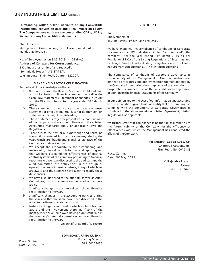Outstanding GDRs/ ADRs/ Warrants or any Convertible instruments, conversion date and likely impact on equity: The Company does not have any outstanding GDRs/ ADRs/ Warrants or any Convertible instruments.

Plant Location:

Shrimp Farm - Given on Long Term Lease Iskapalli, Allur Mandal, Nellore Dist.,

No. of Employees as on 31.3.2019 - 05 (Five) Address of Company for Correspondence: B K V Industries Limited "and reduced", "Bommidala House", # 5-87-15/A, Lakshmipuram Main Road, Guntur - 522007.

#### MANAGING DIRECTOR CERTIFICATION

To the best of our knowledge and belief:

- We have reviewed the Balance Sheet and Profit and Loss and all its Notes on financial statements as well as the Cash Flow Statements, Statement of changes in equity and the Director's Report for the year ended 31<sup>st</sup> March, 2019.
- $\triangleright$  These statements do not contain any materially untrue statement or omit any material fact nor do they contain statements that might be misleading.
- $\triangleright$  These statements together present a true and fair view of the company, and are in compliance with the existing Accounting Standards and / or applicable Laws and Regulations.
- $\triangleright$  There are, to the best of our knowledge and belief, no transactions entered into by the company, during the year, which are fraudulent, illegal or violative of the Companies Code of Conduct.
- $\triangleright$  We accept the responsibility for establishing and maintaining internal controls for financial reporting and that we have evaluated the effectiveness of internal control systems of the company pertaining to financial reporting and we have disclosed to the auditors and the audit committee, the deficiencies in the design or operation of such internal controls, if any of which we are aware and the steps we have taken to rectify these deficiencies.
- $\triangleright$  We have also disclosed to the auditors as well as Audit Committee, that to the best of our knowledge that there are no.
- a. Significant changes in the internal control over financial reporting during the year.
- b. Significant changes in the accounting policies during the year and that the same have been disclosed in the notes to the financial statements; and
- c. Instances of significant fraud of which we have become aware and the involvement there in, if any of the management or an employee having significant role in the company's internal control system over financial reporting during the year.

On Behalf of Board of Directors

#### BOMMIDALA RAMA KRISHNA

Place: Guntur Date : 29.05.2019  Managing Director DIN: 00105030

#### **CERTIFICATE**

To The Members of BKV Industries Limited "and reduced",

We have examined the compliance of conditions of Corporate Governance by BKV Industries Limited "and reduced" ('the company'), for the year ended  $31<sup>st</sup>$  March 2019 as per Regulation 15 (2) of the Listing Regulations of Securities and Exchange Board of India (Listing Obligations and Disclosure Requirements) Regulations,2015 ('Listing Regulations').

The compliance of conditions of Corporate Governance is responsibility of the Management. Our examination was limited to procedures and implementation thereof, adopted by the Company for enduring the compliance of the conditions of Corporate Governance. It is neither an audit nor an expression of opinion on the financial statements of the Company.

In our opinion and to the best of our information and according to the explanations given to us, we certify that the Company has complied with the conditions of Corporate Governance as stipulated in the above mentioned Listing Agreement/ Listing Regulations, as applicable.

We further state that compliance is neither an assurance as to the future viability of the Company nor the efficiency or effectiveness with which the Management has conducted the affairs of the Company.

> For Kurapati Subba Rao & Co, Chartered Accountants, Firm Regn. No. 001618S

Place: Guntur. Date: 29<sup>th</sup> May, 2019

K. Rajendra Prasad Partner M.No.: 207646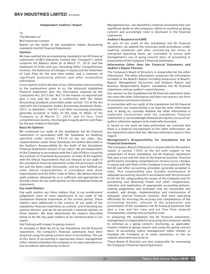#### Independent Auditors' Report

#### To

The Members of

BKV Industries Limited

Report on the Audit of the standalone Indian Accounting standards (Ind AS) Financial Statements.

#### **Opinion**

We have audited the accompanying standalone Ind AS financial statements of BKV Industries Limited (the "Company"), which comprise the Balance Sheet as at March 31, 2019, and the Statement of Profit and Loss (including Other Comprehensive Income), the Statement of Changes in Equity and the Statement of Cash Flow for the year then ended, and a summary of significant accounting policies and other explanatory information.

In our opinion and to the best of our information and according to the explanations given to us, the aforesaid standalone financial statements give the information required by the Companies Act, 2013 (the "Act") in the manner so required and give a true and fair view in conformity with the Indian Accounting Standards prescribed under section 133 of the Act read with the Companies (Indian Accounting Standards) Rules, 2015, as amended, ("Ind AS") and other accounting principles generally accepted in India, of the state of affairs of the Company as at March 31, 2019, and its loss, total comprehensive income, the changes in equity and its cash flows for the year ended on that date.

#### Basis for Opinion

We conducted our audit of the standalone Ind AS financial statements in accordance with the Standards on Auditing specified under section 143(10) of the Act (SAs). Our responsibilities under those Standards are further described in the Auditor's Responsibility for the Audit of the Standalone Financial Statements section of our report. We are independent of the Company in accordance with the Code of Ethics issued by the Institute of Chartered Accountants of India (ICAI) together with the ethical requirements that are relevant to our audit of the standalone financial statements under the provisions of the Act and the Rules made thereunder, and we have fulfilled our other ethical responsibilities in accordance with these requirements and the ICAI's Code of Ethics. We believe that the audit evidence obtained by us is sufficient and appropriate to provide a basis for our audit opinion on the standalone financial statements.

#### Key Audit Matters

Key audit matters are those matters that, in our professional judgement, were of most significance in our audit of the standalone financial statements of the current period. These matters were addressed in the context of our audit of the standalone financial statements as a whole, and in forming our opinion thereon, and we do not provide a separate opinion on these matters. We have determined the matters described below to be the key audit matters to be communicated in our report.

#### Our findings with respect to going concern:

As included in Note No.26 to the Standalone Ind AS financial statements, the company's financial statements have been prepared using the going concern basis of accounting. The use of this basis of accounting is appropriate unless management either intend to liquidate the company or to cease operations or has no realistic alternative but to do so.

Management has not identified a material uncertainty that cast significant doubt on the company's ability to continue as going concern and accordingly none is disclosed in the financial statements.

#### Auditor's Response to KAMS

As part of our audit of the standalone Ind AS financial statements, we applied the necessary audit procedures under auditing standards and after considering the terms of unexpired operating lease, we concluded to concur with management's use of going concern basis of accounting in preparation of the Company's financial statements.

#### Information Other than the Financial Statements and Auditor's Report Thereon

The Company's Board of Directors is responsible for the other information. The other information comprises the information included in the Board's Report including Annexures to Board's Report, Management Discussion and Analysis Report and Business Responsibility Report, standalone Ind AS financial statements and our auditor's report thereon.

Our opinion on the standalone Ind AS financial statements does not cover the other information and does not express any form of assurance conclusions thereon.

In connection with our audit of the standalone Ind AS financial statements, our responsibility is to read the other information and, in doing so, consider whether the other information is materially inconsistent with the standalone financial statements or our knowledge obtained during the course of our audit or otherwise appears to be materially misstated.

If, based on the work we have performed, we conclude that there is a material misstatement of this other information, we are required to report that fact. We have nothing to report in this regard.

#### Management's Responsibility for Standalone Ind AS Financial Statements

The Company's Board of Directors is responsible for the matters stated in section 134(5) of the Act with respect to the preparation of these standalone Ind AS financial statements that give a true and fair view of the financial position, financial performance including comprehensive income (Loss), changes in equity and cash flows of the Company in accordance with the Ind AS and other accounting principles generally accepted in India. This responsibility also includes maintenance of adequate accounting records in accordance with the provisions of the Act for safeguarding the assets of the Company and for preventing and detecting frauds and other irregularities; selection and application of appropriate accounting policies; making judgements and estimates that are reasonable and prudent; and design, implementation and maintenance of adequate internal financial controls, that were operating effectively for ensuring the accuracy and completeness of the accounting records, relevant to the preparation and presentation of the standalone Ind AS financial statement that give a true and fair view and are free from material misstatement, whether due to fraud or error.

In preparing the standalone Ind AS financial statements, management is responsible for assessing the Company's ability to continue as a going concern, disclosing, as applicable, matters related to going concern and using the going concern basis of accounting unless management either intends to liquidate the Company or to cease operations, or has no realistic alternative but to do so.

Those Board of Directors are also responsible for overseeing the Company's financial reporting process.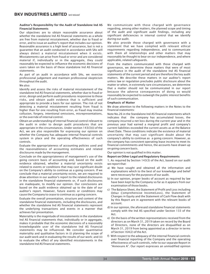#### Auditor's Responsibility for the Audit of Standalone Ind AS Financial Statements

Our objectives are to obtain reasonable assurance about whether the standalone Ind AS financial statements as a whole are free from material misstatement, whether due to fraud or error, and to issue an auditor's report that includes our opinion. Reasonable assurance is a high level of assurance, but is not a guarantee that an audit conducted in accordance with SAs will always detect a material misstatement when it exists. Misstatements can arise from fraud or error and are considered material if, individually or in the aggregate, they could reasonably be expected to influence the economic decisions of users taken on the basis of these standalone Ind AS financial statements.

As part of an audit in accordance with SAs, we exercise professional judgement and maintain professional skepticism throughout the audit.

We also:

Identify and assess the risks of material misstatement of the standalone Ind AS financial statements, whether due to fraud or error, design and perform audit procedures responsive to those risks, and obtain audit evidence that is sufficient and appropriate to provide a basis for our opinion. The risk of not detecting a material misstatement resulting from fraud is higher than for one resulting from error, as fraud may involve collusion, forgery, intentional omissions, misrepresentations, or the override of internal control.

Obtain an understanding of internal financial control relevant to the audit in order to design audit procedures that are appropriate in the circumstances. Under section 143(3)(i) of the Act, we are also responsible for expressing our opinion on whether the Company has adequate internal financial controls system in place and the operating effectiveness of such controls.

Evaluate the appropriateness of accounting policies used and the reasonableness of accounting estimates and related disclosures made by the management.

Conclude on the appropriateness of management's use of the going concern basis of accounting and, based on the audit evidence obtained, whether a material uncertainty exists related to events or conditions that may cast significant doubt on the Company's ability to continue as a going concern. If we conclude that a material uncertainty exists, we are required to draw attention in our auditor's report to the related disclosures in the standalone financial statements or, if such disclosures are inadequate, to modify our opinion. Our conclusions are based on the audit evidence obtained up to the date of our auditor's report. However, future events or conditions may cause the Company to cease to continue as a going concern.

Evaluate the overall presentation, structure and content of the standalone financial statements, including the disclosures, and whether the standalone Ind AS financial statements represent the underlying transactions and events in a manner that achieves fair presentation.

Materiality is the magnitude of misstatements in the standalone Ind AS financial statements that, individually or in aggregate, makes it probable that the economic decisions of a reasonably knowledgeable user of the standalone Ind AS financial statements may be influenced. We consider quantitative materiality and qualitative factors in (i) planning the scope of our audit work and in evaluating the results of our work; and (ii) to evaluate the effect of any identified misstatements in the standalone Ind AS financial statements.

We communicate with those charged with governance regarding, among other matters, the planned scope and timing of the audit and significant audit findings, including any significant deficiencies in internal control that we identify during our audit.

We also provide those charged with governance with a statement that we have complied with relevant ethical requirements regarding independence, and to communicate with them all relationships and other matters that may reasonably be thought to bear on our independence, and where applicable, related safeguards.

From the matters communicated with those charged with governance, we determine those matters that were of most significance in the audit of the standalone Ind AS financial statements of the current period and are therefore the key audit matters. We describe these matters in our auditor's report unless law or regulation precludes public disclosure about the matter or when, in extremely rare circumstances, we determine that a matter should not be communicated in our report because the adverse consequences of doing so would reasonably be expected to outweigh the public interest benefits of such communication.

#### Emphasis of Matter

We draw attention to the following matters in the Notes to the financial statements:

Note No.26 in the Standalone Ind AS financial statements which indicates that the company has accumulated losses, the company incurred a net loss during the current year and in the previous year had earned a marginal profit and company's current liabilities exceeded the current assets as at the Balance sheet Date. These conditions indicate the existence of material uncertainty that may cast significant doubt about the company's ability to continue as a going concern. However, as the company has consistent operating lease income to meet its financial commitments and hence, the accounts have drawn up on going concern basis.

Our opinion is not qualified in this matter.

#### Report on Other Legal and Regulatory Requirements

1. As required by Section 143(3) of the Act, based on our audit we report that:

- a) We have sought and obtained all the information and explanations which to the best of our knowledge and belief were necessary for the purposes of our audit.
- b) In our opinion, proper books of account as required by law have been kept by the Company so far as it appears from our examination of those books.
- c) The Balance Sheet, the Statement of Profit and Loss including Other Comprehensive Income(Loss), the Statement of Changes in Equity and the Statement of Cash Flow dealt with by this Report are in agreement with the relevant books of account.
- d) In our opinion, the aforesaid standalone financial statements comply with the Ind AS specified under Section 133 of the Act.
- e) On the basis of the written representations received from the directors as on March 31, 2019 taken on record by the Board of Directors, none of the directors are disqualified as on March 31, 2019 from being appointed as a director in terms of Section 164(2) of the Act.
- f) With respect to the adequacy of the internal financial controls over financial reporting of the Company and the operating effectiveness of such controls, refer to our separate Report in "Annexure A". Our report expresses an unmodified opinion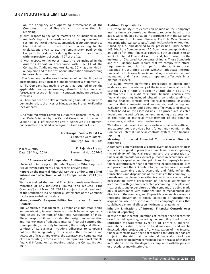on the adequacy and operating effectiveness of the Company's internal financial controls over financial reporting.

- g) With respect to the other matters to be included in the Auditor's Report in accordance with the requirements of section 197(16) of the Act, as amended, In our opinion and to the best of our information and according to the explanations given to us, the remuneration paid by the Company to its directors during the year is in accordance with the provisions of section 197 of the Act.
- h) With respect to the other matters to be included in the Auditor's Report in accordance with Rule 11 of the Companies (Audit and Auditors) Rules, 2014, as amended in our opinion and to the best of our information and according to the explanations given to us:

i. The Company has disclosed the impact of pending litigations on its financial position in its standalone financial statements.

ii. The Company has made provision, as required under the applicable law or accounting standards, for material foreseeable losses on long-term contracts including derivative contracts.

iii. There has been no delay in transferring amounts, required to be transferred, to the Investor Education and Protection Fund by the Company.

2. As required by the Companies (Auditor's Report) Order, 2016 (the "Order") issued by the Central Government in terms of Section 143(11) of the Act, we give in "Annexure B" a statement on the matters specified in paragraphs 3 and 4 of the Order.

#### For Kurapati Subba Rao & Co,

Chartered Accountants, Firm Regn. No. 001618S

| Place: Guntur.            | K. Rajendra Prasad     |
|---------------------------|------------------------|
| Date: $29^{th}$ May, 2019 | Partner, M.No.: 207646 |

#### "Annexure A" of Independent Auditors' Report

(Referred to in paragraph (f) under 'Report on Other Legal and Regulatory Requirements' of our report of even date)

Report on the Internal Financial Controls under Clause (i) of Subsection 3 of Section 143 of the Companies Act, 2013 (the act).

We have audited the internal financial controls over financial reporting of BKV Industries Limited "and reduced" ("the Company") as of March 31, 2019 in conjunction with our audit of the standalone Ind AS financial statements of the Company for the year ended on that date.

#### Management's Responsibility for Internal Financial Controls

The Company's management is responsible for establishing and maintaining internal financial controls based on guidance note issued by Institute of Chartered Accountants of India. These responsibilities include the design, implementation and maintenance of adequate internal financial controls that were operating effectively for ensuring the orderly and efficient conduct of its business, including adherence to company's policies, the safeguarding of its assets, the prevention and detection of frauds and errors, the accuracy and completeness of the accounting records, and the timely preparation of reliable financial information, as required under the Companies Act, 2013.

#### Auditors' Responsibility

Our responsibility is to express an opinion on the Company's internal financial controls over financial reporting based on our audit. We conducted our audit in accordance with the Guidance Note on Audit of Internal Financial Controls Over Financial Reporting (the "Guidance Note") and the Standards on Auditing, issued by ICAI and deemed to be prescribed under section 143(10) of the Companies Act, 2013, to the extent applicable to an audit of internal financial controls, both applicable to an audit of Internal Financial Controls and, both issued by the Institute of Chartered Accountants of India. Those Standards and the Guidance Note require that we comply with ethical requirements and plan and perform the audit to obtain reasonable assurance about whether adequate internal financial controls over financial reporting was established and maintained and if such controls operated effectively in all material respects.

Our audit involves performing procedures to obtain audit evidence about the adequacy of the internal financial controls system over financial reporting and their operating effectiveness. Our audit of internal financial controls over financial reporting included obtaining an understanding of internal financial controls over financial reporting, assessing the risk that a material weakness exists, and testing and evaluating the design and operating effectiveness of internal control based on the assessed risk. The procedures selected depend on the auditor's judgement, including the assessment of the risks of material misstatement of the financial statements, whether due to fraud or error.

We believe that the audit evidence we have obtained is sufficient and appropriate to provide a basis for our audit opinion on the Company's internal financial controls system over financial reporting.

#### Meaning of Internal Financial Controls over Financial Reporting

 A company's internal financial control over financial reporting is a process designed to provide reasonable assurance regarding the reliability of financial reporting and the preparation of financial statements for external purposes in accordance with generally accepted accounting principles. A company's internal financial control over financial reporting includes those policies and procedures that (1) pertain to the maintenance of records that, in reasonable detail, accurately and fairly reflect the transactions and dispositions of the assets of the company; (2) provide reasonable assurance that transactions are recorded as necessary to permit preparation of financial statements in accordance with generally accepted accounting principles, and that receipts and expenditures of the company are being made only in accordance with authorizations of management and directors of the company; and (3) provide reasonable assurance regarding prevention or timely detection of unauthorized acquisition, use, or disposition of the company's assets that could have a material effect on the financial statements.

#### Inherent Limitations of Internal Financial Controls over Financial Reporting

Because of the inherent limitations of internal financial controls over financial reporting, including the possibility of collusion or improper management override of controls, material misstatements due to error or fraud may occur and not be detected. Also projections of any evaluation of the internal financial controls over financial reporting to future periods are subject to the risk that the internal financial control over financial reporting may become inadequate because of changes in conditions, or that the degree of compliance with the policies or procedures may deteriorate.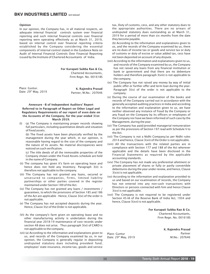#### Opinion

In our opinion, the Company has, in all material respects, an adequate internal financial controls system over financial reporting and such internal financial controls over financial reporting were operating effectively as at March 31, 2019, based on internal control over financial reporting criteria established by the Company considering the essential components of internal control stated in the Guidance Note on Audit of Internal Financial Controls Over Financial Reporting issued by the Institute of Chartered Accountants of India.

For Kurapati Subba Rao & Co,

Chartered Accountants, Firm Regn. No. 001618S

| Place: Guntur.            | K. Rajendra Prasad     |
|---------------------------|------------------------|
| Date: $29^{th}$ May, 2019 | Partner, M.No.: 207646 |

Annexure -B of Independent Auditors' Report Referred to in Paragraph of Report on Other Legal and Regulatory Requirements of our report of even date on the Accounts of the Company, for the year ended 31st March 2019.

(I) (a) The Company is maintaining proper records showing full particulars, including quantitative details and situation of fixed assets;

(b) The fixed assets have been physically verified by the management during the year which, in our opinion, is reasonable having regard to the size of the company and the nature of its assets. No material discrepancies were noticed on such verification.

(c) The title deeds of all the immovable properties of the Company shown under the Fixed Assets schedule are held in the name of Company.

- (ii) The company has given it's farm on operating lease and hence does not hold any Inventory. Paragraph 3(ii) is therefore not applicable to the company.
- (iii) The Company has not granted any loans, secured or unsecured to companies, firms, limited liability partnerships or other parties covered in the register maintained under Section 189 of the Act.
- (iv) The Company has not granted any loans / investments / guarantees, to which the provisions of Section 185 and 186 of the Act are applicable - Hence, Clause 3(iv) of the order is not applicable.
- (v) The Company has not accepted deposits during the year. Hence, Clause 3(v) of the Order is not applicable.
- (Vi) As the company's farm given on operating lease and no other manufacturing activity is undertaken during the financial year 2018-19 maintenance of cost records under section 48 does not arise. Thus paragraph 3(vi) of CARO is not applicable to the company.
- (vii) (a) According to the information and explanations given to us, and records of the Company examined by us, in our opinion, the Company is generally regular in depositing undisputed statutory dues including provident fund, employees' state insurance, income-tax, goods and service

tax, Duty of customs, cess, and any other statutory dues to the appropriate authorities. There are no arrears of undisputed statutory dues outstanding as at March 31, 2019 for a period of more than six months from the date they become payable.

(b) According to the information and explanations given to us, and the records of the Company examined by us, there are no dues of income tax or goods and service tax or duty of customs or duty of excise or value added tax, cess have not been deposited on account of any dispute.

- (viii) According to the information and explanations given to us, and records of the Company examined by us, the Company has not raised any loans from any financial institution or bank or government and that there are no debenture holders and therefore paragraph 3(viii) is not applicable to the company.
- (ix) The Company has not raised any money by way of initial public offer or further offer and term loan during the year. Paragraph 3(ix) of the order is not applicable to the company.
- (x) During the course of our examination of the books and records of the Company carried out in accordance with the generally accepted auditing practices in India and according to the information and explanation given to us, we have neither observed any instance of fraud by the Company or any fraud on the Company by its officers or employees of the Company nor have we been informed of such case by the Management, during the year.
- (xi) The Company has paid/provided managerial remuneration as per the provisions of Section 197 read with Schedule V to the Act.
- (xii) The Company is not a Nidhi Company/as per Nidhi rules 2014 and hence, Clause 3(xii) of the Order is not applicable.
- (xiii) All the transactions with the related parties are in compliance with Section 177 and 188 of the Act wherever applicable and the details have been disclosed in the Financial Statements as required by the applicable accounting standards.
- (xiv) The Company has not made any preferential allotment or private placement of shares or fully or partly convertible debentures during the year under review, and hence, Clause 3(xiv) is not applicable.
- (xv) According to the information and explanation provided to us and based on our examination of records, the Company has not entered into any non-cash transactions with Directors or persons connected with him and hence Clause 3(xv) is not applicable.
- (xvi) The Company is not required to be registered under Section 45-IA of the Reserve Bank of India Act, 1934 and hence, Clause 3(xvi) is not applicable.

For Kurapati Subba Rao & Co,

Chartered Accountants, Firm Regn. No. 001618S

Place: Guntur Date: 29<sup>th</sup> May, 2019  K. Rajendra Prasad Partner M.No.: 207646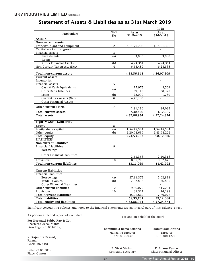|                                      |                   |                          | (In Rs)                  |
|--------------------------------------|-------------------|--------------------------|--------------------------|
| <b>Particulars</b>                   | <b>Note</b><br>No | As at<br>31-Mar-19       | As at<br>31-Mar-18       |
| <b>ASSETS</b>                        |                   |                          |                          |
| Non-current assets                   |                   |                          |                          |
| Property, plant and equipment        | $\overline{2}$    | 4, 14, 70, 708           | 4,15,51,320              |
| Capital work-in-progress             |                   |                          |                          |
| Financial assets                     | 3                 |                          |                          |
| Investments                          | (a)               | 3,000                    | 3,000                    |
| Loans                                |                   |                          |                          |
| <b>Other Financial Assets</b>        | (b)               | 4,24,351                 | 4,24,351                 |
| Non-Current Tax Assets (Net)         | 4                 | 6,58,489                 | 6,28,538                 |
|                                      |                   |                          |                          |
| Total non-current assets             |                   | 4,25,56,548              | 4,26,07,209              |
| <b>Current assets</b>                |                   |                          |                          |
| Inventories                          |                   | $\overline{\phantom{a}}$ | $\overline{\phantom{a}}$ |
| Financial assets                     | 5                 |                          |                          |
| Cash & Cash Equivalents              |                   | 17,975                   | 3,502                    |
| Other Bank Balances                  | (a)               | 39,110                   | 28,370                   |
| Loans                                | (b)               | 22,000                   | 1,760                    |
| Current Tax Assets (Net)             | 6                 | 4,70,135                 | $\blacksquare$           |
| <b>Other Financial Assets</b>        |                   |                          |                          |
|                                      | $\overline{7}$    |                          |                          |
| Other current assets                 |                   | 1,81,186                 | 84,033                   |
| <b>Total current assets</b>          |                   | 7,30,406                 | 1,17,665                 |
| <b>Total assets</b>                  |                   | 4,32,86,954              | 4,27,24,874              |
| <b>EQUITY AND LIABILITIES</b>        |                   |                          |                          |
| Equity                               | 8                 |                          |                          |
| Equity share capital                 | (a)               | 1,54,48,584              | 1,54,48,584              |
| Other equity                         | (b)               | 2,20,04,639              | 2,43,64,222              |
| <b>Total equity</b>                  |                   | 3,74,53,223              | 3,98,12,806              |
| <b>LIABILITIES</b>                   |                   |                          |                          |
| <b>Non-current liabilities</b>       |                   |                          |                          |
| <b>Financial Liabilities</b>         | 9                 |                          |                          |
| Borrowings                           |                   | $\overline{\phantom{a}}$ | $\blacksquare$           |
| Other Financial Liabilities          |                   |                          | 2,40,316                 |
| Provisions                           | 10                | 2,55,356<br>10,55,713    | 9,02,676                 |
| <b>Total non-current liabilities</b> |                   | 13,11,069                | 11,42,992                |
|                                      |                   |                          |                          |
| <b>Current liabilities</b>           |                   |                          |                          |
| <b>Financial liabilities</b>         | 11                |                          |                          |
| <b>Borrowings</b>                    | (a)               | 27, 34, 375              | 5,02,814                 |
| <b>Trade Payables</b>                | (b)               | 7,62,897                 | 3,36,830                 |
| Other Financial Liabilities          |                   |                          |                          |
| Other current liabilities            | 12                | 9,86,079                 | 9,15,234                 |
| Provisions                           | 10                | 39,311                   | 14.198                   |
| <b>Total Current Liabilities</b>     |                   | 45,22,662                | 17,69,076                |
| <b>Total liabilities</b>             |                   | 58,33,731                | 29,12,068                |
| <b>Total equity and liabilities</b>  |                   | 4,32,86,954              | 4,27,24,874              |

# Statement of Assets & Liabilities as at 31st March 2019

Significant Accounting policies and notes to the financial statements are an integral part of this Balance Sheet.

As per our attached report of even date.<br>For and on behalf of the Board

For Kurapati Subba Rao & Co., Chartered Accountants, Firm Regn.No: 001618S,

K. Rajendra Prasad, Partner. (M.No:207646)

Date: 29.05.2019 Place: Guntur

Bommidala Rama Krishna Bommidala Anitha Managing Director Director<br>DIN:00105030 DIN:00112766 DIN:00105030

B. Virat Vishnu K. Bhanu Kumar<br>
Company Secretary Chief Financial Office Chief Financial Officer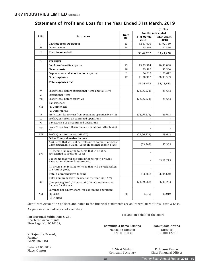|              |                                                                                                                       |                |                          | (In Rs)             |
|--------------|-----------------------------------------------------------------------------------------------------------------------|----------------|--------------------------|---------------------|
|              |                                                                                                                       | <b>Note</b>    | For the Year ended       |                     |
| S.No:        | <b>Particulars</b>                                                                                                    | No.            | 31st March,<br>2019      | 31st March.<br>2018 |
| I            | <b>Revenue From Operations</b>                                                                                        | 13             | 32,67,000                | 31,92,750           |
| $\mathbf{I}$ | Other Income                                                                                                          | 14             | 75,202                   | 1,52,526            |
| Ш            | Total Income (I+II)                                                                                                   |                | 33,42,202                | 33,45,276           |
| IV           | <b>EXPENSES</b>                                                                                                       |                |                          |                     |
|              | Employee benefits expense                                                                                             | 15             | 13,75,374                | 10,31,808           |
|              | Finance costs                                                                                                         | 16             | 39,520                   | 86,584              |
|              | Depreciation and amortization expense                                                                                 | $\overline{c}$ | 84,612                   | 1,03,672            |
|              | Other expenses                                                                                                        | 17             | 41,38,917                | 20,93,569           |
|              | <b>Total expenses (IV)</b>                                                                                            |                | 56,38,423                | 33,15,633           |
| V            | Profit/(loss) before exceptional items and tax (I-IV)                                                                 |                | (22, 96, 221)            | 29,643              |
| VI           | <b>Exceptional Items</b>                                                                                              |                |                          |                     |
| VII          | Profit/(loss) before tax (V-VI)                                                                                       |                | (22, 96, 221)            | 29,643              |
|              | Tax expense:                                                                                                          |                |                          |                     |
| <b>VIII</b>  | (1) Current tax                                                                                                       |                |                          |                     |
|              | (2) Deferred tax                                                                                                      |                |                          |                     |
| IX           | Profit (Loss) for the year from continuing operation (VII-VIII)                                                       |                | (22, 96, 221)            | 29,643              |
| X            | Profit/(loss) from discontinued operations                                                                            |                | $\overline{a}$           |                     |
| XI           | Tax expense of discontinued operations                                                                                |                | $\overline{\phantom{a}}$ | $\overline{a}$      |
| XII          | Profit/(loss) from Discontinued operations (after tax) (X-<br>XI)                                                     |                |                          |                     |
| XIII         | Profit/(loss) for the year (IX+XII)                                                                                   |                | (22, 96, 221)            | 29,643              |
|              | <b>Other Comprehensive Income</b>                                                                                     |                |                          |                     |
|              | A (i) Items that will not be reclassified to Profit of (Loss)<br>Remeasurements Gains/(Loss) on defined benefit plans |                | (63, 362)                | 85,365              |
| XIV          | (ii) Income tax relating to items that will not be<br>reclassified to Profit or (Loss)                                |                | $\overline{\phantom{a}}$ |                     |
|              | B (i) Items that will be reclassified to Profit or (Loss)<br>Revaluation Gain on land property                        |                |                          | 65,19,275           |
|              | (ii) Income tax relating to items that will be reclassified<br>to Profit or (Loss)                                    |                |                          |                     |
|              | <b>Total Comprehensive Income</b>                                                                                     |                | (63, 362)                | 66,04,640           |
|              | Total Comprehensive Income for the year (XIII+XIV)                                                                    |                |                          |                     |
| XV           | (Comprising Profit/ (Loss) and Other Comprehensive<br>Income for the year                                             |                | (23, 59, 583)            | 66, 34, 283         |
|              | Earnings per equity share (for continuing operation)                                                                  |                |                          |                     |
| XVI          | $(1)$ Basic                                                                                                           | 20             | (0.15)                   | 0.0019              |
|              | (2) Diluted                                                                                                           |                |                          |                     |

# Statement of Profit and Loss for the Year Ended 31st March, 2019

Significant Accounting policies and notes to the financial statements are an integral part of this Profit & Loss.

As per our attached report of even date.

For Kurapati Subba Rao & Co., **For Kurapati Subba Rao & Co.**, Chartered Accountants, Firm Regn.No: 001618S,

K. Rajendra Prasad, Partner. (M.No:207646)

Date: 29.05.2019 Place: Guntur

Managing Director Director<br>DIN: 00112766<br>DIN: 00112766 DIN:00105030

Bommidala Rama Krishna Bommidala Anitha

B. Virat Vishnu K. Bhanu Kumar<br>
Company Secretary Chief Financial Offic Chief Financial Officer

í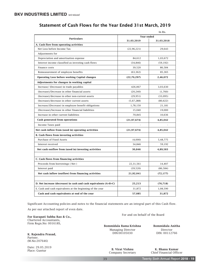|                                                      |               | In Rs.     |
|------------------------------------------------------|---------------|------------|
| <b>Particulars</b>                                   | Year ended    |            |
|                                                      | 31.03.2019    | 31.03.2018 |
| A. Cash flow from operating activities               |               |            |
| Net Loss before Income Tax                           | (22, 96, 221) | 29,643     |
| Adjustments for                                      |               |            |
| Depreciation and amortisation expense                | 84,612        | 1,03,672   |
| Interest income classified as investing cash flows   | (34, 846)     | (59, 192)  |
| Finance costs                                        | 39,520        | 86,584     |
| Remeasurement of employee benefits                   | (63, 362)     | 85,365     |
| Operating Loss before working Capital changes        | (22, 70, 297) | 2,46,072   |
| Adjestments for changes in working capital           |               |            |
| Increase/ (Decrease) in trade payables               | 426,067       | 3,03,630   |
| (Increase)/Decrease in other financial assets        | (20, 240)     | (1,760)    |
| (Increase)/decrease in other non-current assets      | (29, 951)     | (33,095)   |
| (Increase)/decrease in other current assets          | (5,67,288)    | (80, 622)  |
| Increase/(Decrease) in employee benefit obligations  | 1,78,150      | 21,181     |
| (Decrease)/Increase in other financial liabilities   | 15,040        | 19,000     |
| Increase in other current liabilities                | 70,845        | 10,636     |
| Cash generated from operations                       | (21, 97, 674) | 4,85,042   |
| Income Taxes paid                                    |               |            |
| Net cash inflow from (used in) operating activities  | (21, 97, 674) | 4,85,042   |
| <b>B.</b> Cash flows from investing activities       |               |            |
| Purchase of Fixed Assets                             | (4,000)       | 5,48,775   |
| Interest received                                    | 34,846        | 59,192     |
| Net cash outflow from (used in) investing activities | 30,846        | 4,89,583   |
|                                                      |               |            |
| C. Cash flows from financing activities              |               |            |
| Proceeds from borrowings (Net)                       | 22,31,561     | 14,407     |
| Interest paid                                        | (39,520)      | (86, 584)  |
| Net cash inflow (outflow) from financing activities  | 21,92,041     | (72, 177)  |
|                                                      |               |            |

# Statement of Cash Flows for the Year Ended 31st March, 2019

Significant Accounting policies and notes to the financial statements are an integral part of this Cash flow.

As per our attached report of even date.

D. Net increase (decrease) in cash and cash equivalents (A+B+C)

E. Cash and cash equivalents at the beginning of the year Cash and cash equivalents at end of the year

For Kurapati Subba Rao & Co., **For Kurapati Subba Rao & Co.**, **For and on behalf of the Board** Chartered Accountants, Firm Regn.No: 001618S,

K. Rajendra Prasad, Partner. (M.No:207646)

Date: 29.05.2019 Place: Guntur

Managing Director Director

 $\overline{\phantom{a}}$ 

25,213 31,872 57,085

I

ł

Bommidala Rama Krishna Bommidala Anitha DIN: 00112766

(76,718) 1,08,590 31,872

B. Virat Vishnu K. Bhanu Kumar<br>
Company Secretary Chief Financial Office Chief Financial Officer

í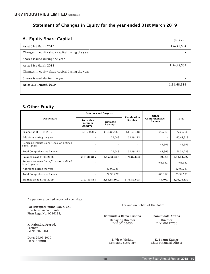# Statement of Changes in Equity for the year ended 31st March 2019

# A. Equity Share Capital

(In Rs.)

| As at 31st March 2017                           | 154,48,584  |
|-------------------------------------------------|-------------|
| Changes in equity share capital during the year |             |
| Shares issued during the year                   |             |
| As at 31st March 2018                           | 1,54,48,584 |
| Changes in equity share capital during the year |             |
| Shares issued during the year                   |             |
| As at 31st March 2019                           | 1,54,48,584 |
|                                                 |             |

# B. Other Equity

|                                                         |                                         | <b>Reserves and Surplus</b> | <b>Revaluation</b>       | Other                    |               |
|---------------------------------------------------------|-----------------------------------------|-----------------------------|--------------------------|--------------------------|---------------|
| <b>Particulars</b>                                      | <b>Securities</b><br>Premium<br>Reserve | Retained<br>Earnings        | Surplus                  | Comprehensive<br>Income  | Total         |
| Balance as at 01-04-2017                                | 2,11,80,815                             | (3,4588,582)                | 3,11,63,418              | (25, 712)                | 1,77,29,939   |
| Additions during the year                               |                                         | 29,643                      | 65,19,275                | $\overline{\phantom{a}}$ | 65,48,918     |
| Remeasurements Gains/(Loss) on defined<br>benefit plans | ٠                                       | $\overline{\phantom{a}}$    | ٠                        | 85,365                   | 85,365        |
| Total Comprehensive Income                              |                                         | 29,643                      | 65,19,275                | 85,365                   | 66, 34, 283   |
| Balance as at 31-03-2018                                | 2,11,80,815                             | (3, 45, 58, 939)            | 3,76,82,693              | 59,653                   | 2,43,64,222   |
| Remeasurements Gains/(Loss) on defined<br>benefit plans |                                         | $\sim$                      | $\overline{\phantom{a}}$ | (63, 362)                | (63, 362)     |
| Additions during the year                               |                                         | (22, 96, 221)               | $\sim$                   | $\overline{\phantom{a}}$ | (22, 96, 221) |
| Total Comprehensive Income                              |                                         | (22, 96, 221)               | $\sim$                   | (63, 362)                | (23, 59, 583) |
| Balance as at 31-03-2019                                | 2,11,80,815                             | (3,68,55,160)               | 3,76,82,693              | (3,709)                  | 2,20,04,639   |

As per our attached report of even date.

Chartered Accountants, Firm Regn.No: 001618S,

K. Rajendra Prasad, Partner. (M.No:207646)

Date: 29.05.2019 Place: Guntur

For Kurapati Subba Rao & Co., **For Kurapati Subba Rao & Co.**, **For and on behalf of the Board** 

Bommidala Rama Krishna Bommidala Anitha Managing Director Director

DIN: 00112766

B. Virat Vishnu K. Bhanu Kumar<br>
Company Secretary Chief Financial Office Chief Financial Officer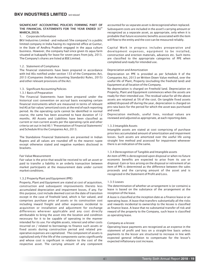# SIGNIFICANT ACCOUNTING POLICIES FORMING PART OF THE FINANCIAL STATEMENTS FOR THE YEAR ENDED 31st MARCH, 2019.

#### 1. Corporate Information

BKV Industries Limited - and reduced ('the company') is a public limited company in India having its registered office at Guntur, in the State of Andhra Pradesh engaged in the aqua culture business. However, the company had since given its aqua farm situated at Isakapally for lease for seven years from July, 2013. The Company's shares are listed at BSE Limited.

#### 1.2. Statement of Compliance

The financial statements have been prepared in accordance with Ind ASs notified under section 133 of the Companies Act, 2013 (Companies (Indian Accounting Standards) Rules, 2015) and other relevant provisions of the Act.

#### 1.3. Significant Accounting Policies

#### 1.3.1 Basis of Preparation

The Financial Statements have been prepared under the historical cost convention on accrual basis excepting certain financial instruments which are measured in terms of relevant Ind AS at fair value/ amortized costs at the end of each reporting period. As the operating cycle cannot be identified in normal course, the same has been assumed to have duration of 12 months. All Assets and Liabilities have been classified as current or non-current assets per the operating cycle and other criteria set out in Ind AS 1 'Presentation of Financial Statements' and Schedule III to the Companies Act, 2013.

The Standalone Financial Statements are presented in Indian Rupees and all values are rounded off to the nearest rupee except otherwise stated and negative numbers disclosed in brackets.

#### Fair Value Measurement

Fair value is the price that would be received to sell an asset or paid to transfer a liability in an orderly transaction between market participants at the measurement date under current market conditions.

#### 1.3.2 Property Plant and Equipment (PPE)

Property, Plant and Equipment are stated at cost of acquisition, construction and subsequent improvements thereto less accumulated depreciation and impairment losses, if any. For this purpose, cost include deemed cost on the date of transition except in the case of freehold land, which is fair valued, and comprises purchase price of assets or its construction cost including inward freight and other expenses incidental to acquisition or installation and adjustment for exchange differences wherever applicable and any cost directly attributable to bring the asset into the location and condition necessary for it to be capable of operating in the manner intended for its use. For eligible assets, interest and other costs incurred on / related to borrowings to finance such assets or fixed assets during construction period and related preoperative expenses are capitalized. The component of assets is capitalized only if the life of the components varies significantly and whose cost is significant in relation to the cost of the respective asset. The carrying amount of any component

accounted for as separate asset is derecognized when replaced. Subsequent costs are included in the asset's carrying amount or recognized as a separate asset, as appropriate, only when it is probable that future economic benefits associated with the item will flow to the entity and the cost can be measured reliably.

Capital Work in progress includes preoperative and development expenses, equipment to be installed, construction and erection materials, advances etc. Such items are classified to the appropriate categories of PPE when completed and ready for intended use.

#### Depreciation and Amortization

Depreciation on PPE is provided as per Schedule II of the Companies Act, 2013 on Written Down Value method, over the useful life of Plant, Property (excluding the freehold land) and Equipment at all location of the Company.

No depreciation is charged on Freehold land. Depreciation on Property, Plant and Equipment commences when the assets are ready for their intended use. The residual value for all the above assets are retained at 5% of the cost. On tangible fixed assets added/disposed off during the year, depreciation is charged on pro-rata basis for the period for which the asset was purchased and used.

Depreciation methods, useful lives, residual values are reviewed and adjusted as appropriate, at each reporting date.

#### 1.3.3 Intangible Assets

Intangible assets are stated at cost comprising of purchase price less accumulated amount of amortization and impairment losses. Such assets are amortized over the useful life using straight line method and assessed for impairment whenever there is an indication of the same.

#### 1.3.4 Derecognition of Tangible and Intangible assets

An item of PPE is derecognized upon disposal or when no future economic benefits are expected to arise from its use or disposal. Gain or loss arising on the disposal or retirement of an item of PPE is determined as the difference between the sales proceeds and the carrying amount of the asset and is recognized in the Statement of Profit and Loss.

#### 1.3.5 Leases

The determination of whether an arrangement is (or contains) a lease is based on the substance of the arrangement at the inception of the lease.

A lease is classified at the inception date as a finance lease or an operating lease. A lease that transfers substantially all the risks and rewards incidental to ownership to the lessee is classified as finance lease. A lease that no substantial transfer of risk and reward of the property to the Company, such lease is classified as operating lease.

#### Company as a lessee:

Operating lease payments are recognized as an expense in the statement of profit and loss on a straight-line basis unless payments to the lessor are structured to increase in line with expected general inflation to compensate for the lessor's expected inflationary cost increase.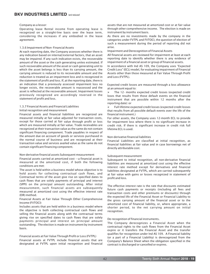#### Company as a lessor:

Operating lease Rental income from operating lease is recognized on a straight-line basis over the lease term, considering the increases if any embodied in the lease agreement.

#### 1.3.6 Impairment of Non- Financial Assets

At each reporting date, the Company assesses whether there is any indication based on internal/external factors, that an asset may be impaired. If any such indication exists, the recoverable amount of the asset or the cash generating unites estimated. If such recoverable amount of the asset or cash generating unit to which the asset belongs is less than its carrying amount, the carrying amount is reduced to its recoverable amount and the reduction is treated as an impairment loss and is recognized in the statement of profit and loss. If, at the reporting date, there is an indication that a previously assessed impairment loss no longer exists, the recoverable amount is reassessed and the asset is reflected at the recoverable amount. Impairment losses previously recognized are accordingly reversed in the statement of profit and loss.

#### 1.3.7 Financial Assets and Financial Liabilities

#### Initial recognition and measurement

Financial assets and financial liabilities are recognized are measured initially at fair value adjusted for transaction costs, except for those carried at fair value through profit or loss which are measured initially at fair value. Trade receivables are recognized at their transaction value as the same do not contain significant financing component. Trade payables in respect of the amount due on account of goods or services purchased in the normal course of business and are recognized at their transaction value and services availed value as the same do not contain significant financing component.

#### Non-derivative financial assets Subsequent measurement

Financial assets carried at amortized cost —a financial asset is measured at the amortized cost, if both the following conditions are met:

The asset is held within a business model whose objective is to hold assets for collecting contractual cash flows, and Contractual terms of the asset give rise on specified dates to cash flows that are solely payments of principal and interest (SPPI) on the principal amount outstanding. After initial measurement, such financial assets are subsequently measured at amortized cost using the effective interest rate (EIR) method.

#### Financial Assets at Fair Value Through Other Comprehensive Income (FVTOCI)

Includes assets that are held within in a business model where the objective is both collecting contractual cash flows and selling the financial assets along with the contractual terms giving rise on specified dates to cash flows that are solely payments principal and interest on principal amount outstanding. The election is made on instrument by instrument basis.

#### Financial assets at Fair Value Through Profit or Loss (FVTPL) Financial assets at FVTPL include financial assets that are designated at FVTPL upon initial recognition and financial

assets that are not measured at amortized cost or at fair value through other comprehensive income. The election is made on instrument by instrument basis.

As there are no investments made by the company in the categories under FVTPL and FVTOCI, the question of election of such a measurement during the period of reporting did not arise.

Impairment and Derecognition of Financial Assets

All financial assets are reviewed for impairment at least at each reporting date to identify whether there is any evidence of impairment of a financial asset or group of financial assets.

In accordance with Ind AS 109, the Company uses "Expected Credit Loss" (ECL) model, for evaluating impairment of Financial Assets other than those measured at Fair Value Through Profit and Loss (FVTPL).

Expected credit losses are measured through a loss allowance at an amount equal to:

 $\triangleright$  The 12- months expected credit losses (expected credit loses that results from those default events on the financial instrument that are possible within 12 months after the reporting date): or

 $\triangleright$  Full lifetime expected credit losses (expected credit losses that results from all possible default events over the life of the financial instrument.)

For other assets, the Company uses 12-month ECL to provide for impairment loss where there is no significant increase in credit risk. If there is significant increase in credit risk full lifetime ECL is used.

#### Non-derivative financial liabilities

Financial Liabilities are classified at initial recognition, as financial liabilities at fair value and in case borrowings net of directly attributable cost.

#### Subsequent measurement

Subsequent to initial recognition, all non-derivative financial liabilities are measured at amortized cost using the effective interest rate method except for derivatives and financial liabilities designated at FVTPL, which are carried subsequently at fair value with gains or losses recognized in statement of profit and loss.

The effective interest rate is the rate that discounts estimated future cash payments or receipts (including all fees and transaction costs and other premiums or discounts) through the expected life of the Financial Asset or Financial Liability to the gross carrying amount of the financial asset or to the amortized cost of financial liability, or, where appropriate, a shorter period, to the net carrying amount on initial recognition.

#### De-recognition of financial instruments.

The Company derecognizes a Financial Asset when the contractual rights to the cash flows from the Financial Asset expire or it transfers the Financial Asset and the transfer qualifies for recognition under Ind AS 109. A Financial liability (or a part of a Financial Liability) is derecognized from the Company's Balance Sheet when the obligation specified in the contract is discharged or cancelled or expires.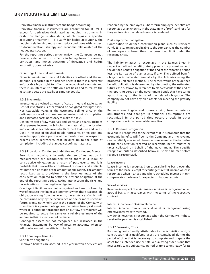#### Derivative financial instruments and hedge accounting

Derivative financial instruments are accounted for at FVTPL except for derivatives designated as hedging instruments in cash flow hedge relationships, which require a specific accounting treatment. To qualify for hedge accounting, the hedging relationship must meet strict conditions with respect to documentation, strategy and economic relationship of the hedged transaction.

For the reporting periods under review, the Company do not have any derivative instruments including forward currency contracts, and hence question of derivative and hedge accounting does not arise.

#### Offsetting of financial instruments

Financial assets and financial liabilities are offset and the net amount is reported in the balance sheet if there is a currently enforceable legal right to offset the recognized amounts and there is an intention to settle on a net basis and to realize the assets and settle the liabilities simultaneously.

#### 1.3.8 Inventories

Inventories are valued at lower of cost or net realizable value. Cost of inventories is ascertained on 'weighted average' basis. Net Realizable Value is the estimated selling price in the ordinary course of business less estimated cost of completion and estimated costs necessary to make the sale.

Cost in respect of raw materials and stores and spares includes all expenses incurred in bringing the material to the location and excludes the credit availed with respect to duties and taxes. Cost in respect of finished goods represents prime cost and includes appropriate portion of overheads. Cost in respect of process stock represents, cost incurred up to the stage of completion, including the landed cost of raw materials.

#### 1.3.9 Provisions, Contingent Liabilities and Contingent Assets

Provisions involving substantial degree of estimation in measurement are recognized when there is a legal or constructive obligation as a result of past events and it is probable that there will be an outflow of resources and a reliable estimate can be made of the amount of obligation. The amount recognized as a provision is the best estimate of the consideration required to settle the present obligation at the end of the reporting period, taking into account the risks and uncertainties surrounding the obligation.

Contingent liabilities are not recognized and are disclosed by way of notes to the financial statements when there is a possible obligation arising from past events, the existence of which will be confirmed only by the occurrence or one or more uncertain future events not wholly within the control of the Company or when there is a present obligation that arises from past events where it is either not probable that an outflow of resources will be required to settle the same or a reliable estimate of the amount in this respect cannot be made.

Contingent assets are not recognized but disclosed in the Financial Statements by way of notes to accounts when an inflow of economic benefits is probable.

#### 1.3.10 Employee Benefits

#### Short term obligations

Employee benefits are accrued in the year in which services are

rendered by the employees. Short term employee benefits are recognized as an expense in the statement of profit and loss for the year in which the related service is rendered.

#### Post-employment obligation

Contribution to defined contribution plans such as Provident Fund, ESI etc, are not applicable to the company, as the number of employees is lower than the prescribed limit under the respective Acts.

The liability or asset is recognized in the Balance Sheet in respect of defined benefit gratuity plan is the present value of the defined benefit obligation at the end of the reporting period less the fair value of plan assets, if any. The defined benefit obligation is calculated annually by the Actuaries using the projected unit credit method. The present value of the defined benefit obligation is determined by discounting the estimated future cash outflows by reference to market yields at the end of the reporting period on the government bonds that have terms approximating to the terms of the related obligation. The company do not have any plan assets for meeting the gratuity liability.

Remeasurement gain and losses arising from experience adjustments and changes in actuarial assumptions are recognized in the period they occur, directly in other comprehensive income net of deferred tax.

#### 1.3.11Revenue recognition

Revenue is recognized to the extent that it is probable that the economic benefits will flow to the Company and the revenue can be reliably measured. Revenue is measured at the fair value of the consideration received or receivable, net of rebates or taxes collected on behalf of the government. The specific recognition criteria described below must also be met before revenue is recognized.

#### Lease income

Lease income is recognized on a straight-line basis over the terms of the lease, except for contingent rental income which is recognized when it arises and where scheduled increase in rent compensates the lessor for expected inflationary costs.

#### Sale of services

Revenue in respect of maintenance services is recognized on an accrual basis, in accordance with the terms of the respective contract.

#### Interest income and Dividend Income

Interest income from a financial asset is recognized using effective interest rate method.

Dividends Revenue is recognized when the Company's right to receive the payment is established.

#### 1.3.12 Borrowing Costs

Borrowing costs directly attributable to the acquisition and/or construction of a qualifying asset are capitalized during the period of time that is necessary to complete and prepare the asset for its intended use or sale. A qualifying asset is one that necessarily takes substantial period of time to get ready for its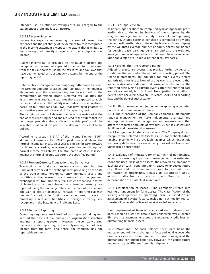intended use. All other borrowing costs are charged to the statement of profit and loss as incurred.

1.3.13 Taxes on Income

Income tax expense representing the sum of current tax expenses and the net charge of the deferred taxes is recognized in the income statement except to the extent that it relates to items recognized directly in equity or other comprehensive income.

Current income tax is provided on the taxable income and recognized at the amount expected to be paid to or recovered from the tax authorities, using the tax rates and tax laws that have been enacted or substantively enacted by the end of the reporting period.

Deferred tax is recognized on temporary differences between the carrying amounts of assets and liabilities in the Financial Statements and the corresponding tax bases used in the computation of taxable profit. Deferred tax liabilities and assets are measured at the tax rates that are expected to apply in the period in which the liability is settled or the asset realized, based on tax rates (and tax laws) that have been enacted or substantively enacted by the end of the reporting period.

The carrying amount of deferred tax assets is reviewed at the end of each reporting period and reduced to the extent that it is no longer probable that sufficient taxable profits will be available to allow all or part of the deferred tax asset to be utilized.

According to section 115JAA of the Income Tax Act, 1961, Minimum Alternative Tax ('MAT') paid over and above the normal income tax in a subject year is eligible for carry forward for fifteen succeeding assessment years for set-off against normal income tax liability. The MAT credit asset is assessed against the normal income tax during the specified period.

#### 1.3.14 Foreign Currency Transactions and Derivatives

Transactions in foreign currencies are translated into the functional currency at the exchange rates prevailing on the date of the transactions. Foreign currency monetary assets and liabilities at the year-end are translated at the year-end exchange rates. Non-monetary items which are carried in terms of historical cost denominated in a foreign currency are reported using the exchange rate as at the date of transaction. The gain or loss on decrease/ increase in reporting currency due to fluctuations in foreign exchange rates, in case of monetary assets and liabilities in foreign currency, are recognized in the Statement of Profit and Loss.

#### 1.3.15 Segment Reporting

Operating segments are identified and reported taking into account the different risk and return, organization structure and internal reporting system. However, the company during the period under reporting, do have only one segment of lease income from the farm, and hence, the company has one reportable segment.

#### 1.3.16 Earnings Per Share

Basic earnings per share are computed by dividing the net profit attributable to the equity holders of the company by the weighted average number of equity shares outstanding during the period. Diluted earnings per share is computed by dividing the net profit attributable to the equity holders of the company by the weighted average number of equity shares considered for deriving basic earnings per share and also the weighted average number of equity shares that could have been issued upon conversion of all dilutive potential equity shares.

#### 1.3.17 Events after the reporting period

Adjusting events are events that provide further evidence of conditions that existed at the end of the reporting period. The financial statements are adjusted for such events before authorisation for issue. Non-adjusting events are events that are indicative of conditions that arose after the end of the reporting period. Non-adjusting events after the reporting date are not accounted, but disclosed. No adjusting or significant events have occurred between 31<sup>st</sup> March, 2019 and reporting date and the date of authorization.

1.4 Significant management judgement in applying accounting policies and estimation uncertainty.

1.4.1 The preparation of the Company's financial statements requires management to make judgements, estimates and assumptions about the recognition and measurement that affect the reported amounts of revenues, expenses, assets and liabilities and the related disclosures.

1.4.2 Recognition of deferred tax assets - The Company did not recognize the Deferred Tax Assets, as it is not probable future taxable income will be available against which deductible temporary difference, in view of carry forward tax losses and unabsorbed depreciation.

1.4.3 Evaluation of indicators for impairment of non-financial assets - In assessing impairment, management has estimated economic usefulness of the assets, the recoverable amount of each asset or cash - generating units based on expected future cash flows and use of an interest rate to discount them. Estimation of uncertainty relates to assumption about economically future operating cash flows and the determination of a suitable discount rate.

1.4.4 Classification of leases - The Company entered into leasing arrangement for farm assets. The classification of the leasing arrangement as operating lease is based on an assessment of several factors, including, but not limited to, transfer of ownership of leased asset at end of lease term.

1.4.5 Impairment of financial assets - At each balance sheet date, based on historical default rates observed over expected life, the management assesses the expected credit loss on outstanding financial assets.

1.4.6 Provisions - At each balance sheet date basis the management judgment, changes in facts and legal aspects, the Company assesses the requirement of provisions against the outstanding contingent liabilities. However, the actual future outcome may be different from this judgement.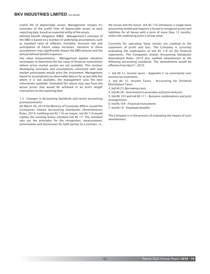Useful life of depreciable assets- Management reviews it's estimates of the useful lives of depreciable assets at each reporting date, based on expected utility of the assets.

Defined benefit obligation (DBO) - Management's estimate of the DBO is based on a number of underlying assumptions such as standard rates of inflation, mortality, discount rate and anticipation of future salary increases. Variation in these assumptions may significantly impact the DBO amount and the annual defined benefit expenses.

Fair value measurements - Management applies valuation techniques to determine the fair value of financial instruments (where active market quotes are not available. This involves developing estimates and assumptions consistent with how market participants would price the instrument. Management based its assumptions on observable data as far as possible but where it is not available, the management uses the best information available. Estimated fair values may vary from the actual prices that would be achieved in an arm's length transaction on the reporting date.

1.5 Changes in Accounting Standards and recent accounting pronouncements

On March 30, 2019 the Ministry of Corporate Affairs issued the Companies (Indian Accounting Standards) (Amendments) Rules, 2019, notifying Ind AS 116 on Leases. Ind AS 116 would replace the existing leases standard Ind AS 17. The standard sets out the principles for the recognition, measurement, presentation and disclosures for both parties to a contract, i.e.

the lessee and the lessor. Ind AS 116 introduces a single lease accounting model and requires a lessee to recognise assets and liabilities for all leases with a term of more than 12 months, unless the underlying asset is of low value.

Currently for operating lease rentals are credited to the statement of profit and loss. The Company is currently evaluating the implications of Ind AS 116 on the financial statements. The Companies (Indian Accounting Standards) Amendment Rules, 2019 also notified amendments to the following accounting standards. The amendments would be effective from April 1, 2019.

1. Ind AS 12, Income taxes – Appendix C on uncertainty over income tax treatments

2. Ind AS 12, Income Taxes - Accounting for Dividend Distribution Taxes

3. Ind AS 23, Borrowing costs

4. Ind AS 28 – Investment in associates and joint ventures

5. Ind AS 103 and Ind AS 111 – Business combinations and joint arrangements

6. Ind AS 109 – Financial instruments

7. Ind AS 19 – Employee benefits

The Company is in the process of evaluating the impact of such amendments.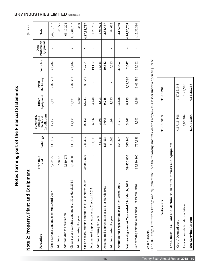Notes forming part of the Financial Statements Notes forming part of the Financial Statements

Note 2: Property, Plant and Equipment Note 2: Property, Plant and Equipment

| Particulars                                         | Free Hold<br>Land | <b>Buildings</b> | Installations<br>Furniture,<br>Fittings &<br>Electrical | Equipment<br>Office | Machinery<br>Plant | Vehicles | Processing<br>Equipment<br>Data | Total       |
|-----------------------------------------------------|-------------------|------------------|---------------------------------------------------------|---------------------|--------------------|----------|---------------------------------|-------------|
| Gross carrying amount as on 01st April 2017         | 32,782,750        | 941,317          | 15,151                                                  | 18,231              | 9,09,580           | 49,704   | 4                               | 3,47,16,737 |
| Additions                                           | 548,775           |                  |                                                         |                     |                    |          |                                 | 5,48,775    |
| Addition due to revaluation                         | 6,519,275         |                  |                                                         |                     |                    |          |                                 | 65,19,275   |
| Closing gross carrying amount as at 31st March 2018 | 39,850,800        | 941,317          | 15,151                                                  | 18,231              | 9,09,580           | 49,704   | 4                               | 4,17,84,787 |
| Additions during the year                           |                   |                  |                                                         | 4,000               |                    |          |                                 | 4,000       |
| Closing gross carrying amount as at 31st March 2019 | 39,850,800        | 941,317          | 15,151                                                  | 22,231              | 9,09,580           | 49,704   | 4                               | 4,17,88,787 |
| Accumulated depreciation as at 01st April 2017      |                   | 100,001          | 6,237                                                   | 4,440               |                    | 19,117   |                                 | 1,29,795    |
| Additions during the year                           |                   | 83,933           | 3,409                                                   | 4,805               |                    | 11,525   |                                 | 1,03,672    |
| Accumulated depreciation as at 31st March 2018      |                   | 183,934          | 9,646                                                   | 9,245               |                    | 30,642   |                                 | 2,33,467    |
| Additions during the year                           |                   | 71,540           | 1,864                                                   | 4,193               |                    | 7,015    |                                 | 84,612      |
| Accumulated depreciation as at 31st March 2019      |                   | 255,474          | 11,510                                                  | 13,438              |                    | 37,657   |                                 | 3,18,079    |
| Net carrying amount Year ended 31st March, 2019     | 39,850,800        | 685,843          | 3,641                                                   | 8,793               | 9,09,580           | 12,047   | 4                               | 4,14,70,708 |
| Net carrying amount Year ended 31st March, 2018     | 39,850,800        | 757,383          | 5,505                                                   | 8,986               | 9,09,580           | 19,062   | 4                               | 4,15,51,320 |

# Leased assets Leased assets

Land, Buildings, Furniture & Fittings and equipment includes the following amounts where Company is a lessor under a operating lease: Land, Buildings, Furniture & Fittings and equipment includes the following amounts where Company is a lessor under a operating lease:

| Particulars                                                            | 31-03-2019  | 31-03-2018  |
|------------------------------------------------------------------------|-------------|-------------|
| Land. Buildings. Plant and Machinery.Furniture. fittings and equipment |             |             |
| Cost / Deemed cost                                                     | 4,17,16,848 | 4,17,16,848 |
| Less Accumulated depreciation                                          | 2,66,984    | 1,93,580    |
| Net Carrying Amount                                                    | 4,14,49,864 | 4,15,23,268 |

# **BKV INDUSTRIES LIMITED** 'and reduced'

(In Rs.)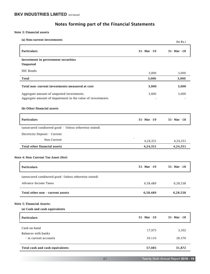#### Note 3: Financial assets

| (a) Non current investments                                                                              |                 | (In Rs.)        |
|----------------------------------------------------------------------------------------------------------|-----------------|-----------------|
| Particulars                                                                                              | $31 - Mar - 19$ | $31 - Mar - 18$ |
| Investment in government securities                                                                      |                 |                 |
| Unquoted                                                                                                 |                 |                 |
| NSC Bonds                                                                                                | 3,000           | 3,000           |
| Total                                                                                                    | 3,000           | 3,000           |
| Total non-current investments measured at cost                                                           | 3,000           | 3,000           |
| Aggregate amount of unquoted investments.<br>Aggregate amount of impairment in the value of investments. | 3,000           | 3,000           |
| (b) Other financial assets                                                                               |                 |                 |
| <b>Particulars</b>                                                                                       | 31- Mar -19     | 31- Mar -18     |
| (unsecured condisered good - Unless otherwise stated)                                                    |                 |                 |
| Electricity Deposit - Current                                                                            |                 |                 |
| Non Current                                                                                              | 4,24,351        | 4,24,351        |
| <b>Total other financial assets</b>                                                                      | 4,24,351        | 4,24,351        |
| Note 4: Non Current Tax Asset (Net)                                                                      |                 |                 |
| <b>Particulars</b>                                                                                       | 31- Mar -19     | $31 - Mar - 18$ |
| (unsecured condisered good - Unless otherwise stated)                                                    |                 |                 |
| Advance Income Taxes                                                                                     | 6,58,489        | 6,28,538        |
| Total other non - current assets                                                                         | 6,58,489        | 6,28,538        |
| <b>Note 5: Financial Assets:</b>                                                                         |                 |                 |
| (a) Cash and cash equivalents                                                                            |                 |                 |
| Particulars                                                                                              | 31- Mar -19     | 31- Mar -18     |
|                                                                                                          | 17,975          | 3,502           |
| Cash on hand                                                                                             |                 |                 |
| <b>Balances with banks</b>                                                                               |                 |                 |
| - in current accounts                                                                                    | 39.110          | 28.370          |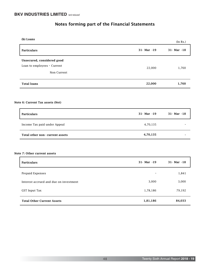| (b) Loans                                                                |             | (In Rs.)        |
|--------------------------------------------------------------------------|-------------|-----------------|
| <b>Particulars</b>                                                       | 31- Mar -19 | $31 - Mar - 18$ |
| Unsecured, considered good<br>Loan to employees - Current<br>Non Current | 22,000      | 1,760           |
| <b>Total loans</b>                                                       | 22,000      | 1,760           |
|                                                                          |             |                 |

#### Note 6: Current Tax assets (Net)

| <b>Particulars</b>               | 31- Mar -19 | $31 - Mar - 18$ |
|----------------------------------|-------------|-----------------|
| Income Tax paid under Appeal     | 4,70,135    |                 |
| Total other non - current assets | 4,70,135    |                 |

# Note 7: Other current assets

| <b>Particulars</b>                     | $31 - Mar - 19$ | $31 - Mar - 18$ |
|----------------------------------------|-----------------|-----------------|
| Prepaid Expenses                       | $\blacksquare$  | 1,841           |
| Interest accrued and due on investment | 3,000           | 3,000           |
| GST Input Tax                          | 1,78,186        | 79,192          |
| <b>Total Other Current Assets</b>      | 1,81,186        | 84,033          |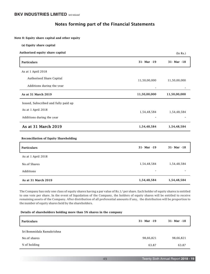# Notes forming part of the Financial Statements

Note 8: Equity share capital and other equity

| (a) Equity share capital                     |              |              |
|----------------------------------------------|--------------|--------------|
| Authorised equity share capital              |              | (In Rs.)     |
| <b>Particulars</b>                           | 31- Mar -19  | 31- Mar -18  |
| As at 1 April 2018                           |              |              |
| Authorised Share Capital                     | 11,50,00,000 | 11,50,00,000 |
| Additions during the year                    |              |              |
| As at 31 March 2019                          | 11,50,00,000 | 11,50,00,000 |
| Issued, Subscribed and fully paid up         |              |              |
| As at 1 April 2018                           | 1,54,48,584  | 1,54,48,584  |
| Additions during the year                    |              |              |
| As at 31 March 2019                          | 1,54,48,584  | 1,54,48,584  |
| <b>Reconciliation of Equity Shareholding</b> |              |              |
| <b>Particulars</b>                           | 31- Mar -19  | 31- Mar -18  |
| As at 1 April 2018                           |              |              |
| No.of Shares                                 | 1,54,48,584  | 1,54,48,584  |
| Additions                                    |              |              |
| As at 31 March 2019                          | 1,54,48,584  | 1,54,48,584  |

The Company has only one class of equity shares having a par value of Rs.1/ per share. Each holder of equity shares is entitled to one vote per share. In the event of liquidation of the Company, the holders of equity shares will be entitled to receive remaining assets of the Company. After distribution of all preferential amounts if any, the distribution will be proportion to the number of equity shares held by the shareholders.

#### Details of shareholders holding more than 5% shares in the company

| <b>Particulars</b>        | 31- Mar -19 | $31 - Mar - 18$ |
|---------------------------|-------------|-----------------|
| Sri Bommidala Ramakrishna |             |                 |
| No.of shares              | 98,66,821   | 98,66,821       |
| % of holding              | 63.87       | 63.87           |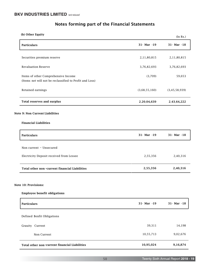| Notes forming part of the Financial Statements |  |  |
|------------------------------------------------|--|--|
|------------------------------------------------|--|--|

| (b) Other Equity                                                                               |               | (In Rs.)         |
|------------------------------------------------------------------------------------------------|---------------|------------------|
| Particulars                                                                                    | 31- Mar -19   | 31- Mar -18      |
| Securities premium reserve                                                                     | 2,11,80,815   | 2,11,80,815      |
| <b>Revaluation Reserve</b>                                                                     | 3,76,82,693   | 3,76,82,693      |
| Items of other Comprehensive Income<br>(Items net will not be reclassified to Profit and Loss) | (3,709)       | 59,653           |
| Retained earnings                                                                              | (3,68,55,160) | (3, 45, 58, 939) |
| <b>Total reserves and surplus</b>                                                              | 2,20,04,639   | 2,43,64,222      |
| Note 9: Non Current Liabilities                                                                |               |                  |
| <b>Financial Liabilities</b>                                                                   |               |                  |
| Particulars                                                                                    | 31- Mar -19   | 31- Mar -18      |
| Non current - Unsecured                                                                        |               |                  |
| Electricity Deposit received from Lessee                                                       | 2,55,356      | 2,40,316         |
| Total other non-current financial Liabilities                                                  | 2,55,356      | 2,40,316         |
| Note 10: Provisions:                                                                           |               |                  |
| <b>Employee benefit obligations</b>                                                            |               |                  |
| Particulars                                                                                    | 31- Mar -19   | 31- Mar -18      |
| Defined Benfit Obligations                                                                     |               |                  |
| Grauity Current                                                                                | 39,311        | 14,198           |
| Non Current                                                                                    | 10,55,713     | 9,02,676         |
|                                                                                                |               |                  |

Total other non-current financial Liabilities

9,16,874

10,95,024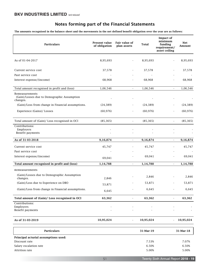The amounts recognised in the balance sheet and the movements in the net defined benefit obligation over the year are as follows:

| <b>Particulars</b>                                                        | Present value<br>of obligation | Fair value of<br>plan assets | Total     | <b>Impact of</b><br>minimum<br>funding<br>requirement/<br>asset ceiling | Net<br>Amount |
|---------------------------------------------------------------------------|--------------------------------|------------------------------|-----------|-------------------------------------------------------------------------|---------------|
| As of 01-04-2017                                                          | 8,95,693                       | ٠                            | 8,95,693  | $\blacksquare$                                                          | 8,95,693      |
| Current service cost                                                      | 37,578                         |                              | 37,578    |                                                                         | 37,578        |
| Past service cost                                                         |                                |                              |           |                                                                         |               |
| Interest expense/(income)                                                 | 68,968                         |                              | 68,968    |                                                                         | 68,968        |
| Total amount recognised in profit and (loss)                              | 1,06,546                       | $\omega$                     | 1,06,546  | $\omega$                                                                | 1,06,546      |
| Remeasurements<br>(Gain)/Losses due to Demographic Assumption<br>changes. |                                |                              |           |                                                                         |               |
| (Gain)/Loss from change in Financial assumptions.                         | (24, 389)                      |                              | (24, 389) |                                                                         | (24, 389)     |
| Experience (Gains)/ Losses                                                | (60, 976)                      |                              | (60, 976) |                                                                         | (60, 976)     |
| Total amount of (Gain)/ Loss recognised in OCI                            | (85, 365)                      | $\omega$                     | (85, 365) | $\mathbf{r}$                                                            | (85, 365)     |
| Contributions:<br>Employers<br>Benefit payments                           |                                |                              |           |                                                                         |               |
| As of 31-03-2018                                                          | 9,16,874                       |                              | 9,16,874  |                                                                         | 9,16,874      |
|                                                                           |                                |                              |           |                                                                         |               |
| Current service cost                                                      | 45,747                         |                              | 45,747    |                                                                         | 45,747        |
| Past service cost                                                         |                                |                              | ÷.        |                                                                         |               |
| Interest expense/(income)                                                 | 69,041                         |                              | 69,041    |                                                                         | 69,041        |
| Total amount recognised in profit and (loss)                              | 1,14,788                       | $\blacksquare$               | 1,14,788  | $\overline{\phantom{a}}$                                                | 1,14,788      |
| Remeasurements                                                            |                                |                              |           |                                                                         |               |
| (Gain)/Losses due to Demographic Assumption<br>changes.                   | 2,846                          |                              | 2,846     |                                                                         | 2,846         |
| (Gain)/Loss due to Experience on DBO                                      | 53,871                         |                              | 53,871    |                                                                         | 53,871        |
| (Gain)/Loss from change in Financial assumptions                          | 6,645                          |                              | 6,645     |                                                                         | 6,645         |
| Total amount of (Gain)/ Loss recognised in OCI                            | 63,362                         | ÷,                           | 63,362    |                                                                         | 63,362        |
| Contributions:                                                            |                                |                              |           |                                                                         |               |
| Employers<br>Benefit payments                                             |                                |                              |           |                                                                         |               |
| As of 31-03-2019                                                          | 10,95,024                      | ä,                           | 10,95,024 |                                                                         | 10,95,024     |
| <b>Particulars</b>                                                        |                                |                              | 31-Mar-19 |                                                                         | 31-Mar-18     |
| Principal acturial assumptions used:                                      |                                |                              |           |                                                                         |               |
| Discount rate                                                             |                                |                              | 7.53%     |                                                                         | 7.07%         |
| Salary escalation rate                                                    |                                |                              | 6.50%     |                                                                         | 6.50%         |
| Attrition rate                                                            |                                |                              | 5.00%     |                                                                         | 5.00%         |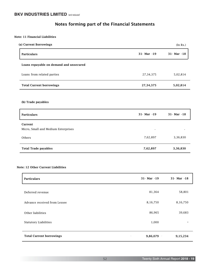#### Note: 11 Financial Liabilities

| (a) Current Borrowings                   |                 |                         |
|------------------------------------------|-----------------|-------------------------|
| <b>Particulars</b>                       | $31 - Mar - 19$ | 31- Mar -18             |
| Loans repayable on demand and unsecured  |                 |                         |
| Loans from related parties               | 27, 34, 375     | 5,02,814                |
| <b>Total Current borrowings</b>          | 27, 34, 375     | 5,02,814                |
|                                          |                 |                         |
| (b) Trade payables<br><b>Particulars</b> | 31- Mar -19     |                         |
| Current                                  |                 |                         |
| Micro, Small and Medium Enterprises      |                 |                         |
| Others                                   | 7,62,897        | 31- Mar -18<br>3,36,830 |

# Note: 12 Other Current Liabilities

| <b>Particulars</b>              | $31 - Mar - 19$       | 31- Mar -18           |
|---------------------------------|-----------------------|-----------------------|
| Deferred revenue                | 81,364                | 58,801                |
| Advance received from Lessee    | 8,16,750              | 8,16,750              |
| Other liabilities               | 86,965                | 39,683                |
| <b>Statutory Liabilities</b>    | 1,000                 |                       |
| <b>Total Current borrowings</b> | 9,86,079<br>$\bullet$ | 9,15,234<br>$\bullet$ |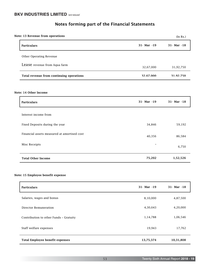| Note: 13 Revenue from operations            |                 | (In Rs.)    |
|---------------------------------------------|-----------------|-------------|
| <b>Particulars</b>                          | $31 - Mar - 19$ | 31- Mar -18 |
| Other Operating Revenue                     |                 |             |
| Lease revenue from Aqua farm                | 32,67,000       | 31,92,750   |
| Total revenue from continuing operations    | 32.67.000       | 31.92.750   |
| Note: 14 Other Income<br><b>Particulars</b> | $31 - Mar - 19$ | 31- Mar -18 |
| Interest income from                        |                 |             |
| Fixed Deposits during the year              | 34,846          | 59,192      |
| Financial assets measured at amortised cost | 40,356          | 86,584      |
| Misc Receipts                               |                 | 6,750       |
| <b>Total Other Income</b>                   | 75,202          | 1,52,526    |

# Note: 15 Employee benefit expense

| <b>Particulars</b>                     | 31- Mar -19 | $31 - Mar - 18$ |
|----------------------------------------|-------------|-----------------|
| Salaries, wages and bonus              | 8,10,000    | 4,87,500        |
| Director Remuneration                  | 4,30,643    | 4,20,000        |
| Contribution to other Funds - Gratuity | 1,14,788    | 1,06,546        |
| Staff welfare expenses                 | 19,943      | 17,762          |
| <b>Total Employee benefit expenses</b> | 13,75,374   | 10,31,808       |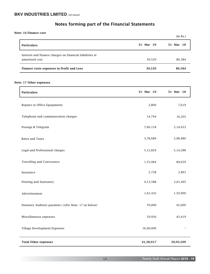Note: 16 Finance cost

|                                                                            |                 | (In Rs.)        |
|----------------------------------------------------------------------------|-----------------|-----------------|
| <b>Particulars</b>                                                         | $31 - Mar - 19$ | $31 - Mar - 18$ |
| Interest and finance charges on financial liabilities at<br>amortised cost | 39,520          | 86,584          |
| Finance costs expenses in Profit and Loss                                  | 39,520          | 86,584          |

#### Note: 17 Other expenses

| <b>Particulars</b>                                    | 31- Mar -19 | 31- Mar -18 |
|-------------------------------------------------------|-------------|-------------|
| Repairs to Office Equipments                          | 2,800       | 7,619       |
| Telephone and communication charges                   | 14,744      | 16,205      |
| Postage & Telegram                                    | 7,66,118    | 5,14,633    |
| Rates and Taxes                                       | 3,78,689    | 3,98,480    |
| Legal and Professional charges                        | 5,12,824    | 5,14,288    |
| Travelling and Conveyance                             | 1,55,064    | 89,639      |
| Insurance                                             | 2,728       | 2,891       |
| Printing and Stationery                               | 4,13,588    | 3,01,495    |
| Advertisement                                         | 1,62,432    | 1,59,900    |
| Statutory Auditors payment (refer Note. 17 (a) below) | 70,000      | 45,000      |
| Miscellaneous expenses                                | 59,930      | 43,419      |
| Village Development Expenses                          | 16,00,000   |             |
| <b>Total Other expenses</b>                           | 41,38,917   | 20,93,569   |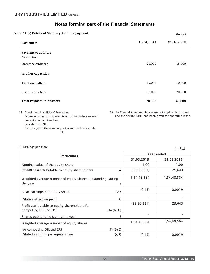| Notes forming part of the Financial Statements |  |  |
|------------------------------------------------|--|--|
|------------------------------------------------|--|--|

Note: 17 (a) Details of Statutory Auditors payment

| te: 17 (a) Details of Statutory Auditors payment |                 | (In Rs.)        |
|--------------------------------------------------|-----------------|-----------------|
| <b>Particulars</b>                               | $31 - Mar - 19$ | $31 - Mar - 18$ |
| <b>Payment to auditors</b><br>As auditor:        |                 |                 |
| <b>Statutory Audit fee</b>                       | 25,000          | 15,000          |
| In other capacities                              |                 |                 |
| <b>Taxation matters</b>                          | 25,000          | 10,000          |
| Certification fees                               | 20,000          | 20,000          |
| <b>Total Payment to Auditors</b>                 | 70,000          | 45,000          |

 18. Contingent Liabilities & Provisions: Estimated amount of contracts remaining to be executed on capital account and not provided for: NIL Claims against the company not acknowledged as debt: NIL

19. As Coastal Zonal regulation are not applicable to creek and the Shrimp farm had been given for operating lease.

| .v. Lammiyə per ənare                                       |             |               | (In Rs.)    |  |  |
|-------------------------------------------------------------|-------------|---------------|-------------|--|--|
| <b>Particulars</b>                                          |             | Year ended    |             |  |  |
|                                                             |             | 31.03.2019    | 31.03.2018  |  |  |
| Nominal value of the equity share                           |             | 1.00          | 1.00        |  |  |
| Profit(Loss) attributable to equity shareholders            | A           | (22, 96, 221) | 29,643      |  |  |
| Weighted average number of equity shares outstanding During | 1,54,48,584 | 1,54,48,584   |             |  |  |
| the year                                                    | B           |               |             |  |  |
| Basic Earnings per equity share                             | A/B         | (0.15)        | 0.0019      |  |  |
| Dilutive effect on profit                                   | C           |               |             |  |  |
| Profit attributable to equity shareholders for              |             | (22, 96, 221) | 29,643      |  |  |
| computing Diluted EPS                                       | $D = (A+C)$ |               |             |  |  |
| Shares outstanding during the year                          | E           |               |             |  |  |
| Weighted average number of equity shares                    |             | 1,54,48,584   | 1,54,48,584 |  |  |
| for computing Diluted EPS                                   | $F=(B+E)$   |               |             |  |  |
| Diluted earnings per equity share                           | (D/F)       | (0.15)        | 0.0019      |  |  |

20. Earnings per share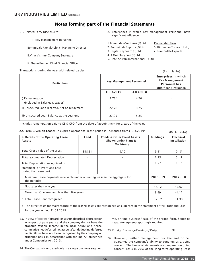# Notes forming part of the Financial Statements

- 21. Related Party Disclosures:
	- 1. Key Management personnel:

Bommidala Ramakrishna - Managing Director

- B.Virat Vishnu Company Secretary
- K. Bhanu Kumar Chief Financial Officer

- 2. Enterprises in which Key Management Personnel have significant influence:
- 1.Bommidala Ventures (P) Ltd., Partnership Firm
- 2. Bommidala Exports (P) Ltd., 6. Hindustan Tobacco Ltd.,
- 3. Digital Keyboard (P) Ltd., 7. Bommidala Exports
- 4. A One Duty Free (P) Ltd.,
- 5. Hotel Shivam International (P) Ltd.,
- -
	-

| Transactions during the year with related parties |                                 |                                                                                                | (Rs. in lakhs)           |
|---------------------------------------------------|---------------------------------|------------------------------------------------------------------------------------------------|--------------------------|
| <b>Particulars</b>                                | <b>Key Management Personnel</b> | Enterprises in which<br><b>Key Management</b><br><b>Personnel has</b><br>significant influence |                          |
|                                                   | 31.03.2019                      | 31.03.2018                                                                                     |                          |
| i) Remuneration<br>(included in Salaries & Wages) | $7.76*$                         | 4.20                                                                                           |                          |
| ii) Unsecured Loan received, net of repayment     | 22.70                           | 0.25                                                                                           |                          |
| iii) Unsecured Loan Balance at the year end       | 27.95                           | 5.25                                                                                           | $\overline{\phantom{a}}$ |

\*Includes remuneration paid to CS & CFO from the date of appointment for a part of the year.

| 22. Farm Given on Lease: Un expired operational lease period is 15 months from 31.03.2019 | (Rs. In Lakhs) |
|-------------------------------------------------------------------------------------------|----------------|
|-------------------------------------------------------------------------------------------|----------------|

|                                                                                                 |             |                                                                           |                  | (11911111111110)                         |
|-------------------------------------------------------------------------------------------------|-------------|---------------------------------------------------------------------------|------------------|------------------------------------------|
| a. Details of the Operating Lease<br><b>Assets</b>                                              | Land        | <b>Ponds &amp; Other Fixed Assets</b><br>Shown under Plant &<br>Machinery | <b>Buildings</b> | <b>Electrical</b><br><b>Installation</b> |
| Total Gross Value of the asset                                                                  | 398.51      | 9.10                                                                      | 9.41             | 0.15                                     |
| Total accumulated Depreciation                                                                  |             | ٠                                                                         | 2.55             | 0.11                                     |
| Total Depreciation recognized in<br>Statement of Profit and Loss<br>during the Lease period     |             |                                                                           | 0.72             | 0.02                                     |
| b. Minimum Lease Payments receivable under operating lease in the aggregate for<br>the periods: | $2018 - 19$ | $2017 - 18$                                                               |                  |                                          |
| Not Later than one year                                                                         | 35.12       | 32.67                                                                     |                  |                                          |
| More than One Year and less than five years                                                     | 8.99        | 44.11                                                                     |                  |                                          |
| c. Total Lease Rent recognized                                                                  |             |                                                                           | 32.67            | 31.93                                    |

d. The direct costs for maintenance of the leased assets are recognized as expenses in the statement of the Profit and Loss for the year ended 31.03.2019

- 23. In view of carried forward losses/unabsorbed depreciation in respect of past years and the company do not have the probable taxable income in the near future and hence, cumulative net deferred tax assets after deducting deferred tax liabilities have not been recognized by the company on prudence basis in accordance with the Ind AS prescribed under Companies Act, 2013.
- 24. The Company is engaged only in a single business segment

viz. shrimp business/lease of the shrimp farm, hence no separate segment reporting is required.

- 25. Foreign Exchange Earnings / Outgo NIL
- 26. However, neither management nor the auditor can guarantee the company's ability to continue as a going concern. The financial statements are prepared on going concern basis in view of the long-term operating lease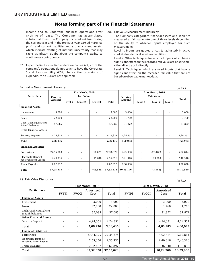Income and to undertake business operations after expiring of lease. The Company has accumulated substantial loses, the Company incurred net loss during the current year and in the previous year earned marginal profit and current liabilities more than current assets, which indicate existing of material uncertainty that may caste significant doubt about the company's ability to continue as a going concern.

27. As per the limits specified under Companies Act, 2013, the company's operations do not cover to have the Corporate Social Responsibility (CSR), hence the provisions of expenditure on CSR are not applicable.

28. Fair Value Measurement Hierarchy:

 The Company categorizes financial assets and liabilities measured at fair value into one of three levels depending on the ability to observe inputs employed for such measurement:

 Level 1: Inputs are quoted prices (unadjusted) in active markets for identical assets or liabilities.

 Level 2: Other techniques for which all inputs which have a significant effect on the recorded fair value are observable, either directly or Indirectly.

 Level 3: Techniques which are used inputs that have a significant effect on the recorded fair value that are not based on observable market data.

|                                                    |           |                              | 31st March, 2019         |           |             |           | 31st March, 2018  |           |                          |           |
|----------------------------------------------------|-----------|------------------------------|--------------------------|-----------|-------------|-----------|-------------------|-----------|--------------------------|-----------|
| <b>Particulars</b>                                 | Carrying  |                              | <b>Fair Value</b>        |           |             | Carrying  | <b>Fair Value</b> |           |                          |           |
|                                                    | Amount    | Level 1                      | Level 2                  | Level 3   | Total       | Amount    | Level 1           | Level 2   | Level 3                  | Total     |
| <b>Financial Assets</b>                            |           |                              |                          |           |             |           |                   |           |                          |           |
| Investment                                         | 3,000     | ٠                            |                          |           | 3,000       | 3,000     |                   |           |                          | 3,000     |
| Loans                                              | 22,000    | ٠                            | $\blacksquare$           |           | 22,000      | 1,760     |                   |           | $\overline{\phantom{a}}$ | 1,760     |
| Cash, Cash equivalents<br>& Bank balances          | 57,085    |                              | ٠                        |           | 57,085      | 31,872    |                   |           |                          | 31,872    |
| Other Financial Assets                             |           |                              |                          |           |             |           |                   |           |                          |           |
| Security Deposit                                   | 4,24,351  | $\sim$                       | $\overline{\phantom{a}}$ |           | 4,24,351    | 4,24,351  | ٠                 |           | $\overline{\phantom{a}}$ | 4,24,351  |
| <b>Total</b>                                       | 5,06,436  | $\blacksquare$               | $\blacksquare$           |           | 5,06,436    | 4,60,983  | ٠                 |           | $\blacksquare$           | 4,60,983  |
| <b>Financial Liabilities</b>                       |           |                              |                          |           |             |           |                   |           |                          |           |
| <b>Borrowings</b>                                  | 27,95,000 | $\blacksquare$               | $\sim$                   | (60, 625) | 27, 34, 375 | 5,25,000  | $\sim$            | (22, 186) | $\blacksquare$           | 5,02,814  |
| <b>Electricity Deposit</b><br>received from Lessee | 2,40,316  | $\qquad \qquad \blacksquare$ | ٠                        | 15,040    | 2,55,356    | 2,21,316  | ٠                 | 19,000    | $\overline{\phantom{a}}$ | 2,40,316  |
| Trade Payables                                     | 7,62,897  | $\blacksquare$               | $\sim$                   | $\sim$    | 7,62,897    | 3,36,830  | ٠                 |           | $\sim$                   | 3,36,830  |
| <b>Total</b>                                       | 37,98,213 | $\overline{\phantom{a}}$     | $\sim$                   | (45, 585) | 37,52,628   | 10,83,146 | ٠                 | (3, 186)  | $\overline{\phantom{a}}$ | 10,79,960 |

#### Fair Value Measurement Hierarchy

#### 29. Fair Value Disclosure

(In Rs.)

 $(ln Rs.)$ 

|                                                    |                          |                | 31st March, 2019  |             |                          |                          | 31st March, 2018  |           |
|----------------------------------------------------|--------------------------|----------------|-------------------|-------------|--------------------------|--------------------------|-------------------|-----------|
| <b>Particulars</b>                                 | <b>FVTPI</b>             | <b>FVOCI</b>   | Amortised<br>Cost | Total       | <b>FVTPI</b>             | <b>FVOCI</b>             | Amortised<br>Cost | Total     |
| <b>Financial Assets</b>                            |                          |                |                   |             |                          |                          |                   |           |
| Investment                                         |                          | $\overline{a}$ | 3,000             | 3,000       |                          |                          | 3,000             | 3,000     |
| Loans                                              | ٠                        | ٠              | 22,000            | 22,000      |                          | $\overline{\phantom{0}}$ | 1,760             | 1,760     |
| Cash, Cash equivalents<br>& Bank balances          |                          |                | 57,085            | 57,085      |                          |                          | 31,872            | 31,872    |
| <b>Other Financial Assets</b>                      |                          |                |                   |             |                          |                          |                   |           |
| <b>Security Deposit</b>                            |                          | ٠              | 4,24,351          | 4,24,351    | $\overline{\phantom{a}}$ |                          | 4,24,351          | 4,24,351  |
| Total                                              |                          | $\blacksquare$ | 5,06,436          | 5,06,436    |                          |                          | 4,60,983          | 4,60,983  |
| <b>Financial Liabilities</b>                       |                          |                |                   |             |                          |                          |                   |           |
| <b>Borrowings</b>                                  | $\overline{\phantom{0}}$ | ٠              | 27, 34, 375       | 27, 34, 375 |                          |                          | 5,02,814          | 5,02,814  |
| <b>Electricity Deposit</b><br>received from Lessee |                          |                | 2,55,356          | 2,55,356    |                          |                          | 2,40,316          | 2,40,316  |
| <b>Trade Payables</b>                              |                          | ٠              | 7,62,897          | 7,62,897    |                          |                          | 3,36,830          | 3,36,830  |
| <b>Total</b>                                       |                          | ٠              | 37,52,628         | 37,52,628   |                          |                          | 10,79,960         | 10,79,960 |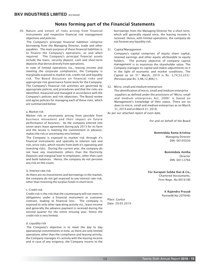30. Nature and extent of risks arising from financial instruments and respective financial risk management objectives and policies.

 include the loans, security deposit, cash and short-term The Company's principal financial liabilities comprise borrowing from the Managing Director, trade and other payables. The main purpose of these financial liabilities is to finance the Company's operations, as and when required. The Company's principal financial assets deposits that derive directly from operations.

 In view of limited operations viz., leasing income and meeting the corporate compliances, the Company is marginally exposed to market risk, credit risk and liquidity risk. The Board discusses on financial risks and appropriate risk governance frame work for the Company. The Company's financial risk activities are governed by appropriate policies and procedures and that the risks are identified, measured and managed in accordance with the Company's policies and risk objectives. The Board review and agree policies for managing each of these risks, which are summarized below:

#### a. Market risk

 Market risk or uncertainty arising from possible from business movement and their impact on future performance of business. As the company entered into seven years lease agreement during July 2013 for its farm and the lessee is meeting the commitment in advance, makes the risk or uncertainty very limited.

 The Company is exposed to market risk through it's financial instruments and specially to interest rate and risk, price risks, which results from both it's operating and investing risks. During the current year, the company do not have any investments others than the Electricity Deposits and marginal loan to employees, other than cash and bank balances. Hence, the company do not perceive any risk on this count.

#### b. Interest rate risk

 As there are no investments and borrowings in the market, the company do not get exposed to any interest rate risk, other than investing the surplus funds in short term.

#### c. Credit risk

 Credit risk is the risk that the counterparty will not meet its obligations under a financial instrument or customer contract, leading to financial loss. The company is exposed to only other operating activity viz., lease income and generally the advance payment is received during the second quarter for the entire ensuing year, hence the credit risk is very limited.

#### d. Liquidity risk

 The Company's objective is to meet the day to day operational commitments in time, as there are only limited operations other than the compliance and leasing activity, the Company manages it's activity with the leasing income and in case of any exigency, the Company resorts to the

borrowings from the Managing Director for a short term, which will generally repaid once, the leasing income is received. Hence, with limited operations, the company do not foresee any liquidity risk.

#### 31. Capital Management

 Company's capital comprises of equity share capital, retained earnings and other equity attributable to equity holders. The primary objective of company capital management is to maximize the shareholder value. The Company manages its capital and makes adjustments to it in the light of economic and market conditions. The Capital as on  $31<sup>st</sup>$  March, 2019 is Rs.  $3,74,53,223/-$ (Pervious year Rs. 3,98,12,806/-).

32. Micro, small and medium enterprises

 The identification of micro, small and medium enterprise suppliers as defined under the provisions of "Micro, small and medium enterprises Act, 2006" is based on Management's knowledge of their status. There are no dues to micro, small and medium enterprises as on March 31, 2019 and on March 31, 2018.

As per our attached report of even date.

For and on behalf of the Board

Bommidala Rama Krishna Managing Director DIN: 00105030

> Bommidala Anitha Director DIN: 00112766

For Kurapati Subba Rao & Co., Chartered Accountants, Firm Regn. No:001618S

> K Rajendra Prasad Partne(M.No:207646)

Place: Guntur Date: 29.05.2019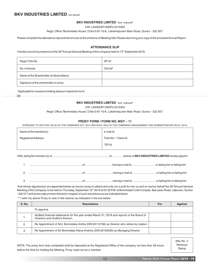#### **BKV INDUSTRIES LIMITED "**and reduced**"**

CIN: L05005AP1993PLC015304

Regd. Office:"Bommidala House",D.No:5-87-15/A, Lakshmipuram Main Road, Guntur - 522 007.

Please complete the attendance slip and hand it over at the entrance of Meeting Hall. Please also bring your copy of the enclosed Annual Report.

#### **ATTENDANCE SLIP**

I hereby record my presence at the 26<sup>th</sup> Annual General Meeting of the company held on 12<sup>th</sup> September 2019.

| Regd. Folio No.                            | $DPId^*$     |
|--------------------------------------------|--------------|
| No. of shares                              | Clint $Id^*$ |
| Name of the Shareholder (in block letters) |              |
| Signature of the shareholder or proxy      |              |

#### \*Applicable for investors holding shares in electronic form

#### **BKV INDUSTRIES LIMITED "**and reduced**"**

00

CIN: L05005AP1993PLC015304

Regd. Office:"Bommidala House",D.No:5-87-15/A, Lakshmipuram Main Road, Guntur - 522 007.

#### **PROXY FORM / FORM NO: MGT – 11**

(PURSUANT TO SECTION 105 (6) OF THE COMPANIES ACT, 2013 AND RULE 19(3) OF THE COMPANIES (MANAGEMENT AND ADMINISTRATION) RULE, 2014).

| Name of the member(s):     | e-mail Id:            |
|----------------------------|-----------------------|
| <b>Registered Address:</b> | Folio No./*Client Id: |
|                            | *DPId:                |
|                            |                       |

I/We, being the member (s) of...........................................................................of………….shares of **BKV INDUSTRIES LIMITED** hereby appoint

And whose signature(s) are appended below as my/our proxy to attend and vote (on a poll) for me/ us and on my/our behalf the 26<sup>th</sup> Annual General<br>Meeting of the Company, to be held on Thursday, September 12<sup>th</sup> 2019 at 03 - 522 017 and at any adjournment thereof in respect of such resolutions as are indicated below:

\*\* I wish my above Proxy to vote in the manner as indicated in the box below:

| <b>S. No.</b> | <b>Resolutions</b>                                                                                                            | For | <b>Against</b> |  |
|---------------|-------------------------------------------------------------------------------------------------------------------------------|-----|----------------|--|
| To approve    |                                                                                                                               |     |                |  |
| .,            | Audited financial statements for the year ended March 31, 2019 and reports of the Board of<br>Directors and Auditors thereon. |     |                |  |
| 2.            | Re Appointment of Smt. Bommidala Anitha (DIN:00112766) as Director who retires by rotation.                                   |     |                |  |
| З.            | Re Appointment of Sri Bommidala Rama Krishna (DIN:00105030) as Managing Director.                                             |     |                |  |

NOTE: The proxy form duly completed shall be deposited at the Registered Office of the company not less than 48 hours before the time for holding the Meeting. Proxy need not be a member.

Affix Rs. 1/ Revenue Stamp